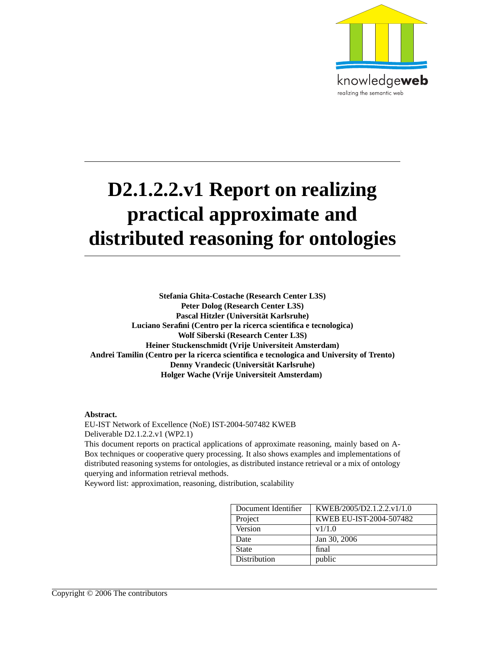

# **D2.1.2.2.v1 Report on realizing practical approximate and distributed reasoning for ontologies**

**Stefania Ghita-Costache (Research Center L3S) Peter Dolog (Research Center L3S) Pascal Hitzler (Universitat Karlsruhe) ¨ Luciano Serafini (Centro per la ricerca scientifica e tecnologica) Wolf Siberski (Research Center L3S) Heiner Stuckenschmidt (Vrije Universiteit Amsterdam) Andrei Tamilin (Centro per la ricerca scientifica e tecnologica and University of Trento) Denny Vrandecic (Universitat Karlsruhe) ¨ Holger Wache (Vrije Universiteit Amsterdam)**

### **Abstract.**

EU-IST Network of Excellence (NoE) IST-2004-507482 KWEB Deliverable D2.1.2.2.v1 (WP2.1)

This document reports on practical applications of approximate reasoning, mainly based on A-Box techniques or cooperative query processing. It also shows examples and implementations of distributed reasoning systems for ontologies, as distributed instance retrieval or a mix of ontology querying and information retrieval methods.

Keyword list: approximation, reasoning, distribution, scalability

| Document Identifier | KWEB/2005/D2.1.2.2.y1/1.0 |
|---------------------|---------------------------|
| Project             | KWEB EU-IST-2004-507482   |
| Version             | v1/1.0                    |
| Date                | Jan 30, 2006              |
| State               | final                     |
| Distribution        | public                    |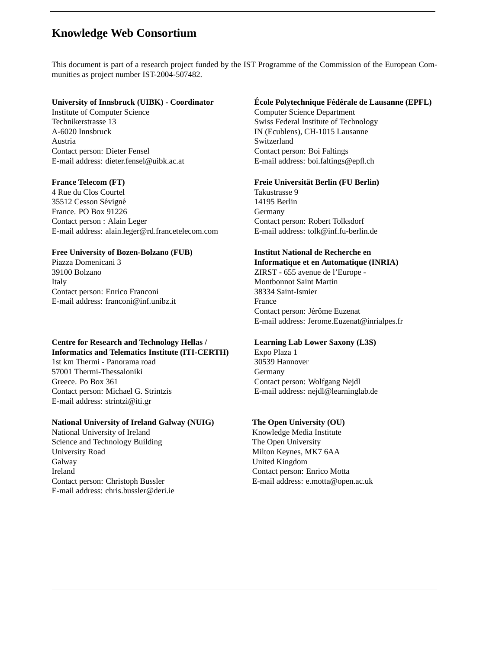## **Knowledge Web Consortium**

This document is part of a research project funded by the IST Programme of the Commission of the European Communities as project number IST-2004-507482.

### **University of Innsbruck (UIBK) - Coordinator**

Institute of Computer Science Technikerstrasse 13 A-6020 Innsbruck Austria Contact person: Dieter Fensel E-mail address: dieter.fensel@uibk.ac.at

### **France Telecom (FT)**

4 Rue du Clos Courtel 35512 Cesson Sévigné France. PO Box 91226 Contact person : Alain Leger E-mail address: alain.leger@rd.francetelecom.com

### **Free University of Bozen-Bolzano (FUB)**

Piazza Domenicani 3 39100 Bolzano Italy Contact person: Enrico Franconi E-mail address: franconi@inf.unibz.it

## **Centre for Research and Technology Hellas / Informatics and Telematics Institute (ITI-CERTH)**

1st km Thermi - Panorama road 57001 Thermi-Thessaloniki Greece. Po Box 361 Contact person: Michael G. Strintzis E-mail address: strintzi@iti.gr

### **National University of Ireland Galway (NUIG)**

National University of Ireland Science and Technology Building University Road Galway Ireland Contact person: Christoph Bussler E-mail address: chris.bussler@deri.ie

### **Ecole Polytechnique F ´ ed´ erale de Lausanne (EPFL) ´**

Computer Science Department Swiss Federal Institute of Technology IN (Ecublens), CH-1015 Lausanne Switzerland Contact person: Boi Faltings E-mail address: boi.faltings@epfl.ch

#### **Freie Universitat Berlin (FU Berlin) ¨**

Takustrasse 9 14195 Berlin Germany Contact person: Robert Tolksdorf E-mail address: tolk@inf.fu-berlin.de

### **Institut National de Recherche en**

**Informatique et en Automatique (INRIA)** ZIRST - 655 avenue de l'Europe - Montbonnot Saint Martin 38334 Saint-Ismier France Contact person: Jérôme Euzenat E-mail address: Jerome.Euzenat@inrialpes.fr

### **Learning Lab Lower Saxony (L3S)**

Expo Plaza 1 30539 Hannover Germany Contact person: Wolfgang Nejdl E-mail address: nejdl@learninglab.de

### **The Open University (OU)**

Knowledge Media Institute The Open University Milton Keynes, MK7 6AA United Kingdom Contact person: Enrico Motta E-mail address: e.motta@open.ac.uk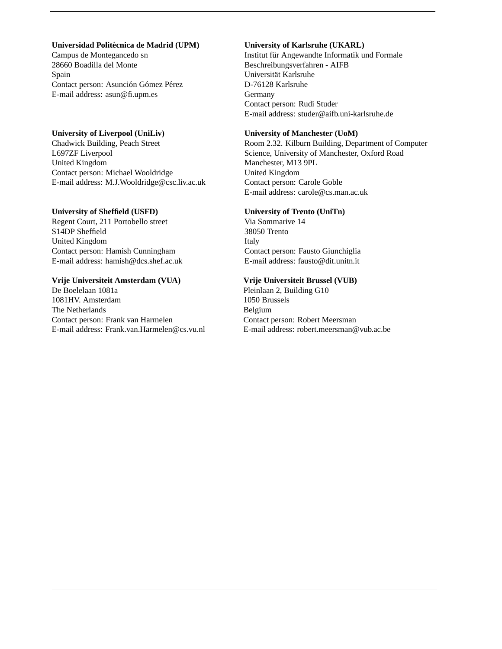### **Universidad Politecnica de Madrid (UPM) ´**

Campus de Montegancedo sn 28660 Boadilla del Monte Spain Contact person: Asunción Gómez Pérez E-mail address: asun@fi.upm.es

### **University of Liverpool (UniLiv)**

Chadwick Building, Peach Street L697ZF Liverpool United Kingdom Contact person: Michael Wooldridge E-mail address: M.J.Wooldridge@csc.liv.ac.uk

#### **University of Sheffield (USFD)**

Regent Court, 211 Portobello street S14DP Sheffield United Kingdom Contact person: Hamish Cunningham E-mail address: hamish@dcs.shef.ac.uk

### **Vrije Universiteit Amsterdam (VUA)**

De Boelelaan 1081a 1081HV. Amsterdam The Netherlands Contact person: Frank van Harmelen E-mail address: Frank.van.Harmelen@cs.vu.nl

#### **University of Karlsruhe (UKARL)**

Institut fur Angewandte Informatik und Formale ¨ Beschreibungsverfahren - AIFB Universität Karlsruhe D-76128 Karlsruhe Germany Contact person: Rudi Studer E-mail address: studer@aifb.uni-karlsruhe.de

### **University of Manchester (UoM)**

Room 2.32. Kilburn Building, Department of Computer Science, University of Manchester, Oxford Road Manchester, M13 9PL United Kingdom Contact person: Carole Goble E-mail address: carole@cs.man.ac.uk

### **University of Trento (UniTn)**

Via Sommarive 14 38050 Trento Italy Contact person: Fausto Giunchiglia E-mail address: fausto@dit.unitn.it

### **Vrije Universiteit Brussel (VUB)**

Pleinlaan 2, Building G10 1050 Brussels Belgium Contact person: Robert Meersman E-mail address: robert.meersman@vub.ac.be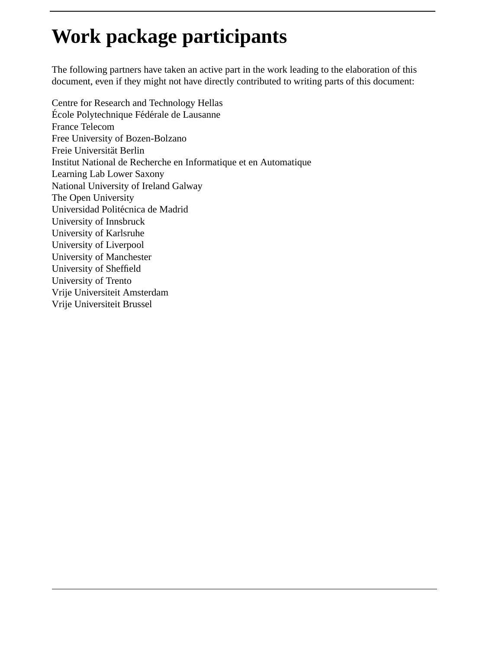# **Work package participants**

The following partners have taken an active part in the work leading to the elaboration of this document, even if they might not have directly contributed to writing parts of this document:

Centre for Research and Technology Hellas École Polytechnique Fédérale de Lausanne France Telecom Free University of Bozen-Bolzano Freie Universität Berlin Institut National de Recherche en Informatique et en Automatique Learning Lab Lower Saxony National University of Ireland Galway The Open University Universidad Politécnica de Madrid University of Innsbruck University of Karlsruhe University of Liverpool University of Manchester University of Sheffield University of Trento Vrije Universiteit Amsterdam Vrije Universiteit Brussel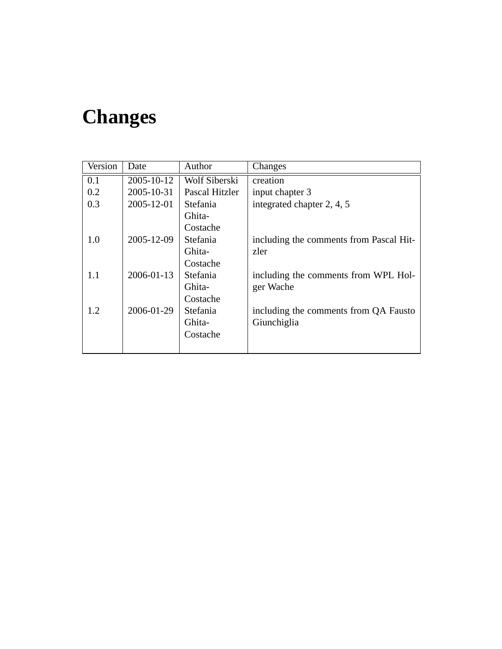# **Changes**

| Version | Date             | Author         | Changes                                 |
|---------|------------------|----------------|-----------------------------------------|
| 0.1     | $2005 - 10 - 12$ | Wolf Siberski  | creation                                |
| 0.2     | 2005-10-31       | Pascal Hitzler | input chapter 3                         |
| 0.3     | 2005-12-01       | Stefania       | integrated chapter 2, 4, 5              |
|         |                  | Ghita-         |                                         |
|         |                  | Costache       |                                         |
| 1.0     | 2005-12-09       | Stefania       | including the comments from Pascal Hit- |
|         |                  | Ghita-         | zler                                    |
|         |                  | Costache       |                                         |
| 1.1     | 2006-01-13       | Stefania       | including the comments from WPL Hol-    |
|         |                  | Ghita-         | ger Wache                               |
|         |                  | Costache       |                                         |
| 1.2     | 2006-01-29       | Stefania       | including the comments from QA Fausto   |
|         |                  | Ghita-         | Giunchiglia                             |
|         |                  | Costache       |                                         |
|         |                  |                |                                         |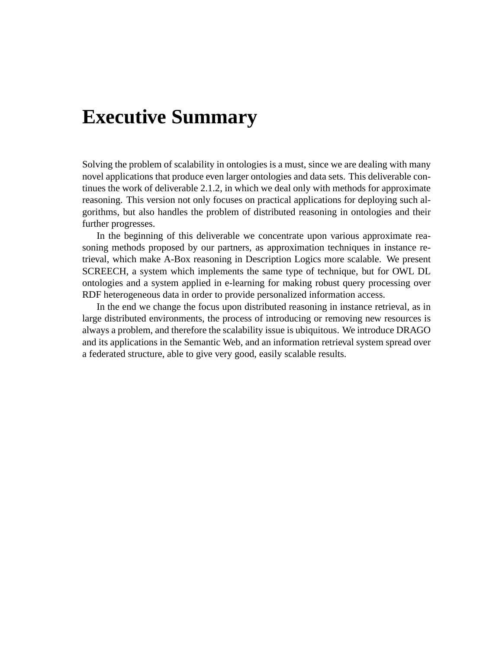# **Executive Summary**

Solving the problem of scalability in ontologies is a must, since we are dealing with many novel applications that produce even larger ontologies and data sets. This deliverable continues the work of deliverable 2.1.2, in which we deal only with methods for approximate reasoning. This version not only focuses on practical applications for deploying such algorithms, but also handles the problem of distributed reasoning in ontologies and their further progresses.

In the beginning of this deliverable we concentrate upon various approximate reasoning methods proposed by our partners, as approximation techniques in instance retrieval, which make A-Box reasoning in Description Logics more scalable. We present SCREECH, a system which implements the same type of technique, but for OWL DL ontologies and a system applied in e-learning for making robust query processing over RDF heterogeneous data in order to provide personalized information access.

In the end we change the focus upon distributed reasoning in instance retrieval, as in large distributed environments, the process of introducing or removing new resources is always a problem, and therefore the scalability issue is ubiquitous. We introduce DRAGO and its applications in the Semantic Web, and an information retrieval system spread over a federated structure, able to give very good, easily scalable results.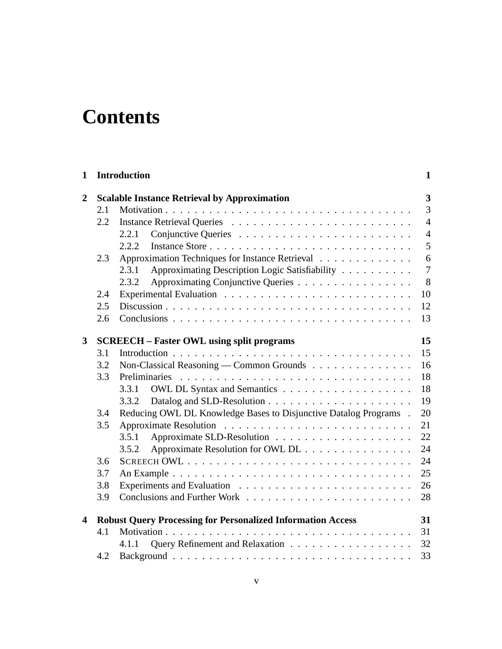# **Contents**

| $\mathbf{1}$            |     | <b>Introduction</b>                                                | 1                       |
|-------------------------|-----|--------------------------------------------------------------------|-------------------------|
| $\overline{2}$          |     | <b>Scalable Instance Retrieval by Approximation</b>                | $\overline{\mathbf{3}}$ |
|                         | 2.1 |                                                                    | $\overline{3}$          |
|                         | 2.2 |                                                                    | $\overline{4}$          |
|                         |     | 2.2.1                                                              | $\overline{4}$          |
|                         |     | 2.2.2                                                              | 5                       |
|                         | 2.3 | Approximation Techniques for Instance Retrieval                    | 6                       |
|                         |     | 2.3.1<br>Approximating Description Logic Satisfiability            | $\overline{7}$          |
|                         |     | Approximating Conjunctive Queries<br>2.3.2                         | 8                       |
|                         | 2.4 |                                                                    | 10                      |
|                         | 2.5 |                                                                    | 12                      |
|                         | 2.6 |                                                                    | 13                      |
| 3                       |     | <b>SCREECH - Faster OWL using split programs</b>                   | 15                      |
|                         | 3.1 |                                                                    | 15                      |
|                         | 3.2 | Non-Classical Reasoning — Common Grounds                           | 16                      |
|                         | 3.3 |                                                                    | 18                      |
|                         |     | 3.3.1                                                              | 18                      |
|                         |     | 3.3.2                                                              | 19                      |
|                         | 3.4 | Reducing OWL DL Knowledge Bases to Disjunctive Datalog Programs.   | 20                      |
|                         | 3.5 |                                                                    | 21                      |
|                         |     | 3.5.1                                                              | 22                      |
|                         |     | Approximate Resolution for OWL DL<br>3.5.2                         | 24                      |
|                         | 3.6 |                                                                    | 24                      |
|                         | 3.7 |                                                                    | 25                      |
|                         | 3.8 |                                                                    | 26                      |
|                         | 3.9 |                                                                    | 28                      |
| $\overline{\mathbf{4}}$ |     | <b>Robust Query Processing for Personalized Information Access</b> | 31                      |
|                         | 4.1 |                                                                    | 31                      |
|                         |     | 4.1.1                                                              | 32                      |
|                         | 4.2 |                                                                    | 33                      |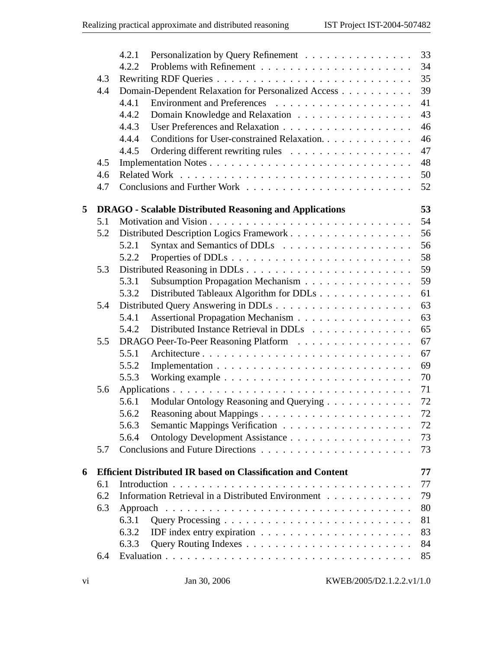|   | 4.3<br>4.4 | 33<br>Personalization by Query Refinement<br>4.2.1<br>34<br>4.2.2<br>35<br>39<br>Domain-Dependent Relaxation for Personalized Access<br>41<br>4.4.1<br>Domain Knowledge and Relaxation<br>43<br>4.4.2<br>46<br>4.4.3<br>46<br>4.4.4<br>Conditions for User-constrained Relaxation.<br>47<br>4.4.5 |
|---|------------|---------------------------------------------------------------------------------------------------------------------------------------------------------------------------------------------------------------------------------------------------------------------------------------------------|
|   | 4.5        | 48                                                                                                                                                                                                                                                                                                |
|   | 4.6        | 50                                                                                                                                                                                                                                                                                                |
|   | 4.7        | 52                                                                                                                                                                                                                                                                                                |
| 5 | 5.1        | <b>DRAGO</b> - Scalable Distributed Reasoning and Applications<br>53<br>54                                                                                                                                                                                                                        |
|   | 5.2        | 56                                                                                                                                                                                                                                                                                                |
|   |            | 56<br>5.2.1                                                                                                                                                                                                                                                                                       |
|   |            | 58<br>5.2.2                                                                                                                                                                                                                                                                                       |
|   | 5.3        | 59                                                                                                                                                                                                                                                                                                |
|   |            | 59<br>Subsumption Propagation Mechanism<br>5.3.1                                                                                                                                                                                                                                                  |
|   |            | 5.3.2<br>Distributed Tableaux Algorithm for DDLs<br>61                                                                                                                                                                                                                                            |
|   | 5.4        | 63                                                                                                                                                                                                                                                                                                |
|   |            | 63<br>Assertional Propagation Mechanism<br>5.4.1                                                                                                                                                                                                                                                  |
|   |            | 65<br>Distributed Instance Retrieval in DDLs<br>5.4.2                                                                                                                                                                                                                                             |
|   | 5.5        | 67<br>DRAGO Peer-To-Peer Reasoning Platform                                                                                                                                                                                                                                                       |
|   |            | 5.5.1<br>67                                                                                                                                                                                                                                                                                       |
|   |            | 69<br>5.5.2                                                                                                                                                                                                                                                                                       |
|   |            | 70<br>5.5.3                                                                                                                                                                                                                                                                                       |
|   | 5.6        | 71                                                                                                                                                                                                                                                                                                |
|   |            | 72<br>5.6.1<br>Modular Ontology Reasoning and Querying                                                                                                                                                                                                                                            |
|   |            | 72<br>5.6.2                                                                                                                                                                                                                                                                                       |
|   |            | 5.6.3<br>72                                                                                                                                                                                                                                                                                       |
|   |            | Ontology Development Assistance<br>73<br>5.6.4                                                                                                                                                                                                                                                    |
|   | 5.7        | 73                                                                                                                                                                                                                                                                                                |
|   |            |                                                                                                                                                                                                                                                                                                   |
| 6 |            | <b>Efficient Distributed IR based on Classification and Content</b><br>77                                                                                                                                                                                                                         |
|   | 6.1        | 77                                                                                                                                                                                                                                                                                                |
|   | 6.2        | Information Retrieval in a Distributed Environment<br>79                                                                                                                                                                                                                                          |
|   | 6.3        | 80                                                                                                                                                                                                                                                                                                |
|   |            | 6.3.1<br>81                                                                                                                                                                                                                                                                                       |
|   |            | IDF index entry expiration $\ldots \ldots \ldots \ldots \ldots \ldots \ldots$<br>83<br>6.3.2                                                                                                                                                                                                      |
|   |            | 6.3.3<br>84                                                                                                                                                                                                                                                                                       |
|   | 6.4        | 85                                                                                                                                                                                                                                                                                                |
|   |            |                                                                                                                                                                                                                                                                                                   |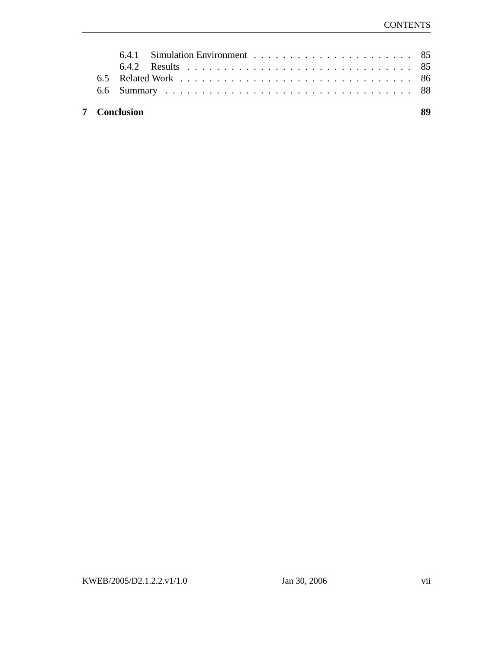|  | <b>7</b> Conclusion |  |  |  |  |  |  |  |  |  |  |  |  |  |  |  |  |
|--|---------------------|--|--|--|--|--|--|--|--|--|--|--|--|--|--|--|--|
|  |                     |  |  |  |  |  |  |  |  |  |  |  |  |  |  |  |  |
|  |                     |  |  |  |  |  |  |  |  |  |  |  |  |  |  |  |  |
|  |                     |  |  |  |  |  |  |  |  |  |  |  |  |  |  |  |  |
|  |                     |  |  |  |  |  |  |  |  |  |  |  |  |  |  |  |  |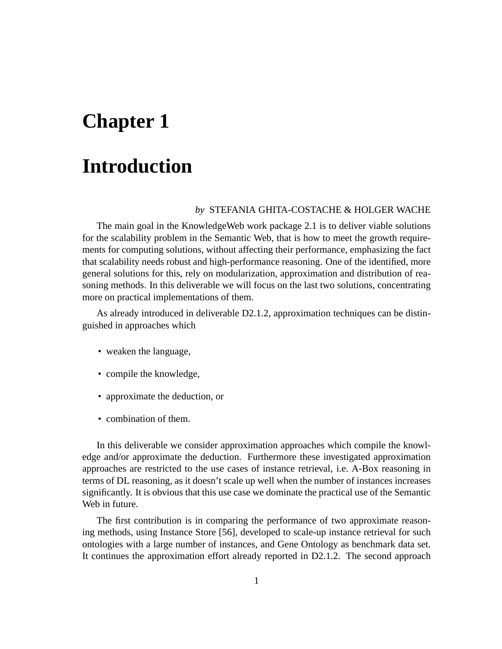# **Chapter 1**

# **Introduction**

#### *by* STEFANIA GHITA-COSTACHE & HOLGER WACHE

The main goal in the KnowledgeWeb work package 2.1 is to deliver viable solutions for the scalability problem in the Semantic Web, that is how to meet the growth requirements for computing solutions, without affecting their performance, emphasizing the fact that scalability needs robust and high-performance reasoning. One of the identified, more general solutions for this, rely on modularization, approximation and distribution of reasoning methods. In this deliverable we will focus on the last two solutions, concentrating more on practical implementations of them.

As already introduced in deliverable D2.1.2, approximation techniques can be distinguished in approaches which

- weaken the language,
- compile the knowledge,
- approximate the deduction, or
- combination of them.

In this deliverable we consider approximation approaches which compile the knowledge and/or approximate the deduction. Furthermore these investigated approximation approaches are restricted to the use cases of instance retrieval, i.e. A-Box reasoning in terms of DL reasoning, as it doesn't scale up well when the number of instances increases significantly. It is obvious that this use case we dominate the practical use of the Semantic Web in future.

The first contribution is in comparing the performance of two approximate reasoning methods, using Instance Store [56], developed to scale-up instance retrieval for such ontologies with a large number of instances, and Gene Ontology as benchmark data set. It continues the approximation effort already reported in D2.1.2. The second approach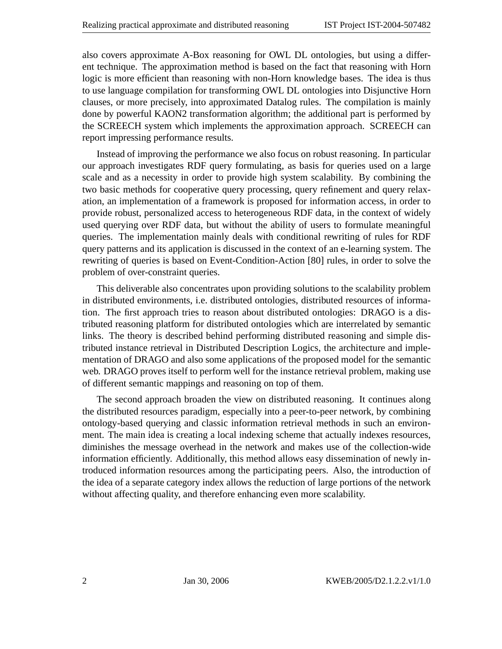also covers approximate A-Box reasoning for OWL DL ontologies, but using a different technique. The approximation method is based on the fact that reasoning with Horn logic is more efficient than reasoning with non-Horn knowledge bases. The idea is thus to use language compilation for transforming OWL DL ontologies into Disjunctive Horn clauses, or more precisely, into approximated Datalog rules. The compilation is mainly done by powerful KAON2 transformation algorithm; the additional part is performed by the SCREECH system which implements the approximation approach. SCREECH can report impressing performance results.

Instead of improving the performance we also focus on robust reasoning. In particular our approach investigates RDF query formulating, as basis for queries used on a large scale and as a necessity in order to provide high system scalability. By combining the two basic methods for cooperative query processing, query refinement and query relaxation, an implementation of a framework is proposed for information access, in order to provide robust, personalized access to heterogeneous RDF data, in the context of widely used querying over RDF data, but without the ability of users to formulate meaningful queries. The implementation mainly deals with conditional rewriting of rules for RDF query patterns and its application is discussed in the context of an e-learning system. The rewriting of queries is based on Event-Condition-Action [80] rules, in order to solve the problem of over-constraint queries.

This deliverable also concentrates upon providing solutions to the scalability problem in distributed environments, i.e. distributed ontologies, distributed resources of information. The first approach tries to reason about distributed ontologies: DRAGO is a distributed reasoning platform for distributed ontologies which are interrelated by semantic links. The theory is described behind performing distributed reasoning and simple distributed instance retrieval in Distributed Description Logics, the architecture and implementation of DRAGO and also some applications of the proposed model for the semantic web. DRAGO proves itself to perform well for the instance retrieval problem, making use of different semantic mappings and reasoning on top of them.

The second approach broaden the view on distributed reasoning. It continues along the distributed resources paradigm, especially into a peer-to-peer network, by combining ontology-based querying and classic information retrieval methods in such an environment. The main idea is creating a local indexing scheme that actually indexes resources, diminishes the message overhead in the network and makes use of the collection-wide information efficiently. Additionally, this method allows easy dissemination of newly introduced information resources among the participating peers. Also, the introduction of the idea of a separate category index allows the reduction of large portions of the network without affecting quality, and therefore enhancing even more scalability.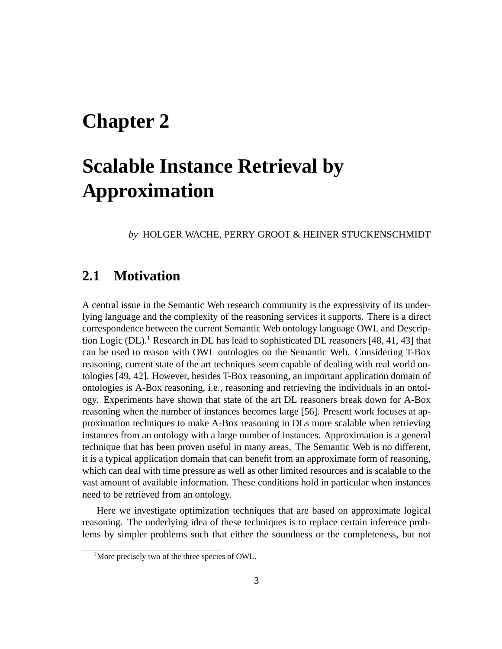# **Chapter 2**

# **Scalable Instance Retrieval by Approximation**

*by* HOLGER WACHE, PERRY GROOT & HEINER STUCKENSCHMIDT

# **2.1 Motivation**

A central issue in the Semantic Web research community is the expressivity of its underlying language and the complexity of the reasoning services it supports. There is a direct correspondence between the current Semantic Web ontology language OWL and Description Logic (DL).<sup>1</sup> Research in DL has lead to sophisticated DL reasoners [48, 41, 43] that can be used to reason with OWL ontologies on the Semantic Web. Considering T-Box reasoning, current state of the art techniques seem capable of dealing with real world ontologies [49, 42]. However, besides T-Box reasoning, an important application domain of ontologies is A-Box reasoning, i.e., reasoning and retrieving the individuals in an ontology. Experiments have shown that state of the art DL reasoners break down for A-Box reasoning when the number of instances becomes large [56]. Present work focuses at approximation techniques to make A-Box reasoning in DLs more scalable when retrieving instances from an ontology with a large number of instances. Approximation is a general technique that has been proven useful in many areas. The Semantic Web is no different, it is a typical application domain that can benefit from an approximate form of reasoning, which can deal with time pressure as well as other limited resources and is scalable to the vast amount of available information. These conditions hold in particular when instances need to be retrieved from an ontology.

Here we investigate optimization techniques that are based on approximate logical reasoning. The underlying idea of these techniques is to replace certain inference problems by simpler problems such that either the soundness or the completeness, but not

<sup>&</sup>lt;sup>1</sup>More precisely two of the three species of OWL.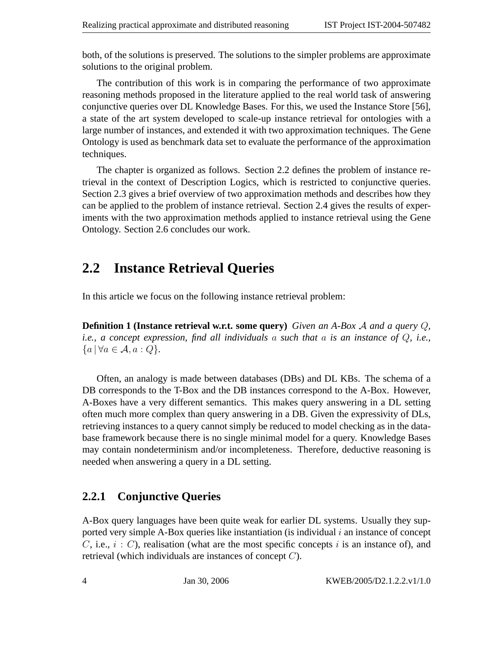both, of the solutions is preserved. The solutions to the simpler problems are approximate solutions to the original problem.

The contribution of this work is in comparing the performance of two approximate reasoning methods proposed in the literature applied to the real world task of answering conjunctive queries over DL Knowledge Bases. For this, we used the Instance Store [56], a state of the art system developed to scale-up instance retrieval for ontologies with a large number of instances, and extended it with two approximation techniques. The Gene Ontology is used as benchmark data set to evaluate the performance of the approximation techniques.

The chapter is organized as follows. Section 2.2 defines the problem of instance retrieval in the context of Description Logics, which is restricted to conjunctive queries. Section 2.3 gives a brief overview of two approximation methods and describes how they can be applied to the problem of instance retrieval. Section 2.4 gives the results of experiments with the two approximation methods applied to instance retrieval using the Gene Ontology. Section 2.6 concludes our work.

# **2.2 Instance Retrieval Queries**

In this article we focus on the following instance retrieval problem:

**Definition 1 (Instance retrieval w.r.t. some query)** *Given an A-Box* A *and a query* Q*, i.e., a concept expression, find all individuals* a *such that* a *is an instance of* Q*, i.e.,*  ${a | \forall a \in \mathcal{A}, a : Q}.$ 

Often, an analogy is made between databases (DBs) and DL KBs. The schema of a DB corresponds to the T-Box and the DB instances correspond to the A-Box. However, A-Boxes have a very different semantics. This makes query answering in a DL setting often much more complex than query answering in a DB. Given the expressivity of DLs, retrieving instances to a query cannot simply be reduced to model checking as in the database framework because there is no single minimal model for a query. Knowledge Bases may contain nondeterminism and/or incompleteness. Therefore, deductive reasoning is needed when answering a query in a DL setting.

## **2.2.1 Conjunctive Queries**

A-Box query languages have been quite weak for earlier DL systems. Usually they supported very simple A-Box queries like instantiation (is individual  $i$  an instance of concept C, i.e.,  $i : C$ ), realisation (what are the most specific concepts i is an instance of), and retrieval (which individuals are instances of concept C).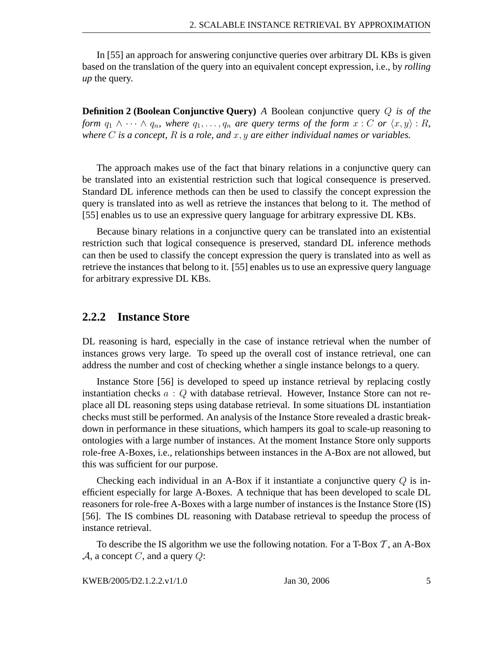In [55] an approach for answering conjunctive queries over arbitrary DL KBs is given based on the translation of the query into an equivalent concept expression, i.e., by *rolling up* the query.

**Definition 2 (Boolean Conjunctive Query)** *A* Boolean conjunctive query Q *is of the form*  $q_1 \wedge \cdots \wedge q_n$ , where  $q_1, \ldots, q_n$  are query terms of the form  $x : C$  or  $\langle x, y \rangle : R$ , *where* C *is a concept,* R *is a role, and* x, y *are either individual names or variables.*

The approach makes use of the fact that binary relations in a conjunctive query can be translated into an existential restriction such that logical consequence is preserved. Standard DL inference methods can then be used to classify the concept expression the query is translated into as well as retrieve the instances that belong to it. The method of [55] enables us to use an expressive query language for arbitrary expressive DL KBs.

Because binary relations in a conjunctive query can be translated into an existential restriction such that logical consequence is preserved, standard DL inference methods can then be used to classify the concept expression the query is translated into as well as retrieve the instances that belong to it. [55] enables us to use an expressive query language for arbitrary expressive DL KBs.

## **2.2.2 Instance Store**

DL reasoning is hard, especially in the case of instance retrieval when the number of instances grows very large. To speed up the overall cost of instance retrieval, one can address the number and cost of checking whether a single instance belongs to a query.

Instance Store [56] is developed to speed up instance retrieval by replacing costly instantiation checks a : Q with database retrieval. However, Instance Store can not replace all DL reasoning steps using database retrieval. In some situations DL instantiation checks must still be performed. An analysis of the Instance Store revealed a drastic breakdown in performance in these situations, which hampers its goal to scale-up reasoning to ontologies with a large number of instances. At the moment Instance Store only supports role-free A-Boxes, i.e., relationships between instances in the A-Box are not allowed, but this was sufficient for our purpose.

Checking each individual in an A-Box if it instantiate a conjunctive query  $Q$  is inefficient especially for large A-Boxes. A technique that has been developed to scale DL reasoners for role-free A-Boxes with a large number of instances is the Instance Store (IS) [56]. The IS combines DL reasoning with Database retrieval to speedup the process of instance retrieval.

To describe the IS algorithm we use the following notation. For a T-Box  $\mathcal T$ , an A-Box  $\mathcal A$ , a concept C, and a query Q:

KWEB/2005/D2.1.2.2.v1/1.0 Jan 30, 2006 5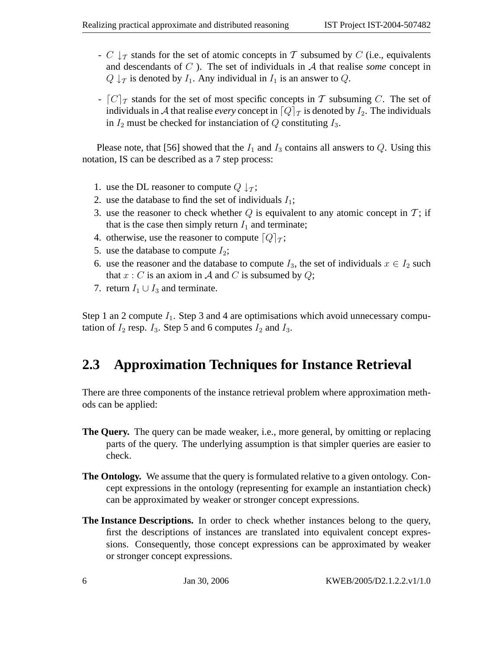- C  $\downarrow$ <sub>T</sub> stands for the set of atomic concepts in T subsumed by C (i.e., equivalents and descendants of  $C$ ). The set of individuals in  $A$  that realise *some* concept in  $Q \downarrow_T$  is denoted by  $I_1$ . Any individual in  $I_1$  is an answer to  $Q$ .
- $[C]_{\tau}$  stands for the set of most specific concepts in T subsuming C. The set of individuals in A that realise *every* concept in  $\lceil Q \rceil \tau$  is denoted by  $I_2$ . The individuals in  $I_2$  must be checked for instanciation of  $Q$  constituting  $I_3$ .

Please note, that [56] showed that the  $I_1$  and  $I_3$  contains all answers to Q. Using this notation, IS can be described as a 7 step process:

- 1. use the DL reasoner to compute  $Q \downarrow_{\mathcal{T}}$ ;
- 2. use the database to find the set of individuals  $I_1$ ;
- 3. use the reasoner to check whether  $Q$  is equivalent to any atomic concept in  $T$ ; if that is the case then simply return  $I_1$  and terminate;
- 4. otherwise, use the reasoner to compute  $\lceil Q \rceil \tau$ ;
- 5. use the database to compute  $I_2$ ;
- 6. use the reasoner and the database to compute  $I_3$ , the set of individuals  $x \in I_2$  such that  $x : C$  is an axiom in A and C is subsumed by  $Q$ ;
- 7. return  $I_1 \cup I_3$  and terminate.

Step 1 an 2 compute  $I_1$ . Step 3 and 4 are optimisations which avoid unnecessary computation of  $I_2$  resp.  $I_3$ . Step 5 and 6 computes  $I_2$  and  $I_3$ .

# **2.3 Approximation Techniques for Instance Retrieval**

There are three components of the instance retrieval problem where approximation methods can be applied:

- **The Query.** The query can be made weaker, i.e., more general, by omitting or replacing parts of the query. The underlying assumption is that simpler queries are easier to check.
- **The Ontology.** We assume that the query is formulated relative to a given ontology. Concept expressions in the ontology (representing for example an instantiation check) can be approximated by weaker or stronger concept expressions.
- **The Instance Descriptions.** In order to check whether instances belong to the query, first the descriptions of instances are translated into equivalent concept expressions. Consequently, those concept expressions can be approximated by weaker or stronger concept expressions.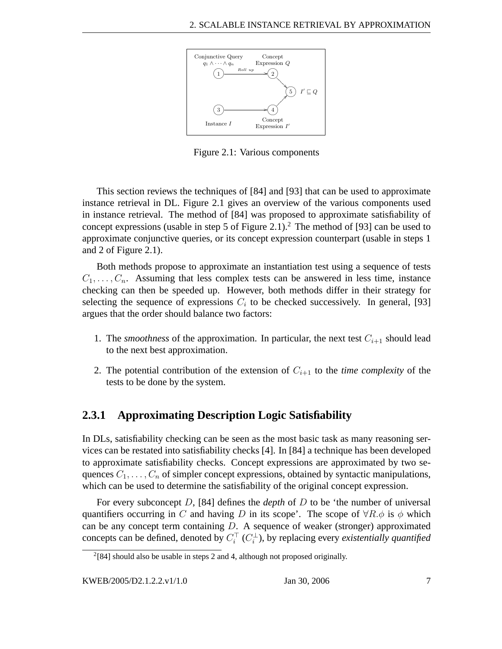

Figure 2.1: Various components

This section reviews the techniques of [84] and [93] that can be used to approximate instance retrieval in DL. Figure 2.1 gives an overview of the various components used in instance retrieval. The method of [84] was proposed to approximate satisfiability of concept expressions (usable in step 5 of Figure 2.1).<sup>2</sup> The method of [93] can be used to approximate conjunctive queries, or its concept expression counterpart (usable in steps 1 and 2 of Figure 2.1).

Both methods propose to approximate an instantiation test using a sequence of tests  $C_1, \ldots, C_n$ . Assuming that less complex tests can be answered in less time, instance checking can then be speeded up. However, both methods differ in their strategy for selecting the sequence of expressions  $C_i$  to be checked successively. In general, [93] argues that the order should balance two factors:

- 1. The *smoothness* of the approximation. In particular, the next test  $C_{i+1}$  should lead to the next best approximation.
- 2. The potential contribution of the extension of  $C_{i+1}$  to the *time complexity* of the tests to be done by the system.

## **2.3.1 Approximating Description Logic Satisfiability**

In DLs, satisfiability checking can be seen as the most basic task as many reasoning services can be restated into satisfiability checks [4]. In [84] a technique has been developed to approximate satisfiability checks. Concept expressions are approximated by two sequences  $C_1, \ldots, C_n$  of simpler concept expressions, obtained by syntactic manipulations, which can be used to determine the satisfiability of the original concept expression.

For every subconcept D, [84] defines the *depth* of D to be 'the number of universal quantifiers occurring in C and having D in its scope'. The scope of  $\forall R.\phi$  is  $\phi$  which can be any concept term containing  $D$ . A sequence of weaker (stronger) approximated concepts can be defined, denoted by  $C_i^{\top}$  ( $C_i^{\perp}$ ), by replacing every *existentially quantified* 

 $2[84]$  should also be usable in steps 2 and 4, although not proposed originally.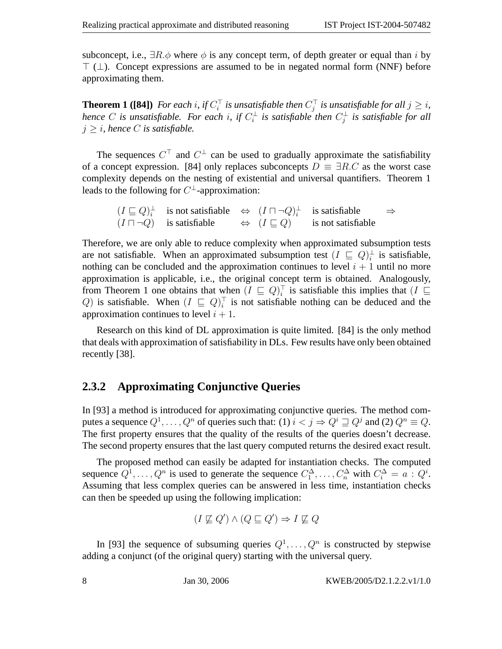subconcept, i.e.,  $\exists R.\phi$  where  $\phi$  is any concept term, of depth greater or equal than i by  $\top$  ( $\bot$ ). Concept expressions are assumed to be in negated normal form (NNF) before approximating them.

**Theorem 1** ([84]) For each i, if  $C_i^{\top}$  is unsatisfiable then  $C_j^{\top}$  is unsatisfiable for all  $j \geq i$ , *hence* C is unsatisfiable. For each i, if  $C_i^{\perp}$  is satisfiable then  $C_j^{\perp}$  is satisfiable for all  $j > i$ , hence C is satisfiable.

The sequences  $C^{\top}$  and  $C^{\perp}$  can be used to gradually approximate the satisfiability of a concept expression. [84] only replaces subconcepts  $D = \exists R.C$  as the worst case complexity depends on the nesting of existential and universal quantifiers. Theorem 1 leads to the following for  $C^{\perp}$ -approximation:

| $(I \sqsubseteq Q)^{\perp}$ is not satisfiable $\Leftrightarrow (I \sqcap \neg Q)^{\perp}$ is satisfiable |                                       |                    | $\Rightarrow$ |
|-----------------------------------------------------------------------------------------------------------|---------------------------------------|--------------------|---------------|
| $(I \sqcap \neg Q)$ is satisfiable                                                                        | $\Leftrightarrow$ $(I \sqsubseteq Q)$ | is not satisfiable |               |

Therefore, we are only able to reduce complexity when approximated subsumption tests are not satisfiable. When an approximated subsumption test  $(I \subseteq Q)^{\perp}$  is satisfiable, nothing can be concluded and the approximation continues to level  $i + 1$  until no more approximation is applicable, i.e., the original concept term is obtained. Analogously, from Theorem 1 one obtains that when  $(I \subseteq Q)$ <sup>T</sup> is satisfiable this implies that  $(I \subseteq$ Q) is satisfiable. When  $(I \subseteq Q)$ <sup>T</sup> is not satisfiable nothing can be deduced and the approximation continues to level  $i + 1$ .

Research on this kind of DL approximation is quite limited. [84] is the only method that deals with approximation of satisfiability in DLs. Few results have only been obtained recently [38].

## **2.3.2 Approximating Conjunctive Queries**

In [93] a method is introduced for approximating conjunctive queries. The method computes a sequence  $Q^1,\ldots,Q^n$  of queries such that: (1)  $i < j \Rightarrow Q^i \sqsupseteq Q^j$  and (2)  $Q^n \equiv Q.$ The first property ensures that the quality of the results of the queries doesn't decrease. The second property ensures that the last query computed returns the desired exact result.

The proposed method can easily be adapted for instantiation checks. The computed sequence  $Q^1, \ldots, Q^n$  is used to generate the sequence  $C_1^{\Delta}, \ldots, C_n^{\Delta}$  with  $C_i^{\Delta} = a : Q^i$ . Assuming that less complex queries can be answered in less time, instantiation checks can then be speeded up using the following implication:

$$
(I \not\sqsubseteq Q') \land (Q \sqsubseteq Q') \Rightarrow I \not\sqsubseteq Q
$$

In [93] the sequence of subsuming queries  $Q^1, \ldots, Q^n$  is constructed by stepwise adding a conjunct (of the original query) starting with the universal query.

8 Jan 30, 2006 KWEB/2005/D2.1.2.2.v1/1.0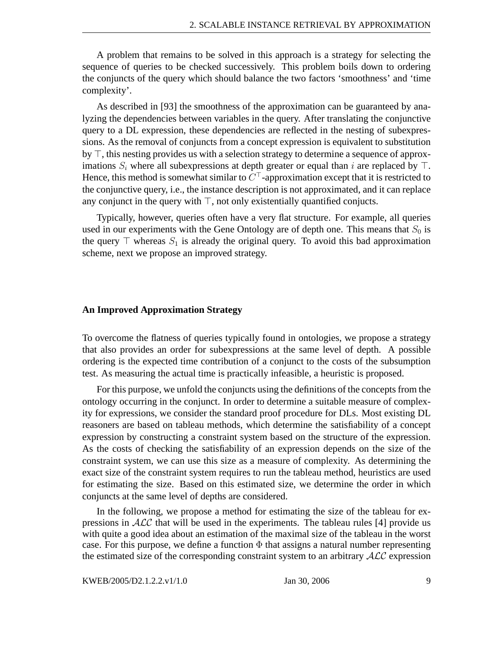A problem that remains to be solved in this approach is a strategy for selecting the sequence of queries to be checked successively. This problem boils down to ordering the conjuncts of the query which should balance the two factors 'smoothness' and 'time complexity'.

As described in [93] the smoothness of the approximation can be guaranteed by analyzing the dependencies between variables in the query. After translating the conjunctive query to a DL expression, these dependencies are reflected in the nesting of subexpressions. As the removal of conjuncts from a concept expression is equivalent to substitution by ⊤, this nesting provides us with a selection strategy to determine a sequence of approximations  $S_i$  where all subexpressions at depth greater or equal than i are replaced by  $\top$ . Hence, this method is somewhat similar to  $C^{\top}$ -approximation except that it is restricted to the conjunctive query, i.e., the instance description is not approximated, and it can replace any conjunct in the query with ⊤, not only existentially quantified conjucts.

Typically, however, queries often have a very flat structure. For example, all queries used in our experiments with the Gene Ontology are of depth one. This means that  $S_0$  is the query  $\top$  whereas  $S_1$  is already the original query. To avoid this bad approximation scheme, next we propose an improved strategy.

### **An Improved Approximation Strategy**

To overcome the flatness of queries typically found in ontologies, we propose a strategy that also provides an order for subexpressions at the same level of depth. A possible ordering is the expected time contribution of a conjunct to the costs of the subsumption test. As measuring the actual time is practically infeasible, a heuristic is proposed.

For this purpose, we unfold the conjuncts using the definitions of the concepts from the ontology occurring in the conjunct. In order to determine a suitable measure of complexity for expressions, we consider the standard proof procedure for DLs. Most existing DL reasoners are based on tableau methods, which determine the satisfiability of a concept expression by constructing a constraint system based on the structure of the expression. As the costs of checking the satisfiability of an expression depends on the size of the constraint system, we can use this size as a measure of complexity. As determining the exact size of the constraint system requires to run the tableau method, heuristics are used for estimating the size. Based on this estimated size, we determine the order in which conjuncts at the same level of depths are considered.

In the following, we propose a method for estimating the size of the tableau for expressions in  $ALC$  that will be used in the experiments. The tableau rules [4] provide us with quite a good idea about an estimation of the maximal size of the tableau in the worst case. For this purpose, we define a function  $\Phi$  that assigns a natural number representing the estimated size of the corresponding constraint system to an arbitrary  $\mathcal{ALC}$  expression

KWEB/2005/D2.1.2.2.v1/1.0 Jan 30, 2006 9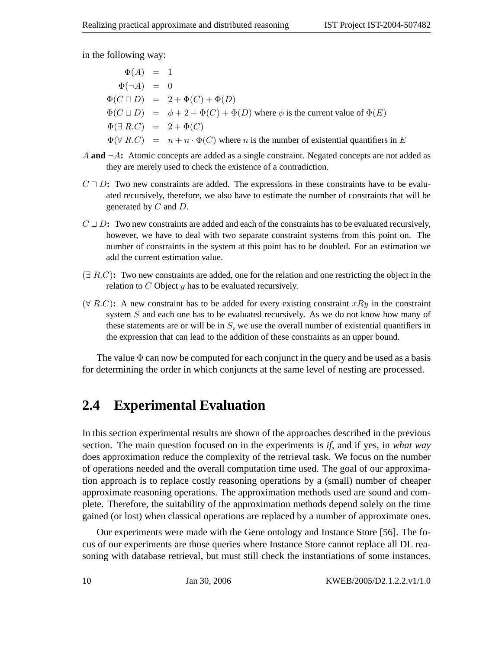in the following way:

$$
\Phi(A) = 1
$$
  
\n
$$
\Phi(\neg A) = 0
$$
  
\n
$$
\Phi(C \sqcap D) = 2 + \Phi(C) + \Phi(D)
$$
  
\n
$$
\Phi(C \sqcup D) = \phi + 2 + \Phi(C) + \Phi(D)
$$
 where  $\phi$  is the current value of  $\Phi(E)$   
\n
$$
\Phi(\exists R.C) = 2 + \Phi(C)
$$
  
\n
$$
\Phi(\forall R.C) = n + n \cdot \Phi(C)
$$
 where *n* is the number of existential quantifiers in *E*

- A **and** ¬A**:** Atomic concepts are added as a single constraint. Negated concepts are not added as they are merely used to check the existence of a contradiction.
- $C \sqcap D$ : Two new constraints are added. The expressions in these constraints have to be evaluated recursively, therefore, we also have to estimate the number of constraints that will be generated by  $C$  and  $D$ .
- $C \sqcup D$ : Two new constraints are added and each of the constraints has to be evaluated recursively, however, we have to deal with two separate constraint systems from this point on. The number of constraints in the system at this point has to be doubled. For an estimation we add the current estimation value.
- (∃ R.C)**:** Two new constraints are added, one for the relation and one restricting the object in the relation to  $C$  Object  $y$  has to be evaluated recursively.
- $(\forall R.C)$ : A new constraint has to be added for every existing constraint xRy in the constraint system S and each one has to be evaluated recursively. As we do not know how many of these statements are or will be in  $S$ , we use the overall number of existential quantifiers in the expression that can lead to the addition of these constraints as an upper bound.

The value  $\Phi$  can now be computed for each conjunct in the query and be used as a basis for determining the order in which conjuncts at the same level of nesting are processed.

# **2.4 Experimental Evaluation**

In this section experimental results are shown of the approaches described in the previous section. The main question focused on in the experiments is *if*, and if yes, in *what way* does approximation reduce the complexity of the retrieval task. We focus on the number of operations needed and the overall computation time used. The goal of our approximation approach is to replace costly reasoning operations by a (small) number of cheaper approximate reasoning operations. The approximation methods used are sound and complete. Therefore, the suitability of the approximation methods depend solely on the time gained (or lost) when classical operations are replaced by a number of approximate ones.

Our experiments were made with the Gene ontology and Instance Store [56]. The focus of our experiments are those queries where Instance Store cannot replace all DL reasoning with database retrieval, but must still check the instantiations of some instances.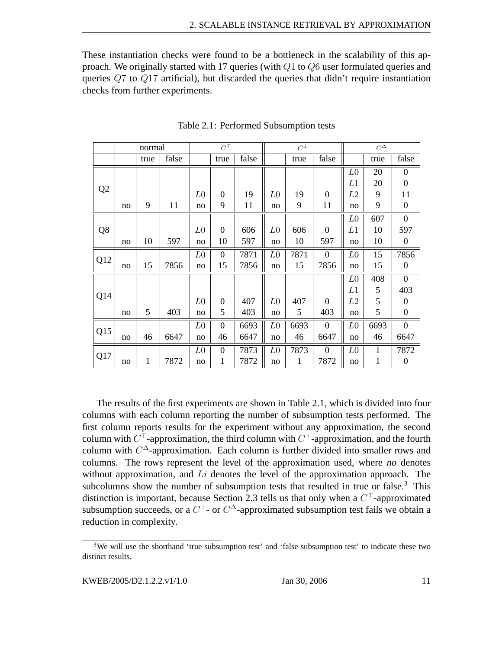These instantiation checks were found to be a bottleneck in the scalability of this approach. We originally started with 17 queries (with  $Q1$  to  $Q6$  user formulated queries and queries Q7 to Q17 artificial), but discarded the queries that didn't require instantiation checks from further experiments.

|     |    | normal |       |                | $C^\top$         |       |                | $C^{\perp}$ |                  |                |      |                  |
|-----|----|--------|-------|----------------|------------------|-------|----------------|-------------|------------------|----------------|------|------------------|
|     |    | true   | false |                | true             | false |                | true        | false            |                | true | false            |
|     |    |        |       |                |                  |       |                |             |                  | L <sub>0</sub> | 20   | $\boldsymbol{0}$ |
| Q2  |    |        |       |                |                  |       |                |             |                  | L1             | 20   | $\overline{0}$   |
|     |    |        |       | L0             | $\boldsymbol{0}$ | 19    | L0             | 19          | $\mathbf{0}$     | L2             | 9    | 11               |
|     | no | 9      | 11    | no             | 9                | 11    | no             | 9           | 11               | no             | 9    | $\overline{0}$   |
|     |    |        |       |                |                  |       |                |             |                  | L0             | 607  | $\overline{0}$   |
| Q8  |    |        |       | L <sub>0</sub> | $\boldsymbol{0}$ | 606   | L0             | 606         | $\boldsymbol{0}$ | L1             | 10   | 597              |
|     | no | 10     | 597   | no             | 10               | 597   | no             | 10          | 597              | no             | 10   | $\boldsymbol{0}$ |
| Q12 |    |        |       | L0             | $\boldsymbol{0}$ | 7871  | L <sub>0</sub> | 7871        | $\boldsymbol{0}$ | L0             | 15   | 7856             |
|     | no | 15     | 7856  | no             | 15               | 7856  | no             | 15          | 7856             | no             | 15   | $\overline{0}$   |
|     |    |        |       |                |                  |       |                |             |                  | L0             | 408  | $\overline{0}$   |
| Q14 |    |        |       |                |                  |       |                |             |                  | L1             | 5    | 403              |
|     |    |        |       | L0             | $\boldsymbol{0}$ | 407   | L0             | 407         | $\overline{0}$   | L2             | 5    | $\theta$         |
|     | no | 5      | 403   | no             | 5                | 403   | no             | 5           | 403              | no             | 5    | $\overline{0}$   |
| Q15 |    |        |       | L0             | $\overline{0}$   | 6693  | L <sub>0</sub> | 6693        | $\boldsymbol{0}$ | L <sub>0</sub> | 6693 | $\overline{0}$   |
|     | no | 46     | 6647  | no             | 46               | 6647  | no             | 46          | 6647             | no             | 46   | 6647             |
| Q17 |    |        |       | L <sub>0</sub> | $\overline{0}$   | 7873  | L <sub>0</sub> | 7873        | $\boldsymbol{0}$ | L0             | 1    | 7872             |
|     | no | 1      | 7872  | no             | $\mathbf{1}$     | 7872  | no             | 1           | 7872             | no             | 1    | $\boldsymbol{0}$ |

Table 2.1: Performed Subsumption tests

The results of the first experiments are shown in Table 2.1, which is divided into four columns with each column reporting the number of subsumption tests performed. The first column reports results for the experiment without any approximation, the second column with  $C^{\top}$ -approximation, the third column with  $C^{\perp}$ -approximation, and the fourth column with  $C^{\Delta}$ -approximation. Each column is further divided into smaller rows and columns. The rows represent the level of the approximation used, where no denotes without approximation, and  $Li$  denotes the level of the approximation approach. The subcolumns show the number of subsumption tests that resulted in true or false.<sup>3</sup> This distinction is important, because Section 2.3 tells us that only when a  $C<sup>T</sup>$ -approximated subsumption succeeds, or a  $C^{\perp}$ - or  $C^{\Delta}$ -approximated subsumption test fails we obtain a reduction in complexity.

<sup>&</sup>lt;sup>3</sup>We will use the shorthand 'true subsumption test' and 'false subsumption test' to indicate these two distinct results.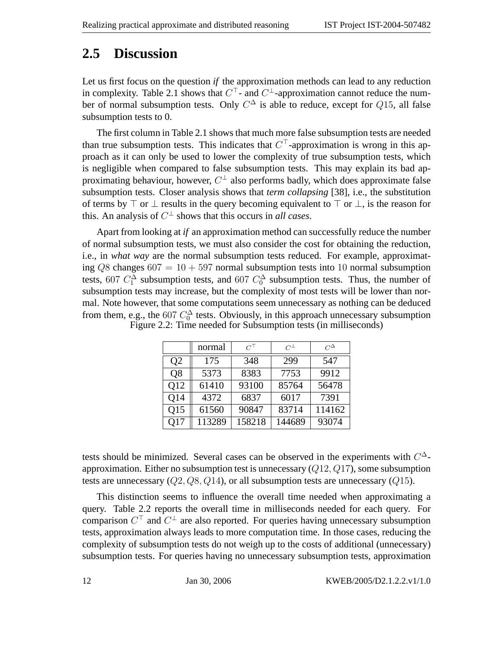# **2.5 Discussion**

Let us first focus on the question *if* the approximation methods can lead to any reduction in complexity. Table 2.1 shows that  $C^{\top}$ - and  $C^{\perp}$ -approximation cannot reduce the number of normal subsumption tests. Only  $C^{\Delta}$  is able to reduce, except for  $Q15$ , all false subsumption tests to 0.

The first column in Table 2.1 shows that much more false subsumption tests are needed than true subsumption tests. This indicates that  $C<sup>T</sup>$ -approximation is wrong in this approach as it can only be used to lower the complexity of true subsumption tests, which is negligible when compared to false subsumption tests. This may explain its bad approximating behaviour, however,  $C^{\perp}$  also performs badly, which does approximate false subsumption tests. Closer analysis shows that *term collapsing* [38], i.e., the substitution of terms by  $\top$  or  $\bot$  results in the query becoming equivalent to  $\top$  or  $\bot$ , is the reason for this. An analysis of  $C^{\perp}$  shows that this occurs in *all cases*.

Apart from looking at *if* an approximation method can successfully reduce the number of normal subsumption tests, we must also consider the cost for obtaining the reduction, i.e., in *what way* are the normal subsumption tests reduced. For example, approximating  $Q8$  changes  $607 = 10 + 597$  normal subsumption tests into 10 normal subsumption tests, 607  $C_1^{\Delta}$  subsumption tests, and 607  $C_0^{\Delta}$  subsumption tests. Thus, the number of subsumption tests may increase, but the complexity of most tests will be lower than normal. Note however, that some computations seem unnecessary as nothing can be deduced from them, e.g., the 607  $C_0^{\Delta}$  tests. Obviously, in this approach unnecessary subsumption Figure 2.2: Time needed for Subsumption tests (in milliseconds)

|                | normal | $C^{\top}$ | $C^{\perp}$ | $C^{\Delta}$ |
|----------------|--------|------------|-------------|--------------|
| Q <sub>2</sub> | 175    | 348        | 299         | 547          |
| <b>O8</b>      | 5373   | 8383       | 7753        | 9912         |
| Q12            | 61410  | 93100      | 85764       | 56478        |
| Q14            | 4372   | 6837       | 6017        | 7391         |
| Q15            | 61560  | 90847      | 83714       | 114162       |
| Q17            | 113289 | 158218     | 144689      | 93074        |

tests should be minimized. Several cases can be observed in the experiments with  $C^{\Delta}$ approximation. Either no subsumption test is unnecessary  $(Q12, Q17)$ , some subsumption tests are unnecessary  $(Q2, Q8, Q14)$ , or all subsumption tests are unnecessary  $(Q15)$ .

This distinction seems to influence the overall time needed when approximating a query. Table 2.2 reports the overall time in milliseconds needed for each query. For comparison  $C^{\top}$  and  $C^{\perp}$  are also reported. For queries having unnecessary subsumption tests, approximation always leads to more computation time. In those cases, reducing the complexity of subsumption tests do not weigh up to the costs of additional (unnecessary) subsumption tests. For queries having no unnecessary subsumption tests, approximation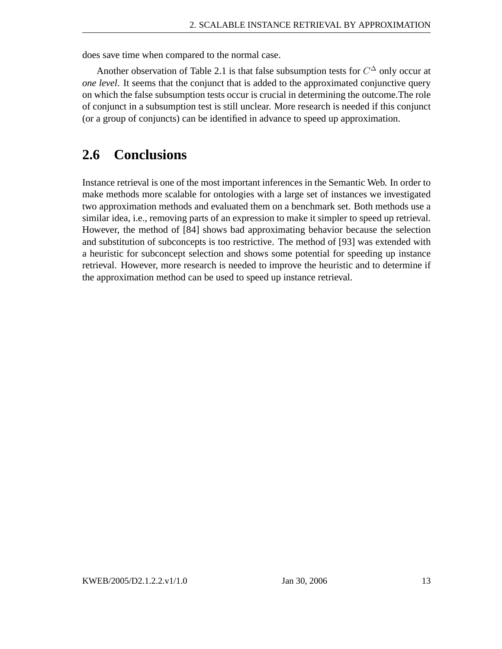does save time when compared to the normal case.

Another observation of Table 2.1 is that false subsumption tests for  $C^{\Delta}$  only occur at *one level*. It seems that the conjunct that is added to the approximated conjunctive query on which the false subsumption tests occur is crucial in determining the outcome.The role of conjunct in a subsumption test is still unclear. More research is needed if this conjunct (or a group of conjuncts) can be identified in advance to speed up approximation.

# **2.6 Conclusions**

Instance retrieval is one of the most important inferences in the Semantic Web. In order to make methods more scalable for ontologies with a large set of instances we investigated two approximation methods and evaluated them on a benchmark set. Both methods use a similar idea, i.e., removing parts of an expression to make it simpler to speed up retrieval. However, the method of [84] shows bad approximating behavior because the selection and substitution of subconcepts is too restrictive. The method of [93] was extended with a heuristic for subconcept selection and shows some potential for speeding up instance retrieval. However, more research is needed to improve the heuristic and to determine if the approximation method can be used to speed up instance retrieval.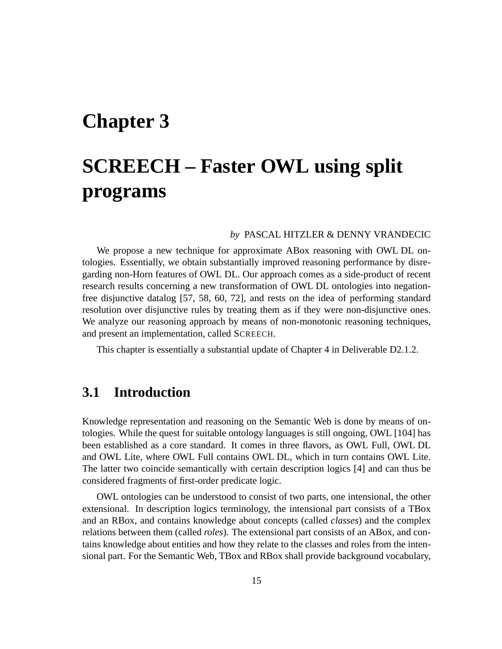# **Chapter 3**

# **SCREECH – Faster OWL using split programs**

#### *by* PASCAL HITZLER & DENNY VRANDECIC

We propose a new technique for approximate ABox reasoning with OWL DL ontologies. Essentially, we obtain substantially improved reasoning performance by disregarding non-Horn features of OWL DL. Our approach comes as a side-product of recent research results concerning a new transformation of OWL DL ontologies into negationfree disjunctive datalog [57, 58, 60, 72], and rests on the idea of performing standard resolution over disjunctive rules by treating them as if they were non-disjunctive ones. We analyze our reasoning approach by means of non-monotonic reasoning techniques, and present an implementation, called SCREECH.

This chapter is essentially a substantial update of Chapter 4 in Deliverable D2.1.2.

## **3.1 Introduction**

Knowledge representation and reasoning on the Semantic Web is done by means of ontologies. While the quest for suitable ontology languages is still ongoing, OWL [104] has been established as a core standard. It comes in three flavors, as OWL Full, OWL DL and OWL Lite, where OWL Full contains OWL DL, which in turn contains OWL Lite. The latter two coincide semantically with certain description logics [4] and can thus be considered fragments of first-order predicate logic.

OWL ontologies can be understood to consist of two parts, one intensional, the other extensional. In description logics terminology, the intensional part consists of a TBox and an RBox, and contains knowledge about concepts (called *classes*) and the complex relations between them (called *roles*). The extensional part consists of an ABox, and contains knowledge about entities and how they relate to the classes and roles from the intensional part. For the Semantic Web, TBox and RBox shall provide background vocabulary,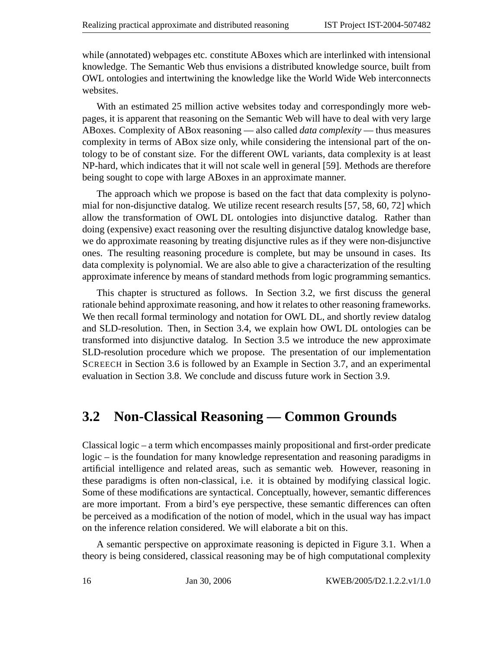while (annotated) webpages etc. constitute ABoxes which are interlinked with intensional knowledge. The Semantic Web thus envisions a distributed knowledge source, built from OWL ontologies and intertwining the knowledge like the World Wide Web interconnects websites.

With an estimated 25 million active websites today and correspondingly more webpages, it is apparent that reasoning on the Semantic Web will have to deal with very large ABoxes. Complexity of ABox reasoning — also called *data complexity* — thus measures complexity in terms of ABox size only, while considering the intensional part of the ontology to be of constant size. For the different OWL variants, data complexity is at least NP-hard, which indicates that it will not scale well in general [59]. Methods are therefore being sought to cope with large ABoxes in an approximate manner.

The approach which we propose is based on the fact that data complexity is polynomial for non-disjunctive datalog. We utilize recent research results [57, 58, 60, 72] which allow the transformation of OWL DL ontologies into disjunctive datalog. Rather than doing (expensive) exact reasoning over the resulting disjunctive datalog knowledge base, we do approximate reasoning by treating disjunctive rules as if they were non-disjunctive ones. The resulting reasoning procedure is complete, but may be unsound in cases. Its data complexity is polynomial. We are also able to give a characterization of the resulting approximate inference by means of standard methods from logic programming semantics.

This chapter is structured as follows. In Section 3.2, we first discuss the general rationale behind approximate reasoning, and how it relates to other reasoning frameworks. We then recall formal terminology and notation for OWL DL, and shortly review datalog and SLD-resolution. Then, in Section 3.4, we explain how OWL DL ontologies can be transformed into disjunctive datalog. In Section 3.5 we introduce the new approximate SLD-resolution procedure which we propose. The presentation of our implementation SCREECH in Section 3.6 is followed by an Example in Section 3.7, and an experimental evaluation in Section 3.8. We conclude and discuss future work in Section 3.9.

# **3.2 Non-Classical Reasoning — Common Grounds**

Classical logic – a term which encompasses mainly propositional and first-order predicate logic – is the foundation for many knowledge representation and reasoning paradigms in artificial intelligence and related areas, such as semantic web. However, reasoning in these paradigms is often non-classical, i.e. it is obtained by modifying classical logic. Some of these modifications are syntactical. Conceptually, however, semantic differences are more important. From a bird's eye perspective, these semantic differences can often be perceived as a modification of the notion of model, which in the usual way has impact on the inference relation considered. We will elaborate a bit on this.

A semantic perspective on approximate reasoning is depicted in Figure 3.1. When a theory is being considered, classical reasoning may be of high computational complexity

16 Jan 30, 2006 KWEB/2005/D2.1.2.2.v1/1.0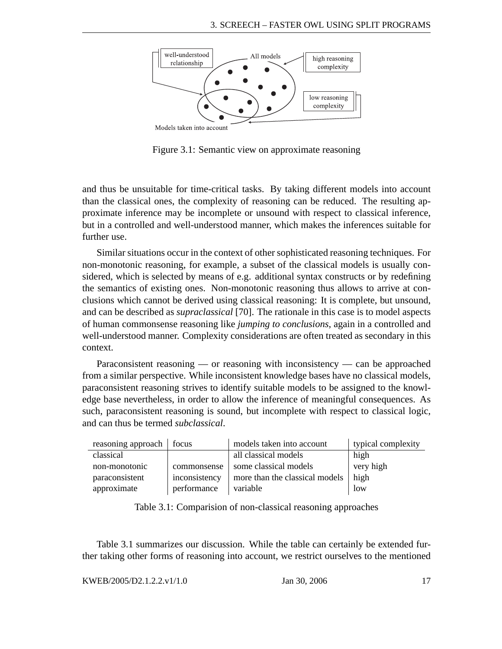

Figure 3.1: Semantic view on approximate reasoning

and thus be unsuitable for time-critical tasks. By taking different models into account than the classical ones, the complexity of reasoning can be reduced. The resulting approximate inference may be incomplete or unsound with respect to classical inference, but in a controlled and well-understood manner, which makes the inferences suitable for further use.

Similar situations occur in the context of other sophisticated reasoning techniques. For non-monotonic reasoning, for example, a subset of the classical models is usually considered, which is selected by means of e.g. additional syntax constructs or by redefining the semantics of existing ones. Non-monotonic reasoning thus allows to arrive at conclusions which cannot be derived using classical reasoning: It is complete, but unsound, and can be described as *supraclassical* [70]. The rationale in this case is to model aspects of human commonsense reasoning like *jumping to conclusions*, again in a controlled and well-understood manner. Complexity considerations are often treated as secondary in this context.

Paraconsistent reasoning — or reasoning with inconsistency — can be approached from a similar perspective. While inconsistent knowledge bases have no classical models, paraconsistent reasoning strives to identify suitable models to be assigned to the knowledge base nevertheless, in order to allow the inference of meaningful consequences. As such, paraconsistent reasoning is sound, but incomplete with respect to classical logic, and can thus be termed *subclassical*.

| reasoning approach | focus         | models taken into account      | typical complexity |
|--------------------|---------------|--------------------------------|--------------------|
| classical          |               | all classical models           | high               |
| non-monotonic      | commonsense   | some classical models          | very high          |
| paraconsistent     | inconsistency | more than the classical models | high               |
| approximate        | performance   | variable                       | low                |

Table 3.1: Comparision of non-classical reasoning approaches

Table 3.1 summarizes our discussion. While the table can certainly be extended further taking other forms of reasoning into account, we restrict ourselves to the mentioned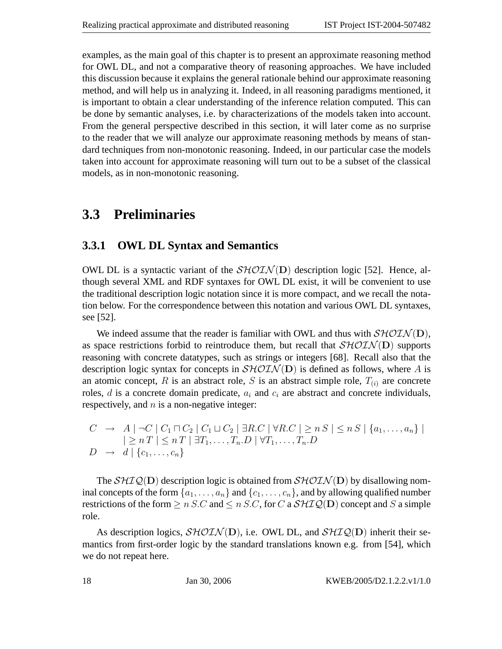examples, as the main goal of this chapter is to present an approximate reasoning method for OWL DL, and not a comparative theory of reasoning approaches. We have included this discussion because it explains the general rationale behind our approximate reasoning method, and will help us in analyzing it. Indeed, in all reasoning paradigms mentioned, it is important to obtain a clear understanding of the inference relation computed. This can be done by semantic analyses, i.e. by characterizations of the models taken into account. From the general perspective described in this section, it will later come as no surprise to the reader that we will analyze our approximate reasoning methods by means of standard techniques from non-monotonic reasoning. Indeed, in our particular case the models taken into account for approximate reasoning will turn out to be a subset of the classical models, as in non-monotonic reasoning.

# **3.3 Preliminaries**

## **3.3.1 OWL DL Syntax and Semantics**

OWL DL is a syntactic variant of the  $\mathcal{SHOIN}(\mathbf{D})$  description logic [52]. Hence, although several XML and RDF syntaxes for OWL DL exist, it will be convenient to use the traditional description logic notation since it is more compact, and we recall the notation below. For the correspondence between this notation and various OWL DL syntaxes, see [52].

We indeed assume that the reader is familiar with OWL and thus with  $\mathcal{SHOLN}(\mathbf{D}),$ as space restrictions forbid to reintroduce them, but recall that  $\mathcal{SHOIN}(\mathbf{D})$  supports reasoning with concrete datatypes, such as strings or integers [68]. Recall also that the description logic syntax for concepts in  $\mathcal{SHOIN}(\mathbf{D})$  is defined as follows, where A is an atomic concept, R is an abstract role, S is an abstract simple role,  $T_{(i)}$  are concrete roles,  $d$  is a concrete domain predicate,  $a_i$  and  $c_i$  are abstract and concrete individuals, respectively, and  $n$  is a non-negative integer:

$$
C \rightarrow A \mid \neg C \mid C_1 \sqcap C_2 \mid C_1 \sqcup C_2 \mid \exists R.C \mid \forall R.C \mid \ge n S \mid \le n S \mid \{a_1, \ldots, a_n\} \mid
$$
  
\n
$$
\mid \ge n T \mid \le n T \mid \exists T_1, \ldots, T_n.D \mid \forall T_1, \ldots, T_n.D
$$
  
\n
$$
D \rightarrow d \mid \{c_1, \ldots, c_n\}
$$

The  $\mathcal{SHIQ}(\mathbf{D})$  description logic is obtained from  $\mathcal{SHOIN}(\mathbf{D})$  by disallowing nominal concepts of the form  $\{a_1, \ldots, a_n\}$  and  $\{c_1, \ldots, c_n\}$ , and by allowing qualified number restrictions of the form  $\geq n$  S.C and  $\leq n$  S.C, for C a  $\mathcal{SHIQ}(\mathbf{D})$  concept and S a simple role.

As description logics,  $\mathcal{SHOLN}(\mathbf{D})$ , i.e. OWL DL, and  $\mathcal{SHIQ}(\mathbf{D})$  inherit their semantics from first-order logic by the standard translations known e.g. from [54], which we do not repeat here.

| Jan 30, 2006 | KWEB/2005/D2.1.2.2.v1/1.0 |
|--------------|---------------------------|
|--------------|---------------------------|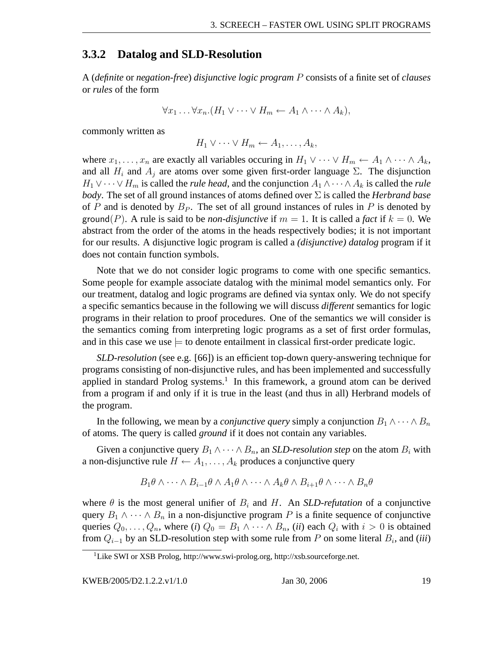## **3.3.2 Datalog and SLD-Resolution**

A (*definite* or *negation-free*) *disjunctive logic program* P consists of a finite set of *clauses* or *rules* of the form

$$
\forall x_1 \ldots \forall x_n. (H_1 \vee \cdots \vee H_m \leftarrow A_1 \wedge \cdots \wedge A_k),
$$

commonly written as

$$
H_1 \vee \cdots \vee H_m \leftarrow A_1, \ldots, A_k,
$$

where  $x_1, \ldots, x_n$  are exactly all variables occuring in  $H_1 \vee \cdots \vee H_m \leftarrow A_1 \wedge \cdots \wedge A_k$ , and all  $H_i$  and  $A_j$  are atoms over some given first-order language  $\Sigma$ . The disjunction  $H_1 \vee \cdots \vee H_m$  is called the *rule head*, and the conjunction  $A_1 \wedge \cdots \wedge A_k$  is called the *rule body*. The set of all ground instances of atoms defined over Σ is called the *Herbrand base* of P and is denoted by  $B<sub>P</sub>$ . The set of all ground instances of rules in P is denoted by ground(P). A rule is said to be *non-disjunctive* if  $m = 1$ . It is called a *fact* if  $k = 0$ . We abstract from the order of the atoms in the heads respectively bodies; it is not important for our results. A disjunctive logic program is called a *(disjunctive) datalog* program if it does not contain function symbols.

Note that we do not consider logic programs to come with one specific semantics. Some people for example associate datalog with the minimal model semantics only. For our treatment, datalog and logic programs are defined via syntax only. We do not specify a specific semantics because in the following we will discuss *different* semantics for logic programs in their relation to proof procedures. One of the semantics we will consider is the semantics coming from interpreting logic programs as a set of first order formulas, and in this case we use  $=$  to denote entailment in classical first-order predicate logic.

*SLD-resolution* (see e.g. [66]) is an efficient top-down query-answering technique for programs consisting of non-disjunctive rules, and has been implemented and successfully applied in standard Prolog systems.<sup>1</sup> In this framework, a ground atom can be derived from a program if and only if it is true in the least (and thus in all) Herbrand models of the program.

In the following, we mean by a *conjunctive query* simply a conjunction  $B_1 \wedge \cdots \wedge B_n$ of atoms. The query is called *ground* if it does not contain any variables.

Given a conjunctive query  $B_1 \wedge \cdots \wedge B_n$ , an *SLD-resolution step* on the atom  $B_i$  with a non-disjunctive rule  $H \leftarrow A_1, \ldots, A_k$  produces a conjunctive query

$$
B_1 \theta \wedge \cdots \wedge B_{i-1} \theta \wedge A_1 \theta \wedge \cdots \wedge A_k \theta \wedge B_{i+1} \theta \wedge \cdots \wedge B_n \theta
$$

where  $\theta$  is the most general unifier of  $B_i$  and H. An *SLD-refutation* of a conjunctive query  $B_1 \wedge \cdots \wedge B_n$  in a non-disjunctive program P is a finite sequence of conjunctive queries  $Q_0, \ldots, Q_n$ , where (*i*)  $Q_0 = B_1 \wedge \cdots \wedge B_n$ , (*ii*) each  $Q_i$  with  $i > 0$  is obtained from  $Q_{i-1}$  by an SLD-resolution step with some rule from P on some literal  $B_i$ , and (*iii*)

<sup>&</sup>lt;sup>1</sup>Like SWI or XSB Prolog, http://www.swi-prolog.org, http://xsb.sourceforge.net.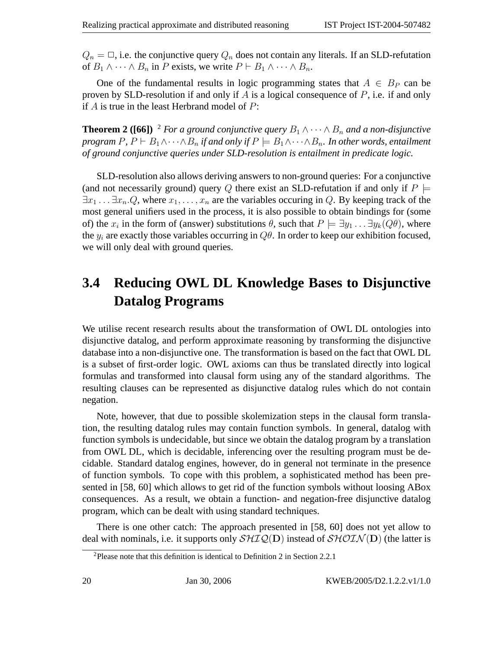$Q_n = \square$ , i.e. the conjunctive query  $Q_n$  does not contain any literals. If an SLD-refutation of  $B_1 \wedge \cdots \wedge B_n$  in P exists, we write  $P \vdash B_1 \wedge \cdots \wedge B_n$ .

One of the fundamental results in logic programming states that  $A \in B_P$  can be proven by SLD-resolution if and only if A is a logical consequence of  $P$ , i.e. if and only if  $A$  is true in the least Herbrand model of  $P$ :

**Theorem 2 ([66])** <sup>2</sup> *For a ground conjunctive query*  $B_1 \wedge \cdots \wedge B_n$  *and a non-disjunctive program*  $P$ ,  $P \vdash B_1 \wedge \cdots \wedge B_n$  *if and only if*  $P \models B_1 \wedge \cdots \wedge B_n$ *. In other words, entailment of ground conjunctive queries under SLD-resolution is entailment in predicate logic.*

SLD-resolution also allows deriving answers to non-ground queries: For a conjunctive (and not necessarily ground) query Q there exist an SLD-refutation if and only if  $P \models$  $\exists x_1 \ldots \exists x_n Q$ , where  $x_1, \ldots, x_n$  are the variables occuring in Q. By keeping track of the most general unifiers used in the process, it is also possible to obtain bindings for (some of) the  $x_i$  in the form of (answer) substitutions  $\theta$ , such that  $P \models \exists y_1 \dots \exists y_k (Q\theta)$ , where the  $y_i$  are exactly those variables occurring in  $Q\theta$ . In order to keep our exhibition focused, we will only deal with ground queries.

# **3.4 Reducing OWL DL Knowledge Bases to Disjunctive Datalog Programs**

We utilise recent research results about the transformation of OWL DL ontologies into disjunctive datalog, and perform approximate reasoning by transforming the disjunctive database into a non-disjunctive one. The transformation is based on the fact that OWL DL is a subset of first-order logic. OWL axioms can thus be translated directly into logical formulas and transformed into clausal form using any of the standard algorithms. The resulting clauses can be represented as disjunctive datalog rules which do not contain negation.

Note, however, that due to possible skolemization steps in the clausal form translation, the resulting datalog rules may contain function symbols. In general, datalog with function symbols is undecidable, but since we obtain the datalog program by a translation from OWL DL, which is decidable, inferencing over the resulting program must be decidable. Standard datalog engines, however, do in general not terminate in the presence of function symbols. To cope with this problem, a sophisticated method has been presented in [58, 60] which allows to get rid of the function symbols without loosing ABox consequences. As a result, we obtain a function- and negation-free disjunctive datalog program, which can be dealt with using standard techniques.

There is one other catch: The approach presented in [58, 60] does not yet allow to deal with nominals, i.e. it supports only  $\mathcal{SHIQ}(D)$  instead of  $\mathcal{SHOLN}(D)$  (the latter is

<sup>&</sup>lt;sup>2</sup>Please note that this definition is identical to Definition 2 in Section 2.2.1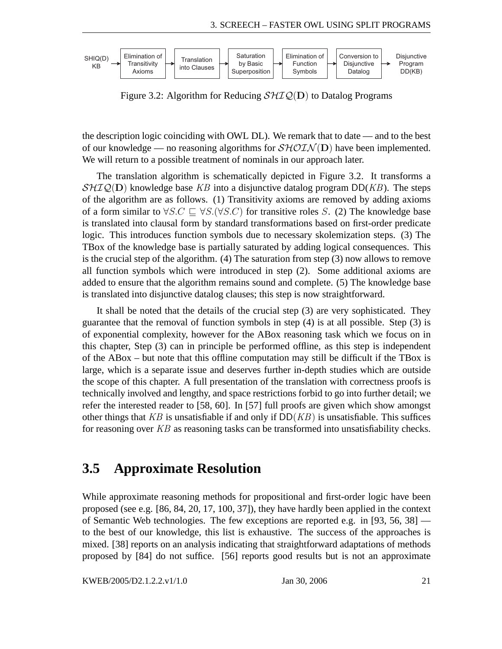

Figure 3.2: Algorithm for Reducing  $\mathcal{SHIQ}(\mathbf{D})$  to Datalog Programs

the description logic coinciding with OWL DL). We remark that to date — and to the best of our knowledge — no reasoning algorithms for  $\mathcal{SHOIN}(\mathbf{D})$  have been implemented. We will return to a possible treatment of nominals in our approach later.

The translation algorithm is schematically depicted in Figure 3.2. It transforms a  $\mathcal{SHIQ}(\mathbf{D})$  knowledge base KB into a disjunctive datalog program DD(KB). The steps of the algorithm are as follows. (1) Transitivity axioms are removed by adding axioms of a form similar to  $\forall S.C \sqsubseteq \forall S.(\forall S.C)$  for transitive roles S. (2) The knowledge base is translated into clausal form by standard transformations based on first-order predicate logic. This introduces function symbols due to necessary skolemization steps. (3) The TBox of the knowledge base is partially saturated by adding logical consequences. This is the crucial step of the algorithm. (4) The saturation from step (3) now allows to remove all function symbols which were introduced in step (2). Some additional axioms are added to ensure that the algorithm remains sound and complete. (5) The knowledge base is translated into disjunctive datalog clauses; this step is now straightforward.

It shall be noted that the details of the crucial step (3) are very sophisticated. They guarantee that the removal of function symbols in step (4) is at all possible. Step (3) is of exponential complexity, however for the ABox reasoning task which we focus on in this chapter, Step (3) can in principle be performed offline, as this step is independent of the ABox – but note that this offline computation may still be difficult if the TBox is large, which is a separate issue and deserves further in-depth studies which are outside the scope of this chapter. A full presentation of the translation with correctness proofs is technically involved and lengthy, and space restrictions forbid to go into further detail; we refer the interested reader to [58, 60]. In [57] full proofs are given which show amongst other things that KB is unsatisfiable if and only if  $DD(KB)$  is unsatisfiable. This suffices for reasoning over KB as reasoning tasks can be transformed into unsatisfiability checks.

# **3.5 Approximate Resolution**

While approximate reasoning methods for propositional and first-order logic have been proposed (see e.g. [86, 84, 20, 17, 100, 37]), they have hardly been applied in the context of Semantic Web technologies. The few exceptions are reported e.g. in [93, 56, 38] to the best of our knowledge, this list is exhaustive. The success of the approaches is mixed. [38] reports on an analysis indicating that straightforward adaptations of methods proposed by [84] do not suffice. [56] reports good results but is not an approximate

KWEB/2005/D2.1.2.2.v1/1.0 Jan 30, 2006 21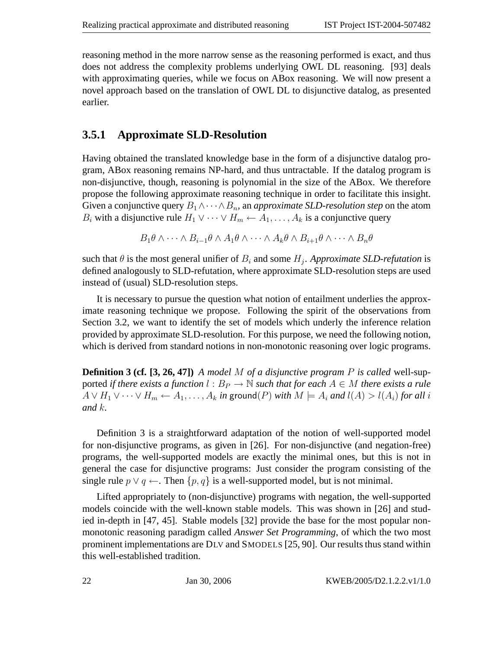reasoning method in the more narrow sense as the reasoning performed is exact, and thus does not address the complexity problems underlying OWL DL reasoning. [93] deals with approximating queries, while we focus on ABox reasoning. We will now present a novel approach based on the translation of OWL DL to disjunctive datalog, as presented earlier.

## **3.5.1 Approximate SLD-Resolution**

Having obtained the translated knowledge base in the form of a disjunctive datalog program, ABox reasoning remains NP-hard, and thus untractable. If the datalog program is non-disjunctive, though, reasoning is polynomial in the size of the ABox. We therefore propose the following approximate reasoning technique in order to facilitate this insight. Given a conjunctive query  $B_1 \wedge \cdots \wedge B_n$ , an *approximate SLD-resolution step* on the atom  $B_i$  with a disjunctive rule  $H_1 \vee \cdots \vee H_m \leftarrow A_1, \ldots, A_k$  is a conjunctive query

$$
B_1 \theta \wedge \cdots \wedge B_{i-1} \theta \wedge A_1 \theta \wedge \cdots \wedge A_k \theta \wedge B_{i+1} \theta \wedge \cdots \wedge B_n \theta
$$

such that  $\theta$  is the most general unifier of  $B_i$  and some  $H_j$ . *Approximate SLD-refutation* is defined analogously to SLD-refutation, where approximate SLD-resolution steps are used instead of (usual) SLD-resolution steps.

It is necessary to pursue the question what notion of entailment underlies the approximate reasoning technique we propose. Following the spirit of the observations from Section 3.2, we want to identify the set of models which underly the inference relation provided by approximate SLD-resolution. For this purpose, we need the following notion, which is derived from standard notions in non-monotonic reasoning over logic programs.

**Definition 3 (cf. [3, 26, 47])** *A model* M *of a disjunctive program* P *is called* well-supported *if there exists a function*  $l : B_P \to \mathbb{N}$  *such that for each*  $A \in M$  *there exists a rule*  $A \vee H_1 \vee \cdots \vee H_m \leftarrow A_1, \ldots, A_k$  in ground(P) with  $M \models A_i$  and  $l(A) > l(A_i)$  for all i *and* k*.*

Definition 3 is a straightforward adaptation of the notion of well-supported model for non-disjunctive programs, as given in [26]. For non-disjunctive (and negation-free) programs, the well-supported models are exactly the minimal ones, but this is not in general the case for disjunctive programs: Just consider the program consisting of the single rule  $p \lor q \leftarrow$ . Then  $\{p, q\}$  is a well-supported model, but is not minimal.

Lifted appropriately to (non-disjunctive) programs with negation, the well-supported models coincide with the well-known stable models. This was shown in [26] and studied in-depth in [47, 45]. Stable models [32] provide the base for the most popular nonmonotonic reasoning paradigm called *Answer Set Programming*, of which the two most prominent implementations are DLV and SMODELS [25, 90]. Our results thus stand within this well-established tradition.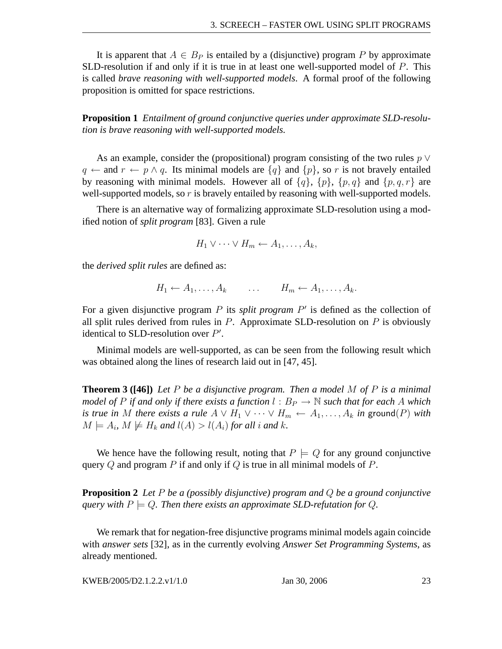It is apparent that  $A \in B_P$  is entailed by a (disjunctive) program P by approximate SLD-resolution if and only if it is true in at least one well-supported model of  $P$ . This is called *brave reasoning with well-supported models*. A formal proof of the following proposition is omitted for space restrictions.

**Proposition 1** *Entailment of ground conjunctive queries under approximate SLD-resolution is brave reasoning with well-supported models.*

As an example, consider the (propositional) program consisting of the two rules  $p \vee p$  $q \leftarrow$  and  $r \leftarrow p \wedge q$ . Its minimal models are  $\{q\}$  and  $\{p\}$ , so r is not bravely entailed by reasoning with minimal models. However all of  $\{q\}$ ,  $\{p\}$ ,  $\{p,q\}$  and  $\{p,q,r\}$  are well-supported models, so  $r$  is bravely entailed by reasoning with well-supported models.

There is an alternative way of formalizing approximate SLD-resolution using a modified notion of *split program* [83]. Given a rule

$$
H_1 \vee \cdots \vee H_m \leftarrow A_1, \ldots, A_k,
$$

the *derived split rules* are defined as:

$$
H_1 \leftarrow A_1, \ldots, A_k \qquad \ldots \qquad H_m \leftarrow A_1, \ldots, A_k.
$$

For a given disjunctive program P its *split program* P' is defined as the collection of all split rules derived from rules in  $P$ . Approximate SLD-resolution on  $P$  is obviously identical to SLD-resolution over  $P'$ .

Minimal models are well-supported, as can be seen from the following result which was obtained along the lines of research laid out in [47, 45].

**Theorem 3 ([46])** *Let* P *be a disjunctive program. Then a model* M *of* P *is a minimal model of* P *if and only if there exists a function*  $l : B_P \to \mathbb{N}$  *such that for each* A *which is true in* M *there exists a rule*  $A \vee H_1 \vee \cdots \vee H_m \leftarrow A_1, \ldots, A_k$  *in* ground(P) *with*  $M \models A_i$ ,  $M \not\models H_k$  and  $l(A) > l(A_i)$  for all i and k.

We hence have the following result, noting that  $P \models Q$  for any ground conjunctive query Q and program P if and only if Q is true in all minimal models of P.

**Proposition 2** *Let* P *be a (possibly disjunctive) program and* Q *be a ground conjunctive query with*  $P \models Q$ . Then there exists an approximate SLD-refutation for Q.

We remark that for negation-free disjunctive programs minimal models again coincide with *answer sets* [32], as in the currently evolving *Answer Set Programming Systems*, as already mentioned.

| Jan 30, 2006 |  |
|--------------|--|
|              |  |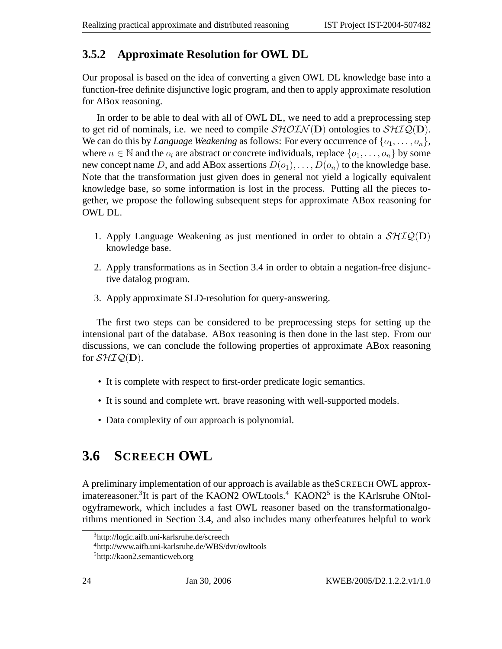# **3.5.2 Approximate Resolution for OWL DL**

Our proposal is based on the idea of converting a given OWL DL knowledge base into a function-free definite disjunctive logic program, and then to apply approximate resolution for ABox reasoning.

In order to be able to deal with all of OWL DL, we need to add a preprocessing step to get rid of nominals, i.e. we need to compile  $\mathcal{SHOIN}(\mathbf{D})$  ontologies to  $\mathcal{SHIQ}(\mathbf{D})$ . We can do this by *Language Weakening* as follows: For every occurrence of  $\{o_1, \ldots, o_n\}$ , where  $n \in \mathbb{N}$  and the  $o_i$  are abstract or concrete individuals, replace  $\{o_1, \ldots, o_n\}$  by some new concept name D, and add ABox assertions  $D(o_1), \ldots, D(o_n)$  to the knowledge base. Note that the transformation just given does in general not yield a logically equivalent knowledge base, so some information is lost in the process. Putting all the pieces together, we propose the following subsequent steps for approximate ABox reasoning for OWL DL.

- 1. Apply Language Weakening as just mentioned in order to obtain a  $\mathcal{SHIQ}(D)$ knowledge base.
- 2. Apply transformations as in Section 3.4 in order to obtain a negation-free disjunctive datalog program.
- 3. Apply approximate SLD-resolution for query-answering.

The first two steps can be considered to be preprocessing steps for setting up the intensional part of the database. ABox reasoning is then done in the last step. From our discussions, we can conclude the following properties of approximate ABox reasoning for  $\mathcal{SHIQ}(\mathbf{D})$ .

- It is complete with respect to first-order predicate logic semantics.
- It is sound and complete wrt. brave reasoning with well-supported models.
- Data complexity of our approach is polynomial.

# **3.6 SCREECH OWL**

A preliminary implementation of our approach is available as theSCREECH OWL approximatereasoner.<sup>3</sup>It is part of the KAON2 OWLtools.<sup>4</sup> KAON2<sup>5</sup> is the KArlsruhe ONtologyframework, which includes a fast OWL reasoner based on the transformationalgorithms mentioned in Section 3.4, and also includes many otherfeatures helpful to work

<sup>3</sup>http://logic.aifb.uni-karlsruhe.de/screech

<sup>4</sup>http://www.aifb.uni-karlsruhe.de/WBS/dvr/owltools

<sup>5</sup>http://kaon2.semanticweb.org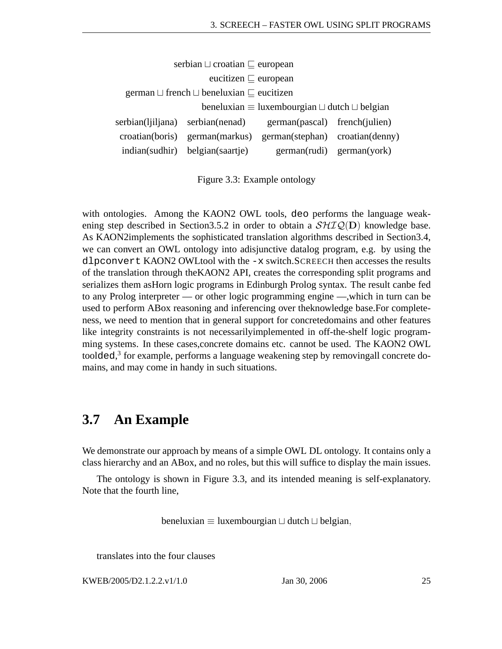| serbian $\sqcup$ croatian $\sqsubseteq$ european                   |                                                                   |                           |
|--------------------------------------------------------------------|-------------------------------------------------------------------|---------------------------|
| eucitizen $\sqsubset$ european                                     |                                                                   |                           |
| german $\sqcup$ french $\sqcup$ beneluxian $\sqsubseteq$ eucitizen |                                                                   |                           |
|                                                                    | beneluxian $\equiv$ luxembourgian $\sqcup$ dutch $\sqcup$ belgian |                           |
| serbian(liliana) serbian(nenad)                                    | german(pascal) french(julien)                                     |                           |
|                                                                    | croatian(boris) german(markus) german(stephan) croatian(denny)    |                           |
| indian(sudhir) belgian(saartje)                                    |                                                                   | german(rudi) german(york) |

Figure 3.3: Example ontology

with ontologies. Among the KAON2 OWL tools, deo performs the language weakening step described in Section3.5.2 in order to obtain a  $\mathcal{SHIQ}(\mathbf{D})$  knowledge base. As KAON2implements the sophisticated translation algorithms described in Section3.4, we can convert an OWL ontology into adisjunctive datalog program, e.g. by using the dlpconvert KAON2 OWLtool with the -x switch.SCREECH then accesses the results of the translation through theKAON2 API, creates the corresponding split programs and serializes them asHorn logic programs in Edinburgh Prolog syntax. The result canbe fed to any Prolog interpreter — or other logic programming engine —,which in turn can be used to perform ABox reasoning and inferencing over theknowledge base.For completeness, we need to mention that in general support for concretedomains and other features like integrity constraints is not necessarilyimplemented in off-the-shelf logic programming systems. In these cases,concrete domains etc. cannot be used. The KAON2 OWL toolded,<sup>3</sup> for example, performs a language weakening step by removingall concrete domains, and may come in handy in such situations.

#### **3.7 An Example**

We demonstrate our approach by means of a simple OWL DL ontology. It contains only a class hierarchy and an ABox, and no roles, but this will suffice to display the main issues.

The ontology is shown in Figure 3.3, and its intended meaning is self-explanatory. Note that the fourth line,

beneluxian ≡ luxembourgian ⊔ dutch ⊔ belgian,

translates into the four clauses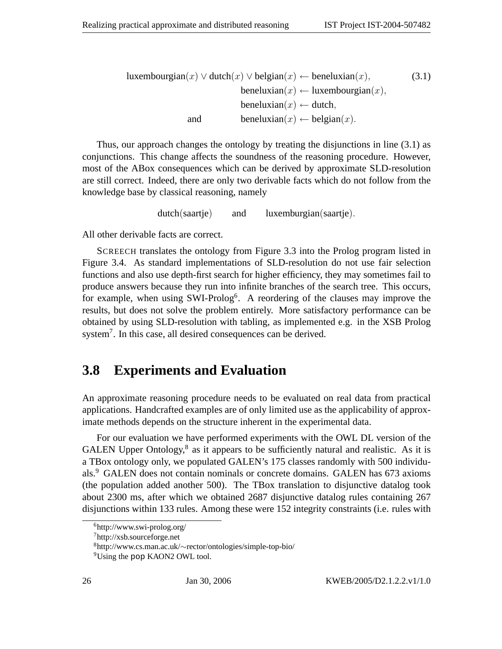$$
\begin{array}{ll}\n\text{luxembourgian}(x) \lor \text{dutch}(x) \lor \text{belgian}(x) \leftarrow \text{beneluxian}(x), & (3.1) \\
& \text{beneluxian}(x) \leftarrow \text{luxembourgian}(x), & \text{beneluxian}(x) \leftarrow \text{dutch}, \\
\text{and} & \text{beneluxian}(x) \leftarrow \text{belgian}(x).\n\end{array}
$$

Thus, our approach changes the ontology by treating the disjunctions in line (3.1) as conjunctions. This change affects the soundness of the reasoning procedure. However, most of the ABox consequences which can be derived by approximate SLD-resolution are still correct. Indeed, there are only two derivable facts which do not follow from the knowledge base by classical reasoning, namely

dutch(saartje) and luxemburgian(saartje).

All other derivable facts are correct.

SCREECH translates the ontology from Figure 3.3 into the Prolog program listed in Figure 3.4. As standard implementations of SLD-resolution do not use fair selection functions and also use depth-first search for higher efficiency, they may sometimes fail to produce answers because they run into infinite branches of the search tree. This occurs, for example, when using SWI-Prolog<sup>6</sup>. A reordering of the clauses may improve the results, but does not solve the problem entirely. More satisfactory performance can be obtained by using SLD-resolution with tabling, as implemented e.g. in the XSB Prolog system<sup>7</sup>. In this case, all desired consequences can be derived.

## **3.8 Experiments and Evaluation**

An approximate reasoning procedure needs to be evaluated on real data from practical applications. Handcrafted examples are of only limited use as the applicability of approximate methods depends on the structure inherent in the experimental data.

For our evaluation we have performed experiments with the OWL DL version of the GALEN Upper Ontology, $8$  as it appears to be sufficiently natural and realistic. As it is a TBox ontology only, we populated GALEN's 175 classes randomly with 500 individuals.<sup>9</sup> GALEN does not contain nominals or concrete domains. GALEN has 673 axioms (the population added another 500). The TBox translation to disjunctive datalog took about 2300 ms, after which we obtained 2687 disjunctive datalog rules containing 267 disjunctions within 133 rules. Among these were 152 integrity constraints (i.e. rules with

<sup>6</sup>http://www.swi-prolog.org/

<sup>7</sup>http://xsb.sourceforge.net

<sup>8</sup>http://www.cs.man.ac.uk/∼rector/ontologies/simple-top-bio/

<sup>&</sup>lt;sup>9</sup>Using the pop KAON2 OWL tool.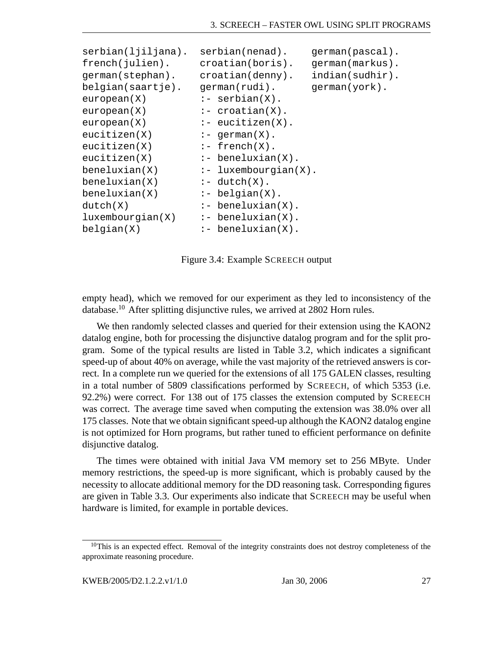| $serbian(ljiljana)$ . | serbian(nenad).            | german(pascal).    |
|-----------------------|----------------------------|--------------------|
| $french(julien)$ .    | $croatian(boris)$ .        | german(markus).    |
| german(stephan).      | $croatian(denny)$ .        | $indian(sudhir)$ . |
| $belgian(saartje)$ .  | $german(rudi)$ .           | $german(york)$ .   |
| european(X)           | $: -$ serbian $(X)$ .      |                    |
| european(X)           | $:$ - croatian $(X)$ .     |                    |
| european(X)           | :- eucitizen(X).           |                    |
| eucitizen(X)          | $: -$ qerman $(X)$ .       |                    |
| eucitizen(X)          | $:-$ french(X).            |                    |
| eucitizen(X)          | $:$ - beneluxian(X).       |                    |
| beneluxian(X)         | $:-$ luxembourgian $(X)$ . |                    |
| beneluxian(X)         | $:-$ dutch $(X)$ .         |                    |
| beneluxian(X)         | $:$ - belgian(X).          |                    |
| dutch(X)              | $:$ - beneluxian(X).       |                    |
| luxembourqian(X)      | $:$ - beneluxian(X).       |                    |
| belgian(X)            | $:$ - beneluxian(X).       |                    |

Figure 3.4: Example SCREECH output

empty head), which we removed for our experiment as they led to inconsistency of the database.<sup>10</sup> After splitting disjunctive rules, we arrived at 2802 Horn rules.

We then randomly selected classes and queried for their extension using the KAON2 datalog engine, both for processing the disjunctive datalog program and for the split program. Some of the typical results are listed in Table 3.2, which indicates a significant speed-up of about 40% on average, while the vast majority of the retrieved answers is correct. In a complete run we queried for the extensions of all 175 GALEN classes, resulting in a total number of 5809 classifications performed by SCREECH, of which 5353 (i.e. 92.2%) were correct. For 138 out of 175 classes the extension computed by SCREECH was correct. The average time saved when computing the extension was 38.0% over all 175 classes. Note that we obtain significant speed-up although the KAON2 datalog engine is not optimized for Horn programs, but rather tuned to efficient performance on definite disjunctive datalog.

The times were obtained with initial Java VM memory set to 256 MByte. Under memory restrictions, the speed-up is more significant, which is probably caused by the necessity to allocate additional memory for the DD reasoning task. Corresponding figures are given in Table 3.3. Our experiments also indicate that SCREECH may be useful when hardware is limited, for example in portable devices.

 $10$ This is an expected effect. Removal of the integrity constraints does not destroy completeness of the approximate reasoning procedure.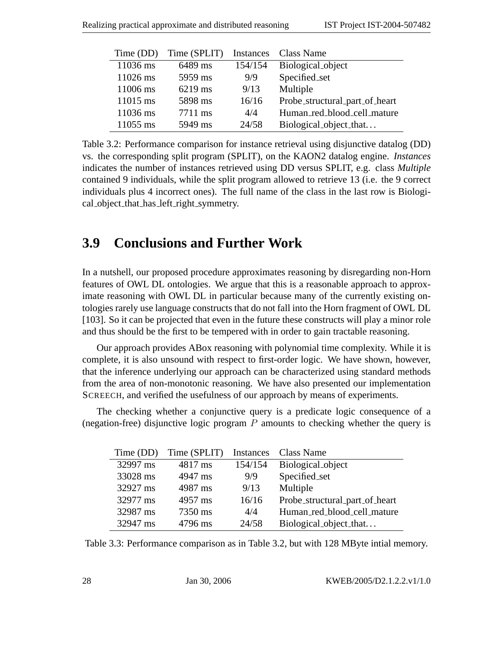| Time (DD)  | Time (SPLIT) | Instances | Class Name                     |
|------------|--------------|-----------|--------------------------------|
| 11036 ms   | 6489 ms      | 154/154   | Biological_object              |
| 11026 ms   | 5959 ms      | 9/9       | Specified_set                  |
| 11006 ms   | $6219$ ms    | 9/13      | Multiple                       |
| $11015$ ms | 5898 ms      | 16/16     | Probe_structural_part_of_heart |
| 11036 ms   | 7711 ms      | 4/4       | Human_red_blood_cell_mature    |
| 11055 ms   | 5949 ms      | 24/58     | Biological_object_that         |

Table 3.2: Performance comparison for instance retrieval using disjunctive datalog (DD) vs. the corresponding split program (SPLIT), on the KAON2 datalog engine. *Instances* indicates the number of instances retrieved using DD versus SPLIT, e.g. class *Multiple* contained 9 individuals, while the split program allowed to retrieve 13 (i.e. the 9 correct individuals plus 4 incorrect ones). The full name of the class in the last row is Biological object that has left right symmetry.

### **3.9 Conclusions and Further Work**

In a nutshell, our proposed procedure approximates reasoning by disregarding non-Horn features of OWL DL ontologies. We argue that this is a reasonable approach to approximate reasoning with OWL DL in particular because many of the currently existing ontologies rarely use language constructs that do not fall into the Horn fragment of OWL DL [103]. So it can be projected that even in the future these constructs will play a minor role and thus should be the first to be tempered with in order to gain tractable reasoning.

Our approach provides ABox reasoning with polynomial time complexity. While it is complete, it is also unsound with respect to first-order logic. We have shown, however, that the inference underlying our approach can be characterized using standard methods from the area of non-monotonic reasoning. We have also presented our implementation SCREECH, and verified the usefulness of our approach by means of experiments.

The checking whether a conjunctive query is a predicate logic consequence of a (negation-free) disjunctive logic program  $P$  amounts to checking whether the query is

| Time (DD) | Time (SPLIT) |         | Instances Class Name           |
|-----------|--------------|---------|--------------------------------|
| 32997 ms  | 4817 ms      | 154/154 | Biological_object              |
| 33028 ms  | 4947 ms      | 9/9     | Specified_set                  |
| 32927 ms  | 4987 ms      | 9/13    | Multiple                       |
| 32977 ms  | 4957 ms      | 16/16   | Probe_structural_part_of_heart |
| 32987 ms  | 7350 ms      | 4/4     | Human_red_blood_cell_mature    |
| 32947 ms  | 4796 ms      | 24/58   | Biological_object_that         |

Table 3.3: Performance comparison as in Table 3.2, but with 128 MByte intial memory.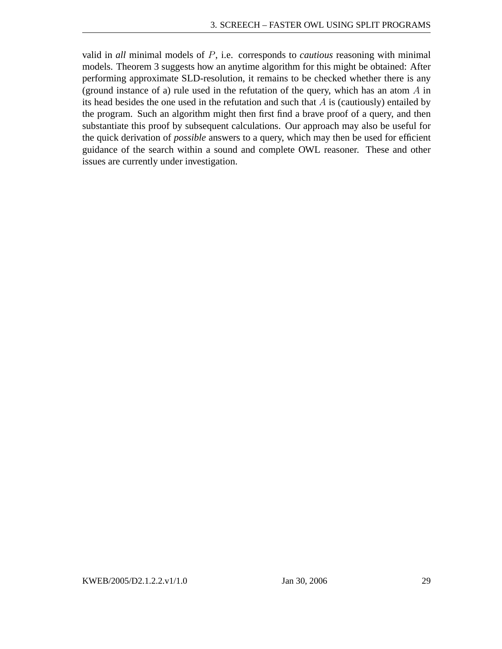valid in *all* minimal models of P, i.e. corresponds to *cautious* reasoning with minimal models. Theorem 3 suggests how an anytime algorithm for this might be obtained: After performing approximate SLD-resolution, it remains to be checked whether there is any (ground instance of a) rule used in the refutation of the query, which has an atom  $A$  in its head besides the one used in the refutation and such that  $A$  is (cautiously) entailed by the program. Such an algorithm might then first find a brave proof of a query, and then substantiate this proof by subsequent calculations. Our approach may also be useful for the quick derivation of *possible* answers to a query, which may then be used for efficient guidance of the search within a sound and complete OWL reasoner. These and other issues are currently under investigation.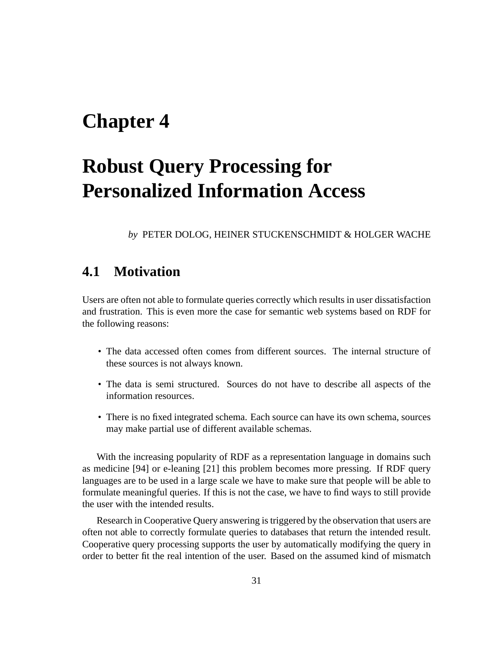# **Chapter 4**

# **Robust Query Processing for Personalized Information Access**

*by* PETER DOLOG, HEINER STUCKENSCHMIDT & HOLGER WACHE

### **4.1 Motivation**

Users are often not able to formulate queries correctly which results in user dissatisfaction and frustration. This is even more the case for semantic web systems based on RDF for the following reasons:

- The data accessed often comes from different sources. The internal structure of these sources is not always known.
- The data is semi structured. Sources do not have to describe all aspects of the information resources.
- There is no fixed integrated schema. Each source can have its own schema, sources may make partial use of different available schemas.

With the increasing popularity of RDF as a representation language in domains such as medicine [94] or e-leaning [21] this problem becomes more pressing. If RDF query languages are to be used in a large scale we have to make sure that people will be able to formulate meaningful queries. If this is not the case, we have to find ways to still provide the user with the intended results.

Research in Cooperative Query answering is triggered by the observation that users are often not able to correctly formulate queries to databases that return the intended result. Cooperative query processing supports the user by automatically modifying the query in order to better fit the real intention of the user. Based on the assumed kind of mismatch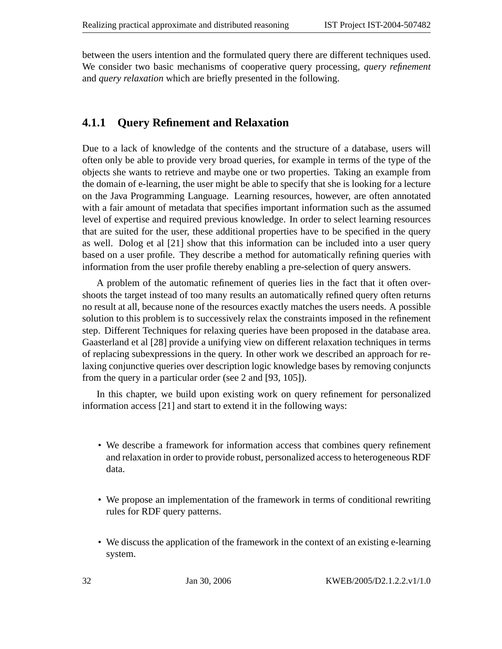between the users intention and the formulated query there are different techniques used. We consider two basic mechanisms of cooperative query processing, *query refinement* and *query relaxation* which are briefly presented in the following.

#### **4.1.1 Query Refinement and Relaxation**

Due to a lack of knowledge of the contents and the structure of a database, users will often only be able to provide very broad queries, for example in terms of the type of the objects she wants to retrieve and maybe one or two properties. Taking an example from the domain of e-learning, the user might be able to specify that she is looking for a lecture on the Java Programming Language. Learning resources, however, are often annotated with a fair amount of metadata that specifies important information such as the assumed level of expertise and required previous knowledge. In order to select learning resources that are suited for the user, these additional properties have to be specified in the query as well. Dolog et al [21] show that this information can be included into a user query based on a user profile. They describe a method for automatically refining queries with information from the user profile thereby enabling a pre-selection of query answers.

A problem of the automatic refinement of queries lies in the fact that it often overshoots the target instead of too many results an automatically refined query often returns no result at all, because none of the resources exactly matches the users needs. A possible solution to this problem is to successively relax the constraints imposed in the refinement step. Different Techniques for relaxing queries have been proposed in the database area. Gaasterland et al [28] provide a unifying view on different relaxation techniques in terms of replacing subexpressions in the query. In other work we described an approach for relaxing conjunctive queries over description logic knowledge bases by removing conjuncts from the query in a particular order (see 2 and [93, 105]).

In this chapter, we build upon existing work on query refinement for personalized information access [21] and start to extend it in the following ways:

- We describe a framework for information access that combines query refinement and relaxation in order to provide robust, personalized access to heterogeneous RDF data.
- We propose an implementation of the framework in terms of conditional rewriting rules for RDF query patterns.
- We discuss the application of the framework in the context of an existing e-learning system.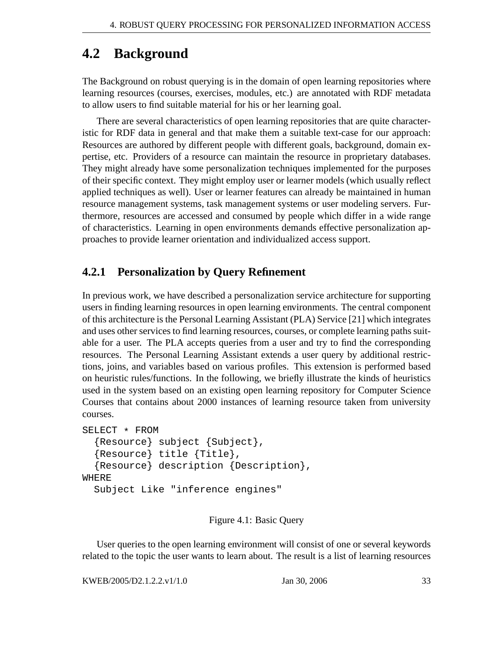## **4.2 Background**

The Background on robust querying is in the domain of open learning repositories where learning resources (courses, exercises, modules, etc.) are annotated with RDF metadata to allow users to find suitable material for his or her learning goal.

There are several characteristics of open learning repositories that are quite characteristic for RDF data in general and that make them a suitable text-case for our approach: Resources are authored by different people with different goals, background, domain expertise, etc. Providers of a resource can maintain the resource in proprietary databases. They might already have some personalization techniques implemented for the purposes of their specific context. They might employ user or learner models (which usually reflect applied techniques as well). User or learner features can already be maintained in human resource management systems, task management systems or user modeling servers. Furthermore, resources are accessed and consumed by people which differ in a wide range of characteristics. Learning in open environments demands effective personalization approaches to provide learner orientation and individualized access support.

### **4.2.1 Personalization by Query Refinement**

In previous work, we have described a personalization service architecture for supporting users in finding learning resources in open learning environments. The central component of this architecture is the Personal Learning Assistant (PLA) Service [21] which integrates and uses other services to find learning resources, courses, or complete learning paths suitable for a user. The PLA accepts queries from a user and try to find the corresponding resources. The Personal Learning Assistant extends a user query by additional restrictions, joins, and variables based on various profiles. This extension is performed based on heuristic rules/functions. In the following, we briefly illustrate the kinds of heuristics used in the system based on an existing open learning repository for Computer Science Courses that contains about 2000 instances of learning resource taken from university courses.

```
SELECT * FROM
  {Resource} subject {Subject},
  {Resource} title {Title},
  {Resource} description {Description},
WHERE
  Subject Like "inference engines"
```
Figure 4.1: Basic Query

User queries to the open learning environment will consist of one or several keywords related to the topic the user wants to learn about. The result is a list of learning resources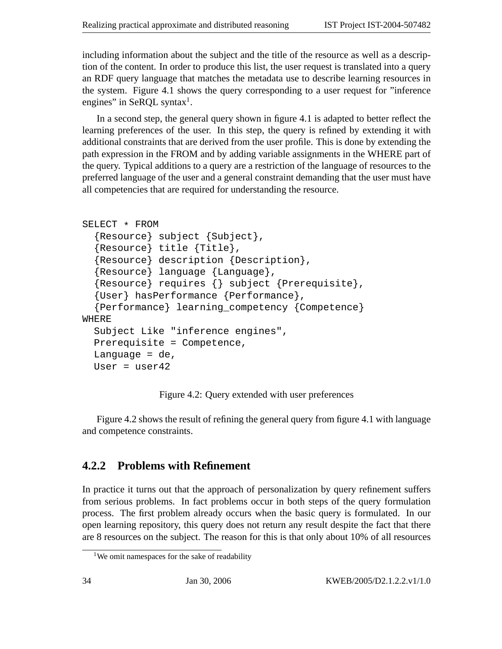including information about the subject and the title of the resource as well as a description of the content. In order to produce this list, the user request is translated into a query an RDF query language that matches the metadata use to describe learning resources in the system. Figure 4.1 shows the query corresponding to a user request for "inference engines" in SeRQL syntax<sup>1</sup>.

In a second step, the general query shown in figure 4.1 is adapted to better reflect the learning preferences of the user. In this step, the query is refined by extending it with additional constraints that are derived from the user profile. This is done by extending the path expression in the FROM and by adding variable assignments in the WHERE part of the query. Typical additions to a query are a restriction of the language of resources to the preferred language of the user and a general constraint demanding that the user must have all competencies that are required for understanding the resource.

```
SELECT * FROM
  {Resource} subject {Subject},
  {Resource} title {Title},
  {Resource} description {Description},
  {Resource} language {Language},
  {Resource} requires {} subject {Prerequisite},
  {User} hasPerformance {Performance},
  {Performance} learning_competency {Competence}
WHERE
  Subject Like "inference engines",
  Prerequisite = Competence,
 Language = de,
 User = user42
```
Figure 4.2: Query extended with user preferences

Figure 4.2 shows the result of refining the general query from figure 4.1 with language and competence constraints.

#### **4.2.2 Problems with Refinement**

In practice it turns out that the approach of personalization by query refinement suffers from serious problems. In fact problems occur in both steps of the query formulation process. The first problem already occurs when the basic query is formulated. In our open learning repository, this query does not return any result despite the fact that there are 8 resources on the subject. The reason for this is that only about 10% of all resources

<sup>&</sup>lt;sup>1</sup>We omit namespaces for the sake of readability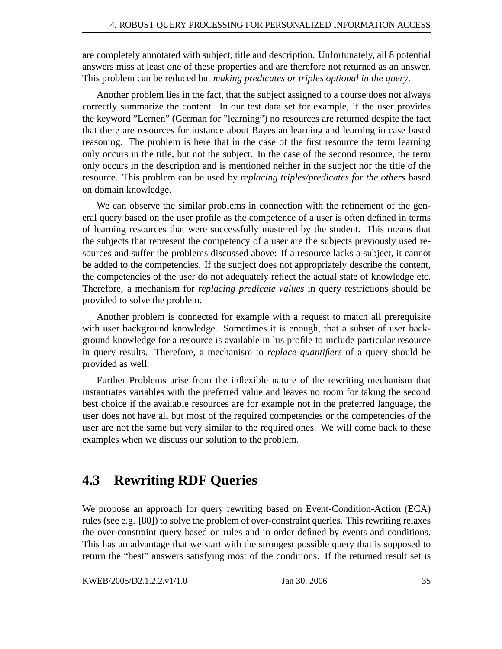are completely annotated with subject, title and description. Unfortunately, all 8 potential answers miss at least one of these properties and are therefore not returned as an answer. This problem can be reduced but *making predicates or triples optional in the query*.

Another problem lies in the fact, that the subject assigned to a course does not always correctly summarize the content. In our test data set for example, if the user provides the keyword "Lernen" (German for "learning") no resources are returned despite the fact that there are resources for instance about Bayesian learning and learning in case based reasoning. The problem is here that in the case of the first resource the term learning only occurs in the title, but not the subject. In the case of the second resource, the term only occurs in the description and is mentioned neither in the subject nor the title of the resource. This problem can be used by *replacing triples/predicates for the others* based on domain knowledge.

We can observe the similar problems in connection with the refinement of the general query based on the user profile as the competence of a user is often defined in terms of learning resources that were successfully mastered by the student. This means that the subjects that represent the competency of a user are the subjects previously used resources and suffer the problems discussed above: If a resource lacks a subject, it cannot be added to the competencies. If the subject does not appropriately describe the content, the competencies of the user do not adequately reflect the actual state of knowledge etc. Therefore, a mechanism for *replacing predicate values* in query restrictions should be provided to solve the problem.

Another problem is connected for example with a request to match all prerequisite with user background knowledge. Sometimes it is enough, that a subset of user background knowledge for a resource is available in his profile to include particular resource in query results. Therefore, a mechanism to *replace quantifiers* of a query should be provided as well.

Further Problems arise from the inflexible nature of the rewriting mechanism that instantiates variables with the preferred value and leaves no room for taking the second best choice if the available resources are for example not in the preferred language, the user does not have all but most of the required competencies or the competencies of the user are not the same but very similar to the required ones. We will come back to these examples when we discuss our solution to the problem.

### **4.3 Rewriting RDF Queries**

We propose an approach for query rewriting based on Event-Condition-Action (ECA) rules (see e.g. [80]) to solve the problem of over-constraint queries. This rewriting relaxes the over-constraint query based on rules and in order defined by events and conditions. This has an advantage that we start with the strongest possible query that is supposed to return the "best" answers satisfying most of the conditions. If the returned result set is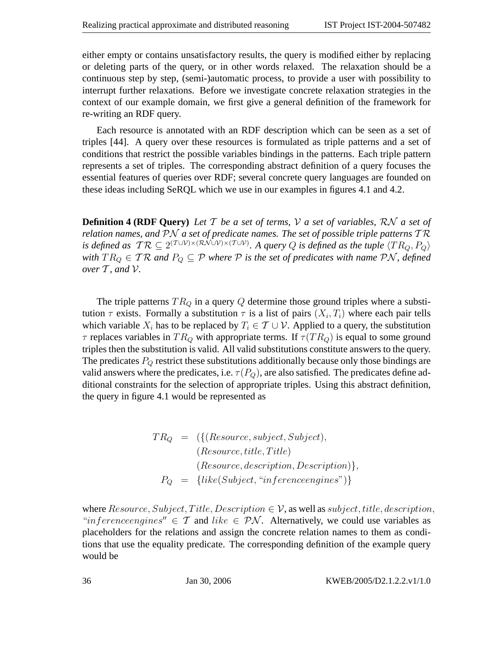either empty or contains unsatisfactory results, the query is modified either by replacing or deleting parts of the query, or in other words relaxed. The relaxation should be a continuous step by step, (semi-)automatic process, to provide a user with possibility to interrupt further relaxations. Before we investigate concrete relaxation strategies in the context of our example domain, we first give a general definition of the framework for re-writing an RDF query.

Each resource is annotated with an RDF description which can be seen as a set of triples [44]. A query over these resources is formulated as triple patterns and a set of conditions that restrict the possible variables bindings in the patterns. Each triple pattern represents a set of triples. The corresponding abstract definition of a query focuses the essential features of queries over RDF; several concrete query languages are founded on these ideas including SeRQL which we use in our examples in figures 4.1 and 4.2.

**Definition 4 (RDF Query)** Let T be a set of terms, V a set of variables, RN a set of *relation names, and* PN *a set of predicate names. The set of possible triple patterns* T R *is defined as*  $TR \subseteq 2^{(T \cup V) \times (R \mathcal{N} \cup V) \times (T \cup V)}$ . A query Q is defined as the tuple  $\langle TR_Q, P_Q \rangle$ *with*  $TR_Q \in TR$  *and*  $P_Q \subseteq P$  *where*  $P$  *is the set of predicates with name*  $PN$ *, defined over*  $T$ *, and*  $V$ *.* 

The triple patterns  $TR_Q$  in a query  $Q$  determine those ground triples where a substitution  $\tau$  exists. Formally a substitution  $\tau$  is a list of pairs  $(X_i, T_i)$  where each pair tells which variable  $X_i$  has to be replaced by  $T_i \in \mathcal{T} \cup \mathcal{V}$ . Applied to a query, the substitution  $\tau$  replaces variables in  $TR_Q$  with appropriate terms. If  $\tau (TR_Q)$  is equal to some ground triples then the substitution is valid. All valid substitutions constitute answers to the query. The predicates  $P_Q$  restrict these substitutions additionally because only those bindings are valid answers where the predicates, i.e.  $\tau(P_Q)$ , are also satisfied. The predicates define additional constraints for the selection of appropriate triples. Using this abstract definition, the query in figure 4.1 would be represented as

$$
TR_Q = (\{(Resource, subject, Subject),\n(Resource, title, Title)\n(Resource, description, Description)\},
$$
  

$$
P_Q = \{like(Subject, "inference engines")\}
$$

where  $Resource, Subject, Title, Description \in V$ , as well as *subject*, *title*, description, "inferenceengines"  $\in \mathcal{T}$  and like  $\in \mathcal{PN}$ . Alternatively, we could use variables as placeholders for the relations and assign the concrete relation names to them as conditions that use the equality predicate. The corresponding definition of the example query would be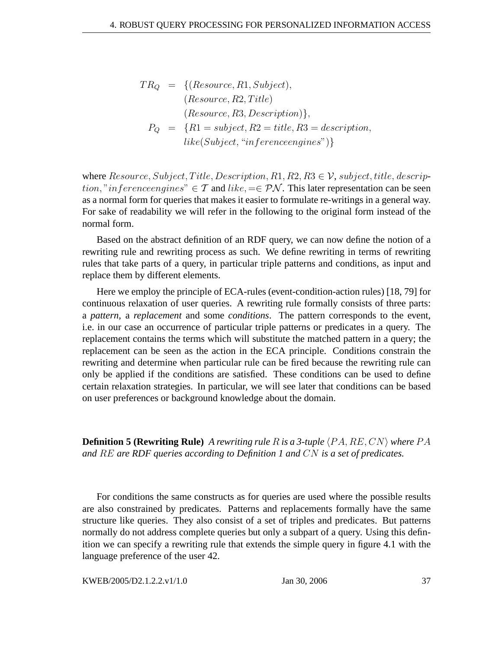$$
TR_Q = \{(Resource, R1, Subject),
$$
  
\n
$$
(Resource, R2, Title)
$$
  
\n
$$
(Resource, R3, Description)\},
$$
  
\n
$$
P_Q = \{R1 = subject, R2 = title, R3 = description,
$$
  
\n
$$
like(Subject, "inference engines")\}
$$

where  $Resource, Subject, Title, Description, R1, R2, R3 \in V$ , subject, title, description, "inferenceengines"  $\in \mathcal{T}$  and like,  $=\in \mathcal{PN}$ . This later representation can be seen as a normal form for queries that makes it easier to formulate re-writings in a general way. For sake of readability we will refer in the following to the original form instead of the normal form.

Based on the abstract definition of an RDF query, we can now define the notion of a rewriting rule and rewriting process as such. We define rewriting in terms of rewriting rules that take parts of a query, in particular triple patterns and conditions, as input and replace them by different elements.

Here we employ the principle of ECA-rules (event-condition-action rules) [18, 79] for continuous relaxation of user queries. A rewriting rule formally consists of three parts: a *pattern*, a *replacement* and some *conditions*. The pattern corresponds to the event, i.e. in our case an occurrence of particular triple patterns or predicates in a query. The replacement contains the terms which will substitute the matched pattern in a query; the replacement can be seen as the action in the ECA principle. Conditions constrain the rewriting and determine when particular rule can be fired because the rewriting rule can only be applied if the conditions are satisfied. These conditions can be used to define certain relaxation strategies. In particular, we will see later that conditions can be based on user preferences or background knowledge about the domain.

**Definition 5 (Rewriting Rule)** *A rewriting rule*  $R$  *is a 3-tuple*  $\langle PA, RE, CN \rangle$  *where*  $PA$ *and* RE *are RDF queries according to Definition 1 and* CN *is a set of predicates.*

For conditions the same constructs as for queries are used where the possible results are also constrained by predicates. Patterns and replacements formally have the same structure like queries. They also consist of a set of triples and predicates. But patterns normally do not address complete queries but only a subpart of a query. Using this definition we can specify a rewriting rule that extends the simple query in figure 4.1 with the language preference of the user 42.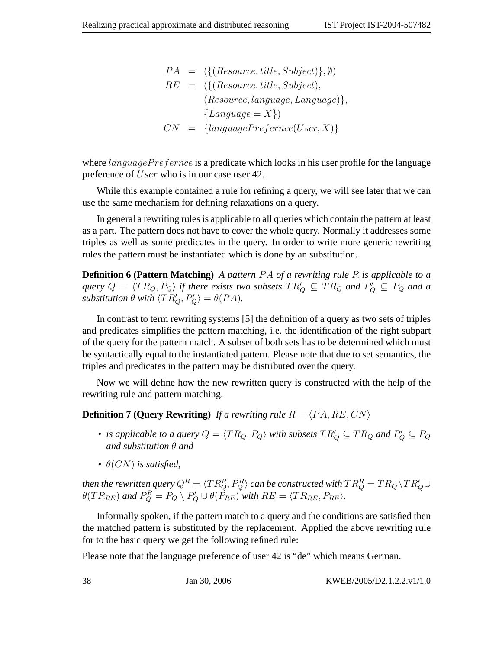$$
PA = (\{(Resource, title, Subject)\}, \emptyset)
$$
  
\n
$$
RE = (\{(Resource, title, Subject),
$$
  
\n
$$
(Resource, language, Language)\},
$$
  
\n
$$
\{Language = X\})
$$
  
\n
$$
CN = \{languagePreference(User, X)\}
$$

where  $languagePref$  is a predicate which looks in his user profile for the language preference of *User* who is in our case user 42.

While this example contained a rule for refining a query, we will see later that we can use the same mechanism for defining relaxations on a query.

In general a rewriting rules is applicable to all queries which contain the pattern at least as a part. The pattern does not have to cover the whole query. Normally it addresses some triples as well as some predicates in the query. In order to write more generic rewriting rules the pattern must be instantiated which is done by an substitution.

**Definition 6 (Pattern Matching)** *A pattern PA of a rewriting rule R is applicable to a*  $q$ uery  $Q = \langle TR_Q, P_Q \rangle$  if there exists two subsets  $TR'_Q \subseteq TR_Q$  and  $P'_Q \subseteq P_Q$  and a *substitution*  $\theta$  *with*  $\langle TR'_Q, P'_Q \rangle = \theta(PA)$ *.* 

In contrast to term rewriting systems [5] the definition of a query as two sets of triples and predicates simplifies the pattern matching, i.e. the identification of the right subpart of the query for the pattern match. A subset of both sets has to be determined which must be syntactically equal to the instantiated pattern. Please note that due to set semantics, the triples and predicates in the pattern may be distributed over the query.

Now we will define how the new rewritten query is constructed with the help of the rewriting rule and pattern matching.

**Definition 7 (Query Rewriting)** If a rewriting rule  $R = \langle PA, RE, CN \rangle$ 

- is applicable to a query  $Q = \langle TR_Q, P_Q \rangle$  with subsets  $TR'_Q \subseteq TR_Q$  and  $P'_Q \subseteq P_Q$ *and substitution* θ *and*
- *•* θ(CN) *is satisfied,*

then the rewritten query  $Q^R = \langle TR_Q^R, P_Q^R \rangle$  can be constructed with  $TR_Q^R = TR_Q \backslash TR_Q' \cup$  $\theta(T R_{RE})$  and  $P_Q^R = P_Q \setminus P_Q' \cup \theta(P_{RE})$  with  $RE = \langle TR_{RE}, P_{RE} \rangle$ .

Informally spoken, if the pattern match to a query and the conditions are satisfied then the matched pattern is substituted by the replacement. Applied the above rewriting rule for to the basic query we get the following refined rule:

Please note that the language preference of user 42 is "de" which means German.

|  | 38 | Jan 30, 2006 | KWEB/2005/D2.1.2.2.v1/1.0 |
|--|----|--------------|---------------------------|
|--|----|--------------|---------------------------|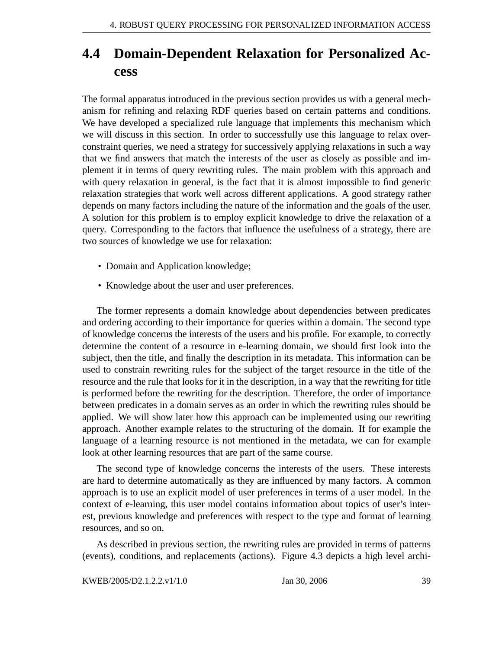## **4.4 Domain-Dependent Relaxation for Personalized Access**

The formal apparatus introduced in the previous section provides us with a general mechanism for refining and relaxing RDF queries based on certain patterns and conditions. We have developed a specialized rule language that implements this mechanism which we will discuss in this section. In order to successfully use this language to relax overconstraint queries, we need a strategy for successively applying relaxations in such a way that we find answers that match the interests of the user as closely as possible and implement it in terms of query rewriting rules. The main problem with this approach and with query relaxation in general, is the fact that it is almost impossible to find generic relaxation strategies that work well across different applications. A good strategy rather depends on many factors including the nature of the information and the goals of the user. A solution for this problem is to employ explicit knowledge to drive the relaxation of a query. Corresponding to the factors that influence the usefulness of a strategy, there are two sources of knowledge we use for relaxation:

- Domain and Application knowledge;
- Knowledge about the user and user preferences.

The former represents a domain knowledge about dependencies between predicates and ordering according to their importance for queries within a domain. The second type of knowledge concerns the interests of the users and his profile. For example, to correctly determine the content of a resource in e-learning domain, we should first look into the subject, then the title, and finally the description in its metadata. This information can be used to constrain rewriting rules for the subject of the target resource in the title of the resource and the rule that looks for it in the description, in a way that the rewriting for title is performed before the rewriting for the description. Therefore, the order of importance between predicates in a domain serves as an order in which the rewriting rules should be applied. We will show later how this approach can be implemented using our rewriting approach. Another example relates to the structuring of the domain. If for example the language of a learning resource is not mentioned in the metadata, we can for example look at other learning resources that are part of the same course.

The second type of knowledge concerns the interests of the users. These interests are hard to determine automatically as they are influenced by many factors. A common approach is to use an explicit model of user preferences in terms of a user model. In the context of e-learning, this user model contains information about topics of user's interest, previous knowledge and preferences with respect to the type and format of learning resources, and so on.

As described in previous section, the rewriting rules are provided in terms of patterns (events), conditions, and replacements (actions). Figure 4.3 depicts a high level archi-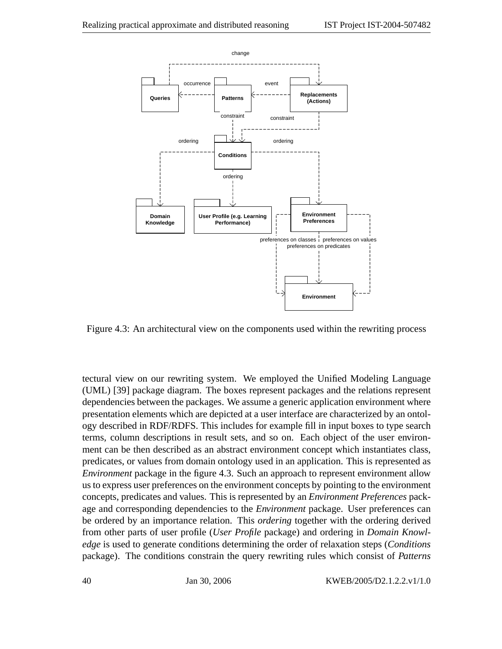

Figure 4.3: An architectural view on the components used within the rewriting process

tectural view on our rewriting system. We employed the Unified Modeling Language (UML) [39] package diagram. The boxes represent packages and the relations represent dependencies between the packages. We assume a generic application environment where presentation elements which are depicted at a user interface are characterized by an ontology described in RDF/RDFS. This includes for example fill in input boxes to type search terms, column descriptions in result sets, and so on. Each object of the user environment can be then described as an abstract environment concept which instantiates class, predicates, or values from domain ontology used in an application. This is represented as *Environment* package in the figure 4.3. Such an approach to represent environment allow us to express user preferences on the environment concepts by pointing to the environment concepts, predicates and values. This is represented by an *Environment Preferences* package and corresponding dependencies to the *Environment* package. User preferences can be ordered by an importance relation. This *ordering* together with the ordering derived from other parts of user profile (*User Profile* package) and ordering in *Domain Knowledge* is used to generate conditions determining the order of relaxation steps (*Conditions* package). The conditions constrain the query rewriting rules which consist of *Patterns*

40 Jan 30, 2006 KWEB/2005/D2.1.2.2.v1/1.0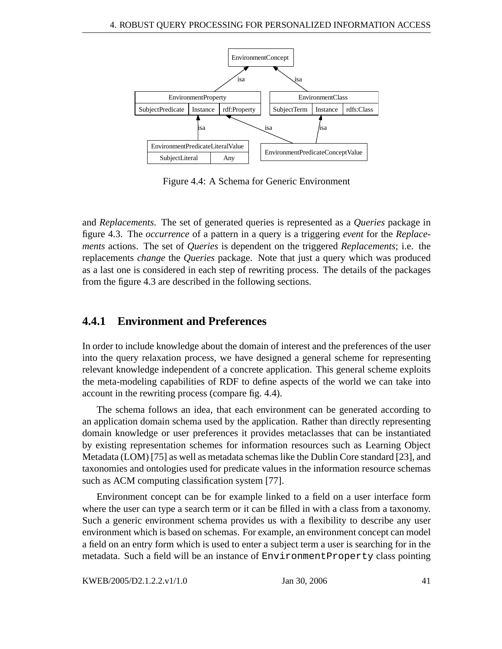

Figure 4.4: A Schema for Generic Environment

and *Replacements*. The set of generated queries is represented as a *Queries* package in figure 4.3. The *occurrence* of a pattern in a query is a triggering *event* for the *Replacements* actions. The set of *Queries* is dependent on the triggered *Replacements*; i.e. the replacements *change* the *Queries* package. Note that just a query which was produced as a last one is considered in each step of rewriting process. The details of the packages from the figure 4.3 are described in the following sections.

#### **4.4.1 Environment and Preferences**

In order to include knowledge about the domain of interest and the preferences of the user into the query relaxation process, we have designed a general scheme for representing relevant knowledge independent of a concrete application. This general scheme exploits the meta-modeling capabilities of RDF to define aspects of the world we can take into account in the rewriting process (compare fig. 4.4).

The schema follows an idea, that each environment can be generated according to an application domain schema used by the application. Rather than directly representing domain knowledge or user preferences it provides metaclasses that can be instantiated by existing representation schemes for information resources such as Learning Object Metadata (LOM) [75] as well as metadata schemas like the Dublin Core standard [23], and taxonomies and ontologies used for predicate values in the information resource schemas such as ACM computing classification system [77].

Environment concept can be for example linked to a field on a user interface form where the user can type a search term or it can be filled in with a class from a taxonomy. Such a generic environment schema provides us with a flexibility to describe any user environment which is based on schemas. For example, an environment concept can model a field on an entry form which is used to enter a subject term a user is searching for in the metadata. Such a field will be an instance of EnvironmentProperty class pointing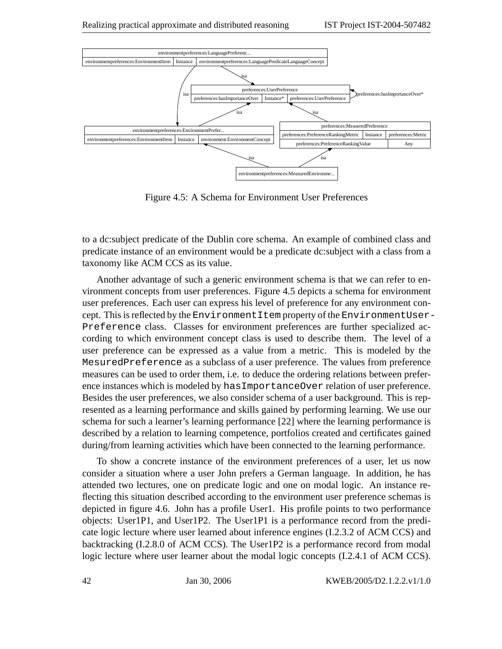

Figure 4.5: A Schema for Environment User Preferences

to a dc:subject predicate of the Dublin core schema. An example of combined class and predicate instance of an environment would be a predicate dc:subject with a class from a taxonomy like ACM CCS as its value.

Another advantage of such a generic environment schema is that we can refer to environment concepts from user preferences. Figure 4.5 depicts a schema for environment user preferences. Each user can express his level of preference for any environment concept. This is reflected by the EnvironmentItem property of the EnvironmentUser-Preference class. Classes for environment preferences are further specialized according to which environment concept class is used to describe them. The level of a user preference can be expressed as a value from a metric. This is modeled by the MesuredPreference as a subclass of a user preference. The values from preference measures can be used to order them, i.e. to deduce the ordering relations between preference instances which is modeled by hasImportanceOver relation of user preference. Besides the user preferences, we also consider schema of a user background. This is represented as a learning performance and skills gained by performing learning. We use our schema for such a learner's learning performance [22] where the learning performance is described by a relation to learning competence, portfolios created and certificates gained during/from learning activities which have been connected to the learning performance.

To show a concrete instance of the environment preferences of a user, let us now consider a situation where a user John prefers a German language. In addition, he has attended two lectures, one on predicate logic and one on modal logic. An instance reflecting this situation described according to the environment user preference schemas is depicted in figure 4.6. John has a profile User1. His profile points to two performance objects: User1P1, and User1P2. The User1P1 is a performance record from the predicate logic lecture where user learned about inference engines (I.2.3.2 of ACM CCS) and backtracking (I.2.8.0 of ACM CCS). The User1P2 is a performance record from modal logic lecture where user learner about the modal logic concepts (I.2.4.1 of ACM CCS).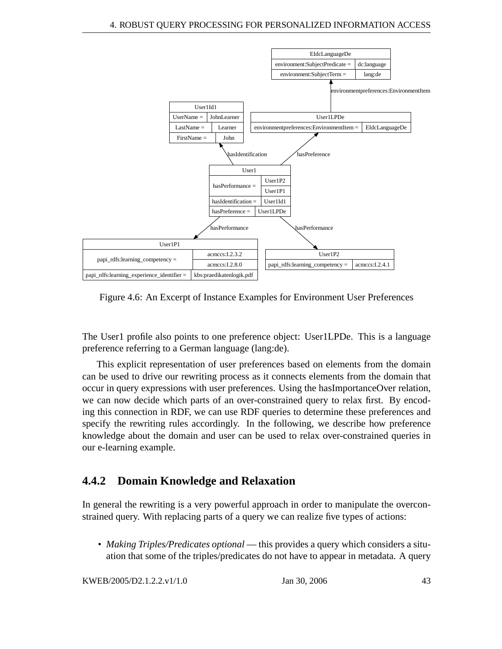

Figure 4.6: An Excerpt of Instance Examples for Environment User Preferences

The User1 profile also points to one preference object: User1LPDe. This is a language preference referring to a German language (lang:de).

This explicit representation of user preferences based on elements from the domain can be used to drive our rewriting process as it connects elements from the domain that occur in query expressions with user preferences. Using the hasImportanceOver relation, we can now decide which parts of an over-constrained query to relax first. By encoding this connection in RDF, we can use RDF queries to determine these preferences and specify the rewriting rules accordingly. In the following, we describe how preference knowledge about the domain and user can be used to relax over-constrained queries in our e-learning example.

#### **4.4.2 Domain Knowledge and Relaxation**

In general the rewriting is a very powerful approach in order to manipulate the overconstrained query. With replacing parts of a query we can realize five types of actions:

• *Making Triples/Predicates optional* — this provides a query which considers a situation that some of the triples/predicates do not have to appear in metadata. A query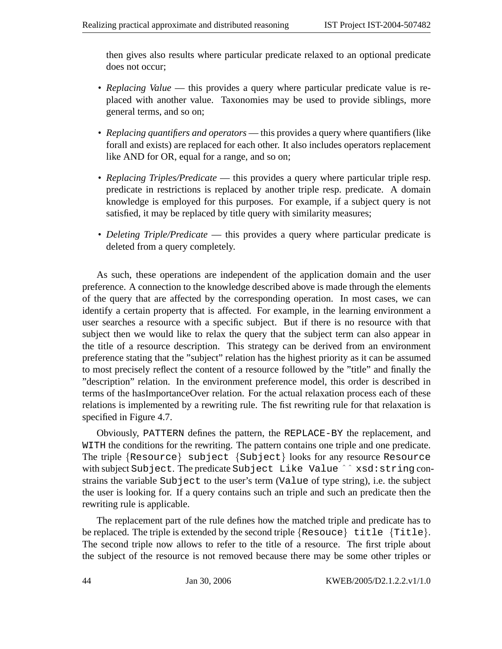then gives also results where particular predicate relaxed to an optional predicate does not occur;

- *Replacing Value* this provides a query where particular predicate value is replaced with another value. Taxonomies may be used to provide siblings, more general terms, and so on;
- *Replacing quantifiers and operators* this provides a query where quantifiers (like forall and exists) are replaced for each other. It also includes operators replacement like AND for OR, equal for a range, and so on;
- *Replacing Triples/Predicate* this provides a query where particular triple resp. predicate in restrictions is replaced by another triple resp. predicate. A domain knowledge is employed for this purposes. For example, if a subject query is not satisfied, it may be replaced by title query with similarity measures;
- *Deleting Triple/Predicate* this provides a query where particular predicate is deleted from a query completely.

As such, these operations are independent of the application domain and the user preference. A connection to the knowledge described above is made through the elements of the query that are affected by the corresponding operation. In most cases, we can identify a certain property that is affected. For example, in the learning environment a user searches a resource with a specific subject. But if there is no resource with that subject then we would like to relax the query that the subject term can also appear in the title of a resource description. This strategy can be derived from an environment preference stating that the "subject" relation has the highest priority as it can be assumed to most precisely reflect the content of a resource followed by the "title" and finally the "description" relation. In the environment preference model, this order is described in terms of the hasImportanceOver relation. For the actual relaxation process each of these relations is implemented by a rewriting rule. The fist rewriting rule for that relaxation is specified in Figure 4.7.

Obviously, PATTERN defines the pattern, the REPLACE-BY the replacement, and WITH the conditions for the rewriting. The pattern contains one triple and one predicate. The triple {Resource} subject {Subject} looks for any resource Resource with subject Subject. The predicate Subject Like Value ^ ^ xsd: string constrains the variable Subject to the user's term (Value of type string), i.e. the subject the user is looking for. If a query contains such an triple and such an predicate then the rewriting rule is applicable.

The replacement part of the rule defines how the matched triple and predicate has to be replaced. The triple is extended by the second triple {Resouce} title {Title}. The second triple now allows to refer to the title of a resource. The first triple about the subject of the resource is not removed because there may be some other triples or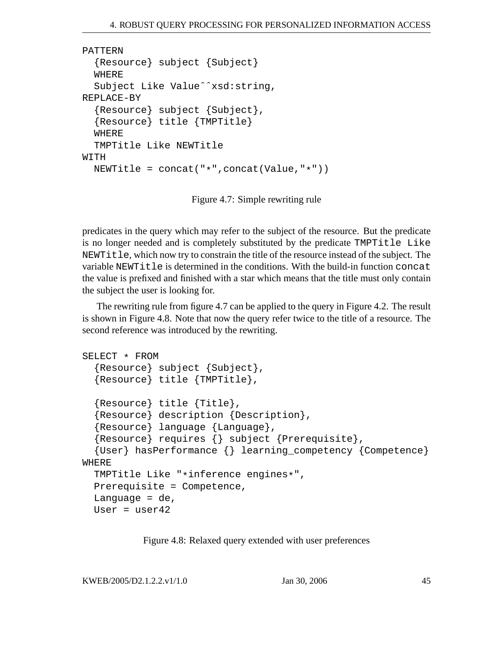```
PATTERN
  {Resource} subject {Subject}
  WHERE
  Subject Like Valueˆˆxsd:string,
REPLACE-BY
  {Resource} subject {Subject},
  {Resource} title {TMPTitle}
  WHERE
  TMPTitle Like NEWTitle
WITH
  NEWTitle = concat("*",concat(Value,"*"))
```
Figure 4.7: Simple rewriting rule

predicates in the query which may refer to the subject of the resource. But the predicate is no longer needed and is completely substituted by the predicate TMPTitle Like NEWTitle, which now try to constrain the title of the resource instead of the subject. The variable NEWTitle is determined in the conditions. With the build-in function concat the value is prefixed and finished with a star which means that the title must only contain the subject the user is looking for.

The rewriting rule from figure 4.7 can be applied to the query in Figure 4.2. The result is shown in Figure 4.8. Note that now the query refer twice to the title of a resource. The second reference was introduced by the rewriting.

```
SELECT * FROM
  {Resource} subject {Subject},
  {Resource} title {TMPTitle},
  {Resource} title {Title},
  {Resource} description {Description},
  {Resource} language {Language},
  {Resource} requires {} subject {Prerequisite},
  {User} hasPerformance {} learning_competency {Competence}
WHERE
  TMPTitle Like "*inference engines*",
  Prerequisite = Competence,
 Language = de,
 User = user42
```
Figure 4.8: Relaxed query extended with user preferences

```
KWEB/2005/D2.1.2.2.v1/1.0 Jan 30, 2006 45
```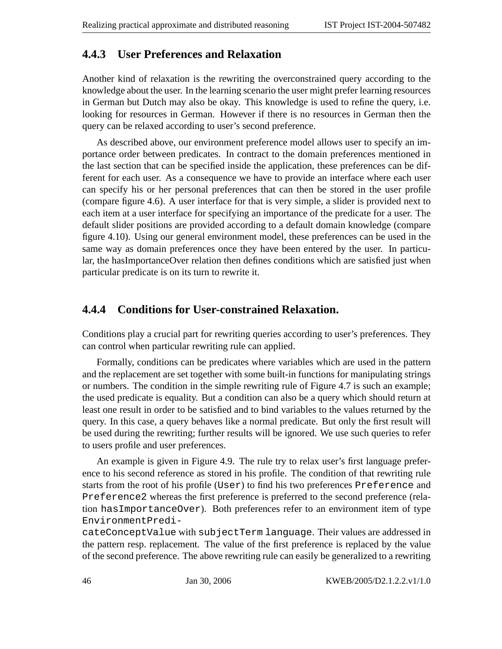#### **4.4.3 User Preferences and Relaxation**

Another kind of relaxation is the rewriting the overconstrained query according to the knowledge about the user. In the learning scenario the user might prefer learning resources in German but Dutch may also be okay. This knowledge is used to refine the query, i.e. looking for resources in German. However if there is no resources in German then the query can be relaxed according to user's second preference.

As described above, our environment preference model allows user to specify an importance order between predicates. In contract to the domain preferences mentioned in the last section that can be specified inside the application, these preferences can be different for each user. As a consequence we have to provide an interface where each user can specify his or her personal preferences that can then be stored in the user profile (compare figure 4.6). A user interface for that is very simple, a slider is provided next to each item at a user interface for specifying an importance of the predicate for a user. The default slider positions are provided according to a default domain knowledge (compare figure 4.10). Using our general environment model, these preferences can be used in the same way as domain preferences once they have been entered by the user. In particular, the hasImportanceOver relation then defines conditions which are satisfied just when particular predicate is on its turn to rewrite it.

#### **4.4.4 Conditions for User-constrained Relaxation.**

Conditions play a crucial part for rewriting queries according to user's preferences. They can control when particular rewriting rule can applied.

Formally, conditions can be predicates where variables which are used in the pattern and the replacement are set together with some built-in functions for manipulating strings or numbers. The condition in the simple rewriting rule of Figure 4.7 is such an example; the used predicate is equality. But a condition can also be a query which should return at least one result in order to be satisfied and to bind variables to the values returned by the query. In this case, a query behaves like a normal predicate. But only the first result will be used during the rewriting; further results will be ignored. We use such queries to refer to users profile and user preferences.

An example is given in Figure 4.9. The rule try to relax user's first language preference to his second reference as stored in his profile. The condition of that rewriting rule starts from the root of his profile (User) to find his two preferences Preference and Preference2 whereas the first preference is preferred to the second preference (relation hasImportanceOver). Both preferences refer to an environment item of type EnvironmentPredi-

cateConceptValue with subjectTerm language. Their values are addressed in the pattern resp. replacement. The value of the first preference is replaced by the value of the second preference. The above rewriting rule can easily be generalized to a rewriting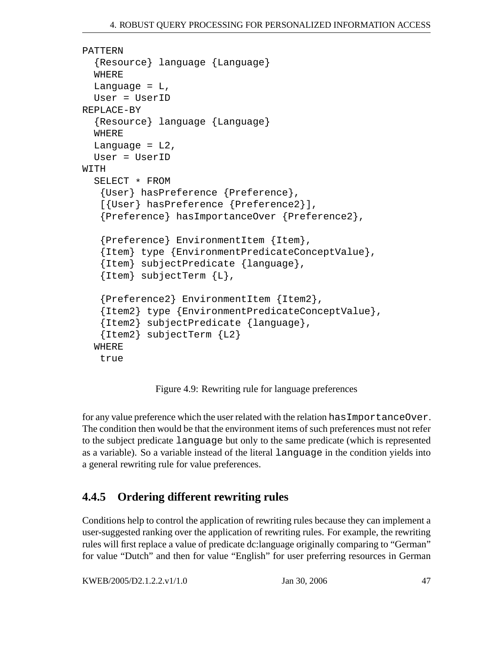```
PATTERN
  {Resource} language {Language}
  WHERE
  Language = L,
  User = UserID
REPLACE-BY
  {Resource} language {Language}
  WHERE
  Language = L2,
  User = UserID
WITH
  SELECT * FROM
   {User} hasPreference {Preference},
   [{User} hasPreference {Preference2}],
   {Preference} hasImportanceOver {Preference2},
   {Preference} EnvironmentItem {Item},
   {Item} type {EnvironmentPredicateConceptValue},
   {Item} subjectPredicate {language},
   {Item} subjectTerm {L},
   {Preference2} EnvironmentItem {Item2},
   {Item2} type {EnvironmentPredicateConceptValue},
   {Item2} subjectPredicate {language},
   {Item2} subjectTerm {L2}
  WHERE
   true
```
Figure 4.9: Rewriting rule for language preferences

for any value preference which the user related with the relation has ImportanceOver. The condition then would be that the environment items of such preferences must not refer to the subject predicate language but only to the same predicate (which is represented as a variable). So a variable instead of the literal language in the condition yields into a general rewriting rule for value preferences.

### **4.4.5 Ordering different rewriting rules**

Conditions help to control the application of rewriting rules because they can implement a user-suggested ranking over the application of rewriting rules. For example, the rewriting rules will first replace a value of predicate dc:language originally comparing to "German" for value "Dutch" and then for value "English" for user preferring resources in German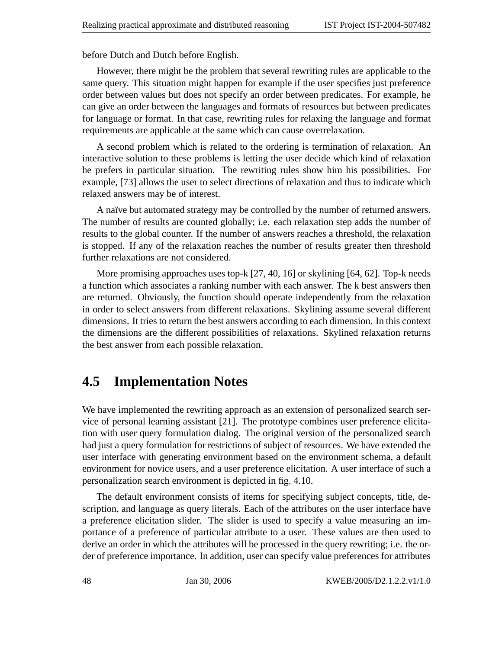before Dutch and Dutch before English.

However, there might be the problem that several rewriting rules are applicable to the same query. This situation might happen for example if the user specifies just preference order between values but does not specify an order between predicates. For example, he can give an order between the languages and formats of resources but between predicates for language or format. In that case, rewriting rules for relaxing the language and format requirements are applicable at the same which can cause overrelaxation.

A second problem which is related to the ordering is termination of relaxation. An interactive solution to these problems is letting the user decide which kind of relaxation he prefers in particular situation. The rewriting rules show him his possibilities. For example, [73] allows the user to select directions of relaxation and thus to indicate which relaxed answers may be of interest.

A naïve but automated strategy may be controlled by the number of returned answers. The number of results are counted globally; i.e. each relaxation step adds the number of results to the global counter. If the number of answers reaches a threshold, the relaxation is stopped. If any of the relaxation reaches the number of results greater then threshold further relaxations are not considered.

More promising approaches uses top-k [27, 40, 16] or skylining [64, 62]. Top-k needs a function which associates a ranking number with each answer. The k best answers then are returned. Obviously, the function should operate independently from the relaxation in order to select answers from different relaxations. Skylining assume several different dimensions. It tries to return the best answers according to each dimension. In this context the dimensions are the different possibilities of relaxations. Skylined relaxation returns the best answer from each possible relaxation.

## **4.5 Implementation Notes**

We have implemented the rewriting approach as an extension of personalized search service of personal learning assistant [21]. The prototype combines user preference elicitation with user query formulation dialog. The original version of the personalized search had just a query formulation for restrictions of subject of resources. We have extended the user interface with generating environment based on the environment schema, a default environment for novice users, and a user preference elicitation. A user interface of such a personalization search environment is depicted in fig. 4.10.

The default environment consists of items for specifying subject concepts, title, description, and language as query literals. Each of the attributes on the user interface have a preference elicitation slider. The slider is used to specify a value measuring an importance of a preference of particular attribute to a user. These values are then used to derive an order in which the attributes will be processed in the query rewriting; i.e. the order of preference importance. In addition, user can specify value preferences for attributes

48 Jan 30, 2006 KWEB/2005/D2.1.2.2.v1/1.0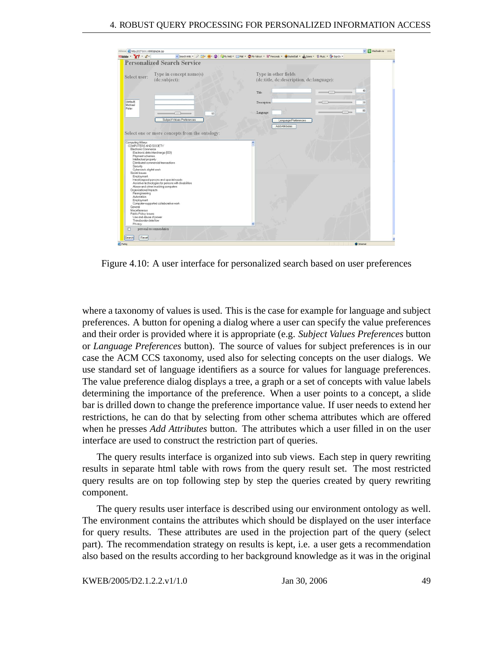| Adresse 2 http://127.0.0.1:8080/pla/pla.jsp                                                   |                                                                                                                    | v D Wechseln zu Links |
|-----------------------------------------------------------------------------------------------|--------------------------------------------------------------------------------------------------------------------|-----------------------|
| $MAddobe - Y! - Q -$                                                                          | v Search Web · 2 団· ● © ロッ Web · 回 Mal · @ My Yahoo! · St Personals · ● Basketball · ▲Games · G Music · 『 Stylin · |                       |
| <b>Personalized Search Service</b>                                                            |                                                                                                                    |                       |
|                                                                                               |                                                                                                                    |                       |
| Type in concept name(s)                                                                       | Type in other fields                                                                                               |                       |
| Select user:<br>(dc:subject):                                                                 | (dc:title, dc:description, dc:language):                                                                           |                       |
|                                                                                               |                                                                                                                    |                       |
|                                                                                               |                                                                                                                    |                       |
|                                                                                               | Title:                                                                                                             | 40                    |
|                                                                                               |                                                                                                                    |                       |
| (default)<br>Michael                                                                          | Description:                                                                                                       | 20                    |
| Peter                                                                                         |                                                                                                                    | 80                    |
| 60                                                                                            | Language:                                                                                                          |                       |
| Subject Values Preferences                                                                    | Language Preferences                                                                                               |                       |
|                                                                                               |                                                                                                                    |                       |
|                                                                                               | Add Attributes                                                                                                     |                       |
| Select one or more concepts from the ontology:                                                |                                                                                                                    |                       |
|                                                                                               |                                                                                                                    |                       |
| Computing Milieux                                                                             |                                                                                                                    |                       |
| COMPUTERS AND SOCIETY                                                                         |                                                                                                                    |                       |
| Electronic Commerce                                                                           |                                                                                                                    |                       |
| Electronic data interchange (EDI)<br>Payment schemes                                          |                                                                                                                    |                       |
| Intellectual property                                                                         |                                                                                                                    |                       |
| Distributed commercial transactions                                                           |                                                                                                                    |                       |
| Security                                                                                      |                                                                                                                    |                       |
| Cybercash, digital cash                                                                       |                                                                                                                    |                       |
| Social Issues                                                                                 |                                                                                                                    |                       |
| <b>Employment</b>                                                                             |                                                                                                                    |                       |
| Handicapped persons and special needs<br>Assistive technologies for persons with disabilities |                                                                                                                    |                       |
|                                                                                               |                                                                                                                    |                       |
|                                                                                               |                                                                                                                    |                       |
| Abuse and crime involving computers                                                           |                                                                                                                    |                       |
| Organizational Impacts                                                                        |                                                                                                                    |                       |
| Reengineering<br>Automotion                                                                   |                                                                                                                    |                       |
| Employment                                                                                    |                                                                                                                    |                       |
| Computer-supported collaborative work                                                         |                                                                                                                    |                       |
| General                                                                                       |                                                                                                                    |                       |
| Miscellaneous                                                                                 |                                                                                                                    |                       |
| Public Policy Issues                                                                          |                                                                                                                    |                       |
| Use and abuse of power                                                                        |                                                                                                                    |                       |
| Transborder data flow<br>Privacy                                                              |                                                                                                                    |                       |
|                                                                                               |                                                                                                                    |                       |
| personal recommendation<br>п                                                                  |                                                                                                                    |                       |
|                                                                                               |                                                                                                                    |                       |
| Reset<br>Search                                                                               |                                                                                                                    |                       |

Figure 4.10: A user interface for personalized search based on user preferences

where a taxonomy of values is used. This is the case for example for language and subject preferences. A button for opening a dialog where a user can specify the value preferences and their order is provided where it is appropriate (e.g. *Subject Values Preferences* button or *Language Preferences* button). The source of values for subject preferences is in our case the ACM CCS taxonomy, used also for selecting concepts on the user dialogs. We use standard set of language identifiers as a source for values for language preferences. The value preference dialog displays a tree, a graph or a set of concepts with value labels determining the importance of the preference. When a user points to a concept, a slide bar is drilled down to change the preference importance value. If user needs to extend her restrictions, he can do that by selecting from other schema attributes which are offered when he presses *Add Attributes* button. The attributes which a user filled in on the user interface are used to construct the restriction part of queries.

The query results interface is organized into sub views. Each step in query rewriting results in separate html table with rows from the query result set. The most restricted query results are on top following step by step the queries created by query rewriting component.

The query results user interface is described using our environment ontology as well. The environment contains the attributes which should be displayed on the user interface for query results. These attributes are used in the projection part of the query (select part). The recommendation strategy on results is kept, i.e. a user gets a recommendation also based on the results according to her background knowledge as it was in the original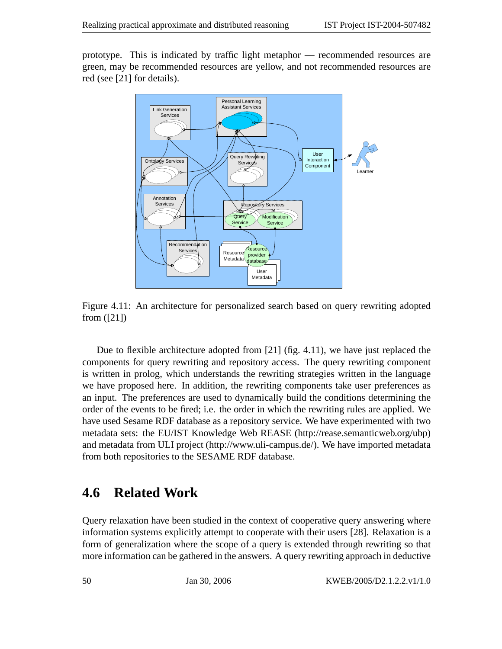prototype. This is indicated by traffic light metaphor — recommended resources are green, may be recommended resources are yellow, and not recommended resources are red (see [21] for details).



Figure 4.11: An architecture for personalized search based on query rewriting adopted from ([21])

Due to flexible architecture adopted from [21] (fig. 4.11), we have just replaced the components for query rewriting and repository access. The query rewriting component is written in prolog, which understands the rewriting strategies written in the language we have proposed here. In addition, the rewriting components take user preferences as an input. The preferences are used to dynamically build the conditions determining the order of the events to be fired; i.e. the order in which the rewriting rules are applied. We have used Sesame RDF database as a repository service. We have experimented with two metadata sets: the EU/IST Knowledge Web REASE (http://rease.semanticweb.org/ubp) and metadata from ULI project (http://www.uli-campus.de/). We have imported metadata from both repositories to the SESAME RDF database.

#### **4.6 Related Work**

Query relaxation have been studied in the context of cooperative query answering where information systems explicitly attempt to cooperate with their users [28]. Relaxation is a form of generalization where the scope of a query is extended through rewriting so that more information can be gathered in the answers. A query rewriting approach in deductive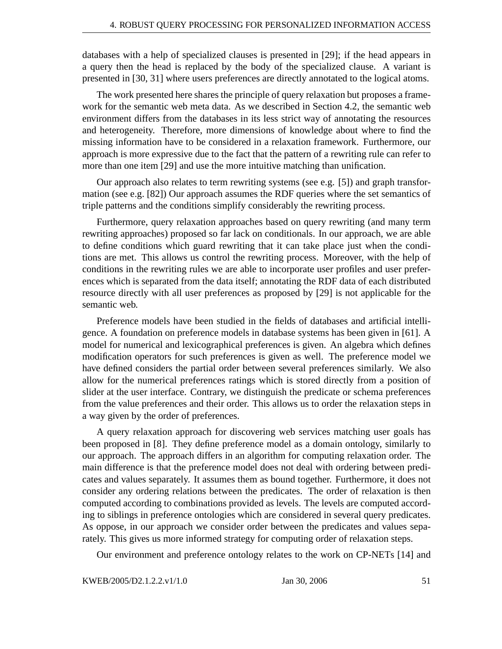databases with a help of specialized clauses is presented in [29]; if the head appears in a query then the head is replaced by the body of the specialized clause. A variant is presented in [30, 31] where users preferences are directly annotated to the logical atoms.

The work presented here shares the principle of query relaxation but proposes a framework for the semantic web meta data. As we described in Section 4.2, the semantic web environment differs from the databases in its less strict way of annotating the resources and heterogeneity. Therefore, more dimensions of knowledge about where to find the missing information have to be considered in a relaxation framework. Furthermore, our approach is more expressive due to the fact that the pattern of a rewriting rule can refer to more than one item [29] and use the more intuitive matching than unification.

Our approach also relates to term rewriting systems (see e.g.  $[5]$ ) and graph transformation (see e.g. [82]) Our approach assumes the RDF queries where the set semantics of triple patterns and the conditions simplify considerably the rewriting process.

Furthermore, query relaxation approaches based on query rewriting (and many term rewriting approaches) proposed so far lack on conditionals. In our approach, we are able to define conditions which guard rewriting that it can take place just when the conditions are met. This allows us control the rewriting process. Moreover, with the help of conditions in the rewriting rules we are able to incorporate user profiles and user preferences which is separated from the data itself; annotating the RDF data of each distributed resource directly with all user preferences as proposed by [29] is not applicable for the semantic web.

Preference models have been studied in the fields of databases and artificial intelligence. A foundation on preference models in database systems has been given in [61]. A model for numerical and lexicographical preferences is given. An algebra which defines modification operators for such preferences is given as well. The preference model we have defined considers the partial order between several preferences similarly. We also allow for the numerical preferences ratings which is stored directly from a position of slider at the user interface. Contrary, we distinguish the predicate or schema preferences from the value preferences and their order. This allows us to order the relaxation steps in a way given by the order of preferences.

A query relaxation approach for discovering web services matching user goals has been proposed in [8]. They define preference model as a domain ontology, similarly to our approach. The approach differs in an algorithm for computing relaxation order. The main difference is that the preference model does not deal with ordering between predicates and values separately. It assumes them as bound together. Furthermore, it does not consider any ordering relations between the predicates. The order of relaxation is then computed according to combinations provided as levels. The levels are computed according to siblings in preference ontologies which are considered in several query predicates. As oppose, in our approach we consider order between the predicates and values separately. This gives us more informed strategy for computing order of relaxation steps.

Our environment and preference ontology relates to the work on CP-NETs [14] and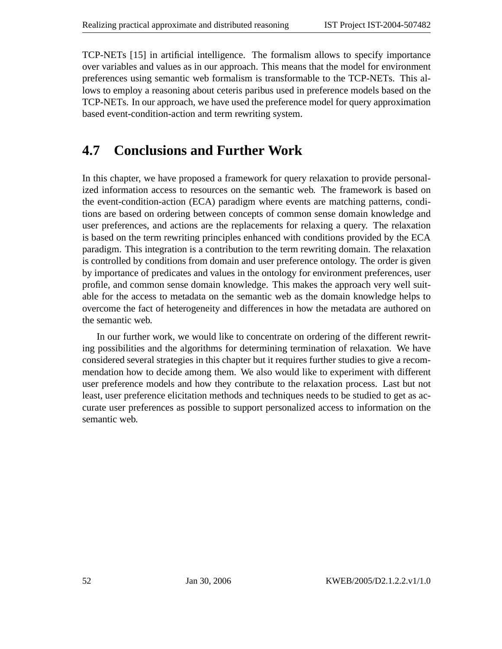TCP-NETs [15] in artificial intelligence. The formalism allows to specify importance over variables and values as in our approach. This means that the model for environment preferences using semantic web formalism is transformable to the TCP-NETs. This allows to employ a reasoning about ceteris paribus used in preference models based on the TCP-NETs. In our approach, we have used the preference model for query approximation based event-condition-action and term rewriting system.

## **4.7 Conclusions and Further Work**

In this chapter, we have proposed a framework for query relaxation to provide personalized information access to resources on the semantic web. The framework is based on the event-condition-action (ECA) paradigm where events are matching patterns, conditions are based on ordering between concepts of common sense domain knowledge and user preferences, and actions are the replacements for relaxing a query. The relaxation is based on the term rewriting principles enhanced with conditions provided by the ECA paradigm. This integration is a contribution to the term rewriting domain. The relaxation is controlled by conditions from domain and user preference ontology. The order is given by importance of predicates and values in the ontology for environment preferences, user profile, and common sense domain knowledge. This makes the approach very well suitable for the access to metadata on the semantic web as the domain knowledge helps to overcome the fact of heterogeneity and differences in how the metadata are authored on the semantic web.

In our further work, we would like to concentrate on ordering of the different rewriting possibilities and the algorithms for determining termination of relaxation. We have considered several strategies in this chapter but it requires further studies to give a recommendation how to decide among them. We also would like to experiment with different user preference models and how they contribute to the relaxation process. Last but not least, user preference elicitation methods and techniques needs to be studied to get as accurate user preferences as possible to support personalized access to information on the semantic web.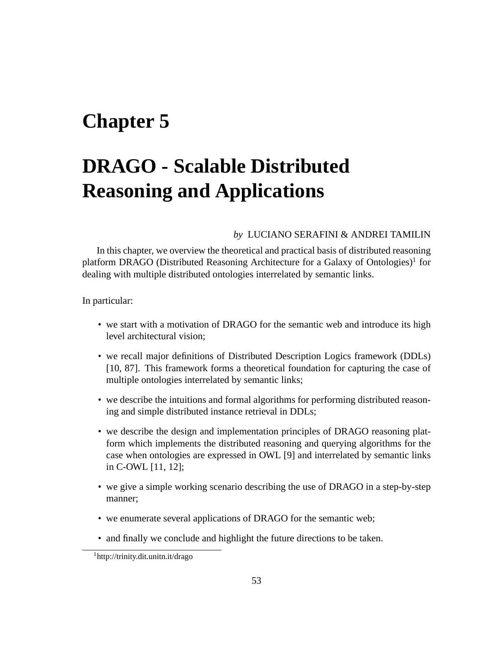# **Chapter 5**

# **DRAGO - Scalable Distributed Reasoning and Applications**

#### *by* LUCIANO SERAFINI & ANDREI TAMILIN

In this chapter, we overview the theoretical and practical basis of distributed reasoning platform DRAGO (Distributed Reasoning Architecture for a Galaxy of Ontologies)<sup>1</sup> for dealing with multiple distributed ontologies interrelated by semantic links.

In particular:

- we start with a motivation of DRAGO for the semantic web and introduce its high level architectural vision;
- we recall major definitions of Distributed Description Logics framework (DDLs) [10, 87]. This framework forms a theoretical foundation for capturing the case of multiple ontologies interrelated by semantic links;
- we describe the intuitions and formal algorithms for performing distributed reasoning and simple distributed instance retrieval in DDLs;
- we describe the design and implementation principles of DRAGO reasoning platform which implements the distributed reasoning and querying algorithms for the case when ontologies are expressed in OWL [9] and interrelated by semantic links in C-OWL [11, 12];
- we give a simple working scenario describing the use of DRAGO in a step-by-step manner;
- we enumerate several applications of DRAGO for the semantic web;
- and finally we conclude and highlight the future directions to be taken.

<sup>1</sup>http://trinity.dit.unitn.it/drago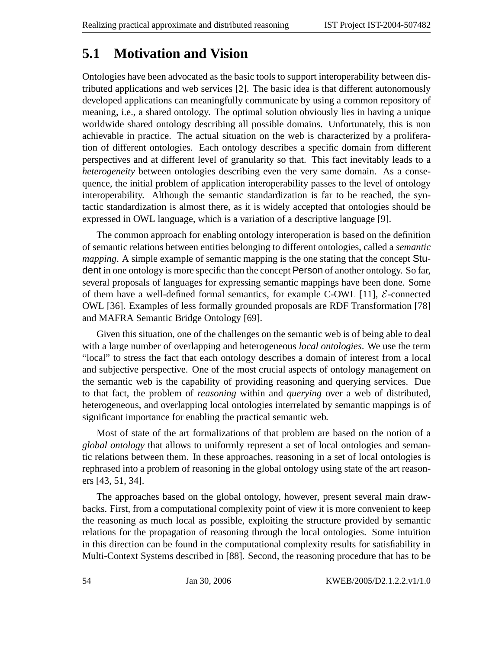## **5.1 Motivation and Vision**

Ontologies have been advocated as the basic tools to support interoperability between distributed applications and web services [2]. The basic idea is that different autonomously developed applications can meaningfully communicate by using a common repository of meaning, i.e., a shared ontology. The optimal solution obviously lies in having a unique worldwide shared ontology describing all possible domains. Unfortunately, this is non achievable in practice. The actual situation on the web is characterized by a proliferation of different ontologies. Each ontology describes a specific domain from different perspectives and at different level of granularity so that. This fact inevitably leads to a *heterogeneity* between ontologies describing even the very same domain. As a consequence, the initial problem of application interoperability passes to the level of ontology interoperability. Although the semantic standardization is far to be reached, the syntactic standardization is almost there, as it is widely accepted that ontologies should be expressed in OWL language, which is a variation of a descriptive language [9].

The common approach for enabling ontology interoperation is based on the definition of semantic relations between entities belonging to different ontologies, called a *semantic mapping*. A simple example of semantic mapping is the one stating that the concept Student in one ontology is more specific than the concept Person of another ontology. So far, several proposals of languages for expressing semantic mappings have been done. Some of them have a well-defined formal semantics, for example C-OWL [11],  $\mathcal{E}\text{-connected}$ OWL [36]. Examples of less formally grounded proposals are RDF Transformation [78] and MAFRA Semantic Bridge Ontology [69].

Given this situation, one of the challenges on the semantic web is of being able to deal with a large number of overlapping and heterogeneous *local ontologies*. We use the term "local" to stress the fact that each ontology describes a domain of interest from a local and subjective perspective. One of the most crucial aspects of ontology management on the semantic web is the capability of providing reasoning and querying services. Due to that fact, the problem of *reasoning* within and *querying* over a web of distributed, heterogeneous, and overlapping local ontologies interrelated by semantic mappings is of significant importance for enabling the practical semantic web.

Most of state of the art formalizations of that problem are based on the notion of a *global ontology* that allows to uniformly represent a set of local ontologies and semantic relations between them. In these approaches, reasoning in a set of local ontologies is rephrased into a problem of reasoning in the global ontology using state of the art reasoners [43, 51, 34].

The approaches based on the global ontology, however, present several main drawbacks. First, from a computational complexity point of view it is more convenient to keep the reasoning as much local as possible, exploiting the structure provided by semantic relations for the propagation of reasoning through the local ontologies. Some intuition in this direction can be found in the computational complexity results for satisfiability in Multi-Context Systems described in [88]. Second, the reasoning procedure that has to be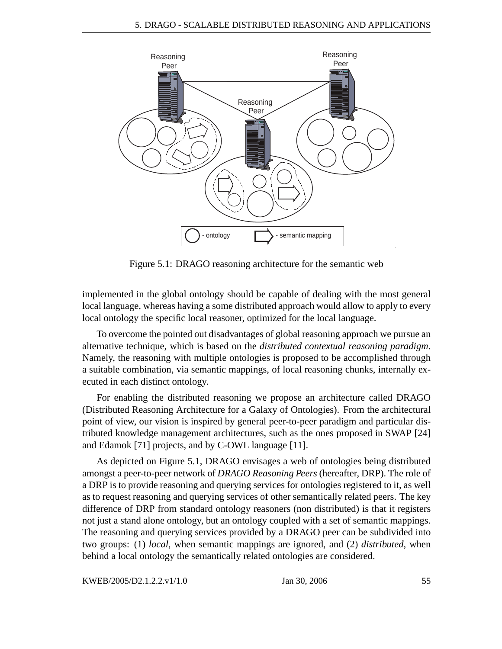

Figure 5.1: DRAGO reasoning architecture for the semantic web

implemented in the global ontology should be capable of dealing with the most general local language, whereas having a some distributed approach would allow to apply to every local ontology the specific local reasoner, optimized for the local language.

To overcome the pointed out disadvantages of global reasoning approach we pursue an alternative technique, which is based on the *distributed contextual reasoning paradigm*. Namely, the reasoning with multiple ontologies is proposed to be accomplished through a suitable combination, via semantic mappings, of local reasoning chunks, internally executed in each distinct ontology.

For enabling the distributed reasoning we propose an architecture called DRAGO (Distributed Reasoning Architecture for a Galaxy of Ontologies). From the architectural point of view, our vision is inspired by general peer-to-peer paradigm and particular distributed knowledge management architectures, such as the ones proposed in SWAP [24] and Edamok [71] projects, and by C-OWL language [11].

As depicted on Figure 5.1, DRAGO envisages a web of ontologies being distributed amongst a peer-to-peer network of *DRAGO Reasoning Peers* (hereafter, DRP). The role of a DRP is to provide reasoning and querying services for ontologies registered to it, as well as to request reasoning and querying services of other semantically related peers. The key difference of DRP from standard ontology reasoners (non distributed) is that it registers not just a stand alone ontology, but an ontology coupled with a set of semantic mappings. The reasoning and querying services provided by a DRAGO peer can be subdivided into two groups: (1) *local*, when semantic mappings are ignored, and (2) *distributed*, when behind a local ontology the semantically related ontologies are considered.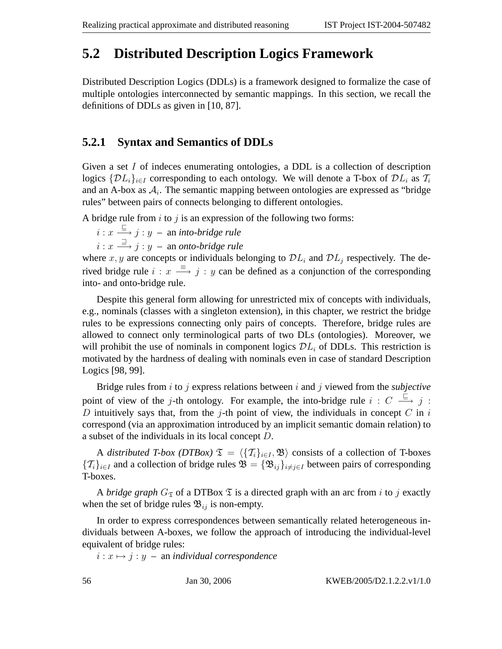## **5.2 Distributed Description Logics Framework**

Distributed Description Logics (DDLs) is a framework designed to formalize the case of multiple ontologies interconnected by semantic mappings. In this section, we recall the definitions of DDLs as given in [10, 87].

#### **5.2.1 Syntax and Semantics of DDLs**

Given a set I of indeces enumerating ontologies, a DDL is a collection of description logics  $\{DL_i\}_{i\in I}$  corresponding to each ontology. We will denote a T-box of  $DL_i$  as  $\mathcal{T}_i$ and an A-box as  $A_i$ . The semantic mapping between ontologies are expressed as "bridge rules" between pairs of connects belonging to different ontologies.

A bridge rule from  $i$  to  $j$  is an expression of the following two forms:

 $i: x \stackrel{\sqsubseteq}{\longrightarrow} j: y$  – an *into-bridge rule*  $i: x \overset{\supset}{\longrightarrow} j: y \text{ -- an}$  *onto-bridge rule* 

where  $x, y$  are concepts or individuals belonging to  $\mathcal{D}L_i$  and  $\mathcal{D}L_j$  respectively. The derived bridge rule  $i : x \stackrel{\equiv}{\longrightarrow} j : y$  can be defined as a conjunction of the corresponding into- and onto-bridge rule.

Despite this general form allowing for unrestricted mix of concepts with individuals, e.g., nominals (classes with a singleton extension), in this chapter, we restrict the bridge rules to be expressions connecting only pairs of concepts. Therefore, bridge rules are allowed to connect only terminological parts of two DLs (ontologies). Moreover, we will prohibit the use of nominals in component logics  $\mathcal{D}L_i$  of DDLs. This restriction is motivated by the hardness of dealing with nominals even in case of standard Description Logics [98, 99].

Bridge rules from i to j express relations between i and j viewed from the *subjective* point of view of the j-th ontology. For example, the into-bridge rule  $i : C \stackrel{\sqsubseteq}{\longrightarrow} j$ : D intuitively says that, from the j-th point of view, the individuals in concept  $C$  in  $i$ correspond (via an approximation introduced by an implicit semantic domain relation) to a subset of the individuals in its local concept D.

A *distributed T-box (DTBox)*  $\mathfrak{T} = \langle {\{T_i\}_{i\in I}, \mathfrak{B}} \rangle$  consists of a collection of T-boxes  ${\mathcal{T}_i}_{i\in I}$  and a collection of bridge rules  $\mathfrak{B} = {\mathfrak{B}_{ij}}_{i\neq j\in I}$  between pairs of corresponding T-boxes.

A *bridge graph*  $G_{\mathfrak{T}}$  of a DTBox  $\mathfrak{T}$  is a directed graph with an arc from i to j exactly when the set of bridge rules  $\mathfrak{B}_{ij}$  is non-empty.

In order to express correspondences between semantically related heterogeneous individuals between A-boxes, we follow the approach of introducing the individual-level equivalent of bridge rules:

 $i: x \mapsto j: y -$  an *individual correspondence*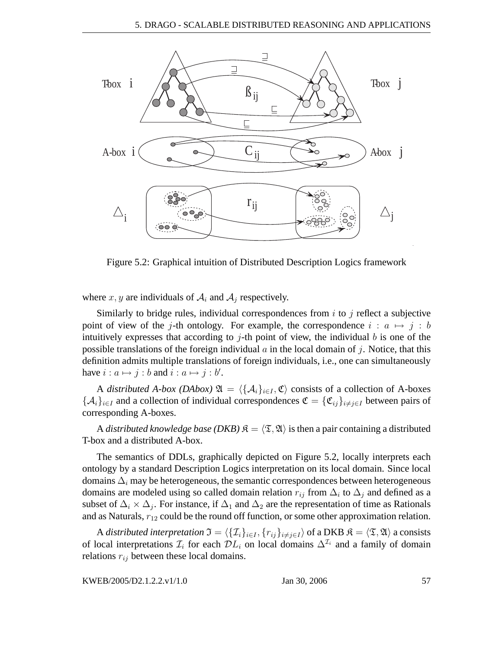

Figure 5.2: Graphical intuition of Distributed Description Logics framework

where  $x, y$  are individuals of  $A_i$  and  $A_j$  respectively.

Similarly to bridge rules, individual correspondences from  $i$  to  $j$  reflect a subjective point of view of the j-th ontology. For example, the correspondence  $i : a \mapsto j : b$ intuitively expresses that according to  $j$ -th point of view, the individual  $b$  is one of the possible translations of the foreign individual  $\alpha$  in the local domain of  $j$ . Notice, that this definition admits multiple translations of foreign individuals, i.e., one can simultaneously have  $i : a \mapsto j : b$  and  $i : a \mapsto j : b'$ .

A *distributed A-box (DAbox)*  $\mathfrak{A} = \langle \{ \mathcal{A}_i \}_{i \in I}, \mathfrak{C} \rangle$  consists of a collection of A-boxes  $\{\mathcal{A}_i\}_{i\in I}$  and a collection of individual correspondences  $\mathfrak{C} = \{\mathfrak{C}_{ij}\}_{i\neq j\in I}$  between pairs of corresponding A-boxes.

A *distributed knowledge base (DKB)*  $\mathfrak{K} = \langle \mathfrak{T}, \mathfrak{A} \rangle$  is then a pair containing a distributed T-box and a distributed A-box.

The semantics of DDLs, graphically depicted on Figure 5.2, locally interprets each ontology by a standard Description Logics interpretation on its local domain. Since local domains  $\Delta_i$  may be heterogeneous, the semantic correspondences between heterogeneous domains are modeled using so called domain relation  $r_{ij}$  from  $\Delta_i$  to  $\Delta_j$  and defined as a subset of  $\Delta_i \times \Delta_j$ . For instance, if  $\Delta_1$  and  $\Delta_2$  are the representation of time as Rationals and as Naturals,  $r_{12}$  could be the round off function, or some other approximation relation.

A *distributed interpretation*  $\mathfrak{I} = \langle \{ \mathcal{I}_i \}_{i \in I} , \{ r_{ij} \}_{i \neq j \in I} \rangle$  of a DKB  $\mathfrak{K} = \langle \mathfrak{T}, \mathfrak{A} \rangle$  a consists of local interpretations  $\mathcal{I}_i$  for each  $\mathcal{D}L_i$  on local domains  $\Delta^{\mathcal{I}_i}$  and a family of domain relations  $r_{ij}$  between these local domains.

KWEB/2005/D2.1.2.2.v1/1.0 Jan 30, 2006 57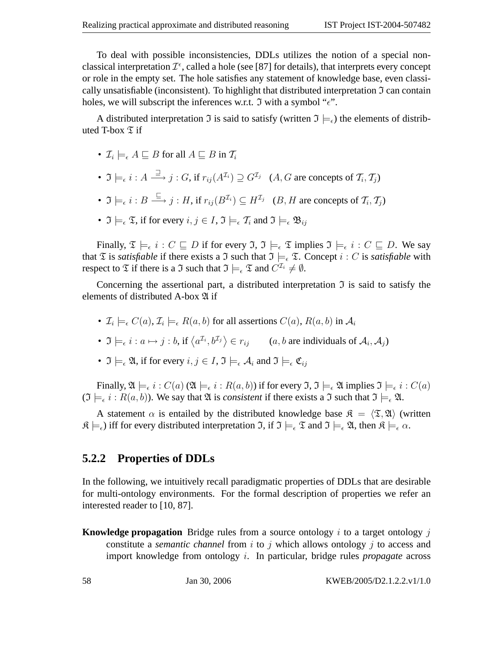To deal with possible inconsistencies, DDLs utilizes the notion of a special nonclassical interpretation  $\mathcal{I}^{\epsilon}$ , called a hole (see [87] for details), that interprets every concept or role in the empty set. The hole satisfies any statement of knowledge base, even classically unsatisfiable (inconsistent). To highlight that distributed interpretation  $\Im$  can contain holes, we will subscript the inferences w.r.t.  $\Im$  with a symbol " $\epsilon$ ".

A distributed interpretation  $\mathfrak I$  is said to satisfy (written  $\mathfrak I \models_{\epsilon}$ ) the elements of distributed T-box  $\mathfrak T$  if

- $\mathcal{I}_i \models_{\epsilon} A \sqsubseteq B$  for all  $A \sqsubseteq B$  in  $\mathcal{T}_i$
- $\mathfrak{I} \models_{\epsilon} i : A \stackrel{\sqsupset}{\longrightarrow} j : G$ , if  $r_{ij}(A^{\mathcal{I}_i}) \supseteq G^{\mathcal{I}_j}$   $(A, G$  are concepts of  $\mathcal{T}_i, \mathcal{T}_j$ )
- $\mathfrak{I} \models_{\epsilon} i : B \stackrel{\sqsubseteq}{\longrightarrow} j : H$ , if  $r_{ij}(B^{\mathcal{I}_{i}}) \subseteq H^{\mathcal{I}_{j}}$   $(B, H$  are concepts of  $\mathcal{T}_{i}, \mathcal{T}_{j}$ )
- $\mathfrak{I} \models_{\epsilon} \mathfrak{T}$ , if for every  $i, j \in I$ ,  $\mathfrak{I} \models_{\epsilon} \mathcal{T}_i$  and  $\mathfrak{I} \models_{\epsilon} \mathfrak{B}_{ij}$

Finally,  $\mathfrak{T} \models_{\epsilon} i : C \sqsubseteq D$  if for every  $\mathfrak{I}, \mathfrak{I} \models_{\epsilon} \mathfrak{T}$  implies  $\mathfrak{I} \models_{\epsilon} i : C \sqsubseteq D$ . We say that  $\mathfrak T$  is *satisfiable* if there exists a  $\mathfrak I$  such that  $\mathfrak I \models_{\epsilon} \mathfrak T$ . Concept  $i : C$  is *satisfiable* with respect to  $\mathfrak T$  if there is a  $\mathfrak I$  such that  $\mathfrak I \models_{\epsilon} \mathfrak T$  and  $C^{\mathcal I_i} \neq \emptyset$ .

Concerning the assertional part, a distributed interpretation  $\mathfrak I$  is said to satisfy the elements of distributed A-box  $\mathfrak A$  if

- $\mathcal{I}_i \models_{\epsilon} C(a), \mathcal{I}_i \models_{\epsilon} R(a, b)$  for all assertions  $C(a), R(a, b)$  in  $\mathcal{A}_i$
- $\mathfrak{I} \models_{\epsilon} i : a \mapsto j : b$ , if  $\langle a^{\mathcal{I}_i}, b^{\mathcal{I}_j} \rangle \in r_{ij}$  (*a*, *b* are individuals of  $\mathcal{A}_i$ ,  $\mathcal{A}_j$ )
- $\mathfrak{I} \models_{\epsilon} \mathfrak{A}$ , if for every  $i, j \in I$ ,  $\mathfrak{I} \models_{\epsilon} \mathcal{A}_i$  and  $\mathfrak{I} \models_{\epsilon} \mathfrak{C}_{ij}$

Finally,  $\mathfrak{A} \models_{\epsilon} i : C(a) \left( \mathfrak{A} \models_{\epsilon} i : R(a, b) \right)$  if for every  $\mathfrak{I}, \mathfrak{I} \models_{\epsilon} \mathfrak{A}$  implies  $\mathfrak{I} \models_{\epsilon} i : C(a)$  $(\mathfrak{I} \models_{\epsilon} i : R(a, b))$ . We say that  $\mathfrak{A}$  is *consistent* if there exists a  $\mathfrak{I}$  such that  $\mathfrak{I} \models_{\epsilon} \mathfrak{A}$ .

A statement  $\alpha$  is entailed by the distributed knowledge base  $\mathfrak{K} = \langle \mathfrak{T}, \mathfrak{A} \rangle$  (written  $\mathcal{R} \models_{\epsilon}$ ) iff for every distributed interpretation  $\mathfrak{I}$ , if  $\mathfrak{I} \models_{\epsilon} \mathfrak{I}$  and  $\mathfrak{I} \models_{\epsilon} \mathfrak{I}$ , then  $\mathfrak{K} \models_{\epsilon} \alpha$ .

#### **5.2.2 Properties of DDLs**

In the following, we intuitively recall paradigmatic properties of DDLs that are desirable for multi-ontology environments. For the formal description of properties we refer an interested reader to [10, 87].

**Knowledge propagation** Bridge rules from a source ontology  $i$  to a target ontology  $i$ constitute a *semantic channel* from i to j which allows ontology j to access and import knowledge from ontology i. In particular, bridge rules *propagate* across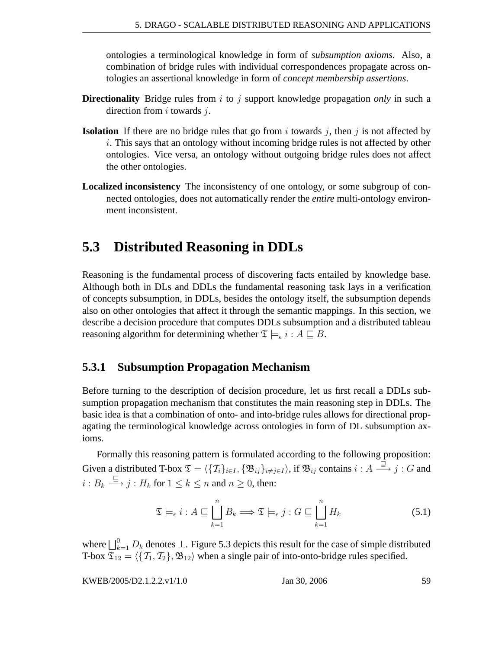ontologies a terminological knowledge in form of *subsumption axioms*. Also, a combination of bridge rules with individual correspondences propagate across ontologies an assertional knowledge in form of *concept membership assertions*.

- **Directionality** Bridge rules from i to j support knowledge propagation *only* in such a direction from  $i$  towards  $j$ .
- **Isolation** If there are no bridge rules that go from i towards j, then j is not affected by i. This says that an ontology without incoming bridge rules is not affected by other ontologies. Vice versa, an ontology without outgoing bridge rules does not affect the other ontologies.
- **Localized inconsistency** The inconsistency of one ontology, or some subgroup of connected ontologies, does not automatically render the *entire* multi-ontology environment inconsistent.

### **5.3 Distributed Reasoning in DDLs**

Reasoning is the fundamental process of discovering facts entailed by knowledge base. Although both in DLs and DDLs the fundamental reasoning task lays in a verification of concepts subsumption, in DDLs, besides the ontology itself, the subsumption depends also on other ontologies that affect it through the semantic mappings. In this section, we describe a decision procedure that computes DDLs subsumption and a distributed tableau reasoning algorithm for determining whether  $\mathfrak{T} \models_{\epsilon} i : A \sqsubseteq B$ .

#### **5.3.1 Subsumption Propagation Mechanism**

Before turning to the description of decision procedure, let us first recall a DDLs subsumption propagation mechanism that constitutes the main reasoning step in DDLs. The basic idea is that a combination of onto- and into-bridge rules allows for directional propagating the terminological knowledge across ontologies in form of DL subsumption axioms.

Formally this reasoning pattern is formulated according to the following proposition: Given a distributed T-box  $\mathfrak{T} = \langle \{ \mathcal{T}_i \}_{i \in I} , \{ \mathfrak{B}_{ij} \}_{i \neq j \in I} \rangle$ , if  $\mathfrak{B}_{ij}$  contains  $i : A \stackrel{\supset}{\longrightarrow} j : G$  and  $i: B_k \stackrel{\sqsubseteq}{\longrightarrow} j: H_k$  for  $1 \leq k \leq n$  and  $n \geq 0$ , then:

$$
\mathfrak{T} \models_{\epsilon} i : A \sqsubseteq \bigsqcup_{k=1}^{n} B_k \Longrightarrow \mathfrak{T} \models_{\epsilon} j : G \sqsubseteq \bigsqcup_{k=1}^{n} H_k \tag{5.1}
$$

where  $\bigsqcup_{k=1}^{0} D_k$  denotes  $\perp$ . Figure 5.3 depicts this result for the case of simple distributed T-box  $\overline{\mathfrak{T}}_{12} = \langle \{T_1, T_2\}, \mathfrak{B}_{12} \rangle$  when a single pair of into-onto-bridge rules specified.

KWEB/2005/D2.1.2.2.v1/1.0 Jan 30, 2006 59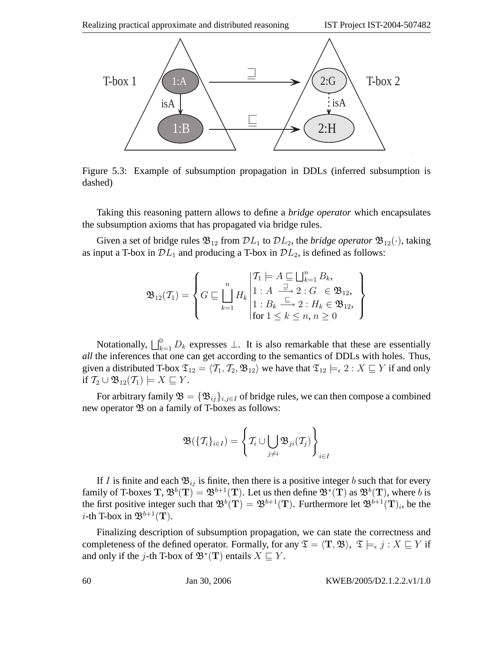

Figure 5.3: Example of subsumption propagation in DDLs (inferred subsumption is dashed)

Taking this reasoning pattern allows to define a *bridge operator* which encapsulates the subsumption axioms that has propagated via bridge rules.

Given a set of bridge rules  $\mathfrak{B}_{12}$  from  $\mathcal{D}L_1$  to  $\mathcal{D}L_2$ , the *bridge operator*  $\mathfrak{B}_{12}(\cdot)$ , taking as input a T-box in  $\mathcal{D}L_1$  and producing a T-box in  $\mathcal{D}L_2$ , is defined as follows:

$$
\mathfrak{B}_{12}(\mathcal{T}_1) = \left\{ G \sqsubseteq \bigsqcup_{k=1}^n H_k \middle| \begin{matrix} \mathcal{T}_1 \models A \sqsubseteq \bigsqcup_{k=1}^n B_k, \\ 1 : A \xrightarrow{\sqsupseteq} 2 : G \in \mathfrak{B}_{12}, \\ 1 : B_k \xrightarrow{\sqsubseteq} 2 : H_k \in \mathfrak{B}_{12}, \\ \text{for } 1 \leq k \leq n, n \geq 0 \end{matrix} \right\}
$$

Notationally,  $\bigsqcup_{k=1}^0 D_k$  expresses  $\perp$ . It is also remarkable that these are essentially *all* the inferences that one can get according to the semantics of DDLs with holes. Thus, given a distributed T-box  $\mathfrak{T}_{12} = \langle \mathcal{T}_1, \mathcal{T}_2, \mathfrak{B}_{12} \rangle$  we have that  $\mathfrak{T}_{12} \models_{\epsilon} 2 : X \sqsubseteq Y$  if and only if  $\mathcal{T}_2 \cup \mathfrak{B}_{12}(\mathcal{T}_1) \models X \sqsubseteq Y$ .

For arbitrary family  $\mathfrak{B} = {\mathfrak{B}_{ij}}_{i,j\in I}$  of bridge rules, we can then compose a combined new operator  $\mathfrak B$  on a family of T-boxes as follows:

$$
\mathfrak{B}(\{\mathcal{T}_i\}_{i\in I})=\left\{\mathcal{T}_i\cup\bigcup_{j\neq i}\mathfrak{B}_{ji}(\mathcal{T}_j)\right\}_{i\in I}
$$

If I is finite and each  $\mathfrak{B}_{ij}$  is finite, then there is a positive integer b such that for every family of T-boxes  $\bf{T},\mathfrak{B}^b(\bf{T})=\mathfrak{B}^{b+1}(\bf{T}).$  Let us then define  $\mathfrak{B}^*(\bf{T})$  as  $\mathfrak{B}^b(\bf{T}),$  where  $b$  is the first positive integer such that  $\mathfrak{B}^b(\mathbf{T}) = \mathfrak{B}^{b+1}(\mathbf{T})$ . Furthermore let  $\mathfrak{B}^{b+1}(\mathbf{T})_i$ , be the *i*-th T-box in  $\mathfrak{B}^{b+1}(\mathbf{T})$ .

Finalizing description of subsumption propagation, we can state the correctness and completeness of the defined operator. Formally, for any  $\mathfrak{T} = \langle \mathbf{T}, \mathfrak{B} \rangle$ ,  $\mathfrak{T} \models_{\epsilon} j : X \sqsubseteq Y$  if and only if the *j*-th T-box of  $\mathfrak{B}^*(\mathbf{T})$  entails  $X \sqsubseteq Y$ .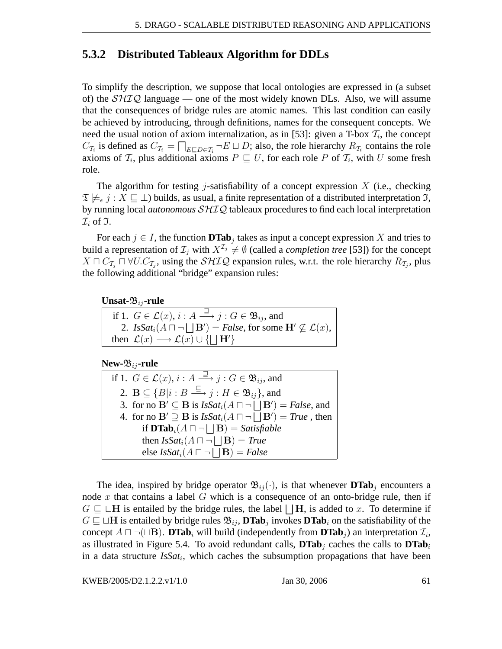#### **5.3.2 Distributed Tableaux Algorithm for DDLs**

To simplify the description, we suppose that local ontologies are expressed in (a subset of) the  $\mathcal{SHTQ}$  language — one of the most widely known DLs. Also, we will assume that the consequences of bridge rules are atomic names. This last condition can easily be achieved by introducing, through definitions, names for the consequent concepts. We need the usual notion of axiom internalization, as in [53]: given a T-box  $\mathcal{T}_i$ , the concept  $C_{\mathcal{T}_i}$  is defined as  $C_{\mathcal{T}_i} = \prod_{E \subseteq D \in \mathcal{T}_i} \neg E \sqcup D$ ; also, the role hierarchy  $R_{\mathcal{T}_i}$  contains the role axioms of  $\mathcal{T}_i$ , plus additional axioms  $P \sqsubseteq U$ , for each role P of  $\mathcal{T}_i$ , with U some fresh role.

The algorithm for testing j-satisfiability of a concept expression  $X$  (i.e., checking  $\mathfrak{T} \not\models_{\epsilon} j : X \sqsubseteq \bot$ ) builds, as usual, a finite representation of a distributed interpretation  $\mathfrak{I}$ , by running local *autonomous* SHIQ tableaux procedures to find each local interpretation  $\mathcal{I}_i$  of  $\mathfrak{I}.$ 

For each  $j \in I$ , the function  $\mathbf{DTab}_j$  takes as input a concept expression X and tries to build a representation of  $\mathcal{I}_j$  with  $X^{\mathcal{I}_j} \neq \emptyset$  (called a *completion tree* [53]) for the concept  $X \sqcap C_{\mathcal{T}_j} \sqcap \forall U.C_{\mathcal{T}_j}$ , using the  $\mathcal{SHIQ}$  expansion rules, w.r.t. the role hierarchy  $R_{\mathcal{T}_j}$ , plus the following additional "bridge" expansion rules:

#### **Unsat-**Bij **-rule**

| if 1. $G \in \mathcal{L}(x)$ , $i : A \stackrel{d}{\longrightarrow} j : G \in \mathfrak{B}_{ij}$ , and |
|--------------------------------------------------------------------------------------------------------|
| 2. $IsSat_i(A \sqcap \neg   B') = False$ , for some $H' \nsubseteq \mathcal{L}(x)$ ,                   |
| then $\mathcal{L}(x) \longrightarrow \mathcal{L}(x) \cup \{   \mathbf{H}' \}$                          |

**New-**Bij **-rule**

if 1.  $G \in \mathcal{L}(x)$ ,  $i : A \stackrel{\supset}{\longrightarrow} j : G \in \mathfrak{B}_{ij}$ , and 2.  $\mathbf{B} \subseteq \{B | i : B \stackrel{\sqsubseteq}{\longrightarrow} j : H \in \mathfrak{B}_{ij}\},$  and 3. for no  $\mathbf{B}' \subseteq \mathbf{B}$  is  $IsSat_i(A \sqcap \neg \bigsqcup \mathbf{B}') = False$ , and 4. for no  $\mathbf{B}' \supseteq \mathbf{B}$  is  $IsSat_i(A \sqcap \neg \sqcup \mathbf{B}') = True$ , then if  $\textbf{DTab}_i(A \sqcap \neg \bigsqcup \textbf{B}) = \textit{Satisfiable}$ then  $IsSat_i(A \sqcap \neg \bigsqcup B) = True$  $else$  *IsSat*<sub>i</sub>( $A \sqcap \neg \Box B$ ) = *False* 

The idea, inspired by bridge operator  $\mathfrak{B}_{ij}(\cdot)$ , is that whenever **DTab**<sub>j</sub> encounters a node x that contains a label G which is a consequence of an onto-bridge rule, then if  $G \sqsubseteq \Box H$  is entailed by the bridge rules, the label  $\Box H$ , is added to x. To determine if  $G ⊆ ∪H$  is entailed by bridge rules  $\mathfrak{B}_{ij}$ , **DTab**<sub>j</sub> invokes **DTab**<sub>i</sub> on the satisfiability of the concept  $A \sqcap \neg (\sqcup B)$ . **DTab**<sub>i</sub> will build (independently from **DTab**<sub>j</sub>) an interpretation  $\mathcal{I}_i$ , as illustrated in Figure 5.4. To avoid redundant calls,  $\mathbf{DTab}_j$  caches the calls to  $\mathbf{DTab}_i$ in a data structure *IsSat*<sup>i</sup> , which caches the subsumption propagations that have been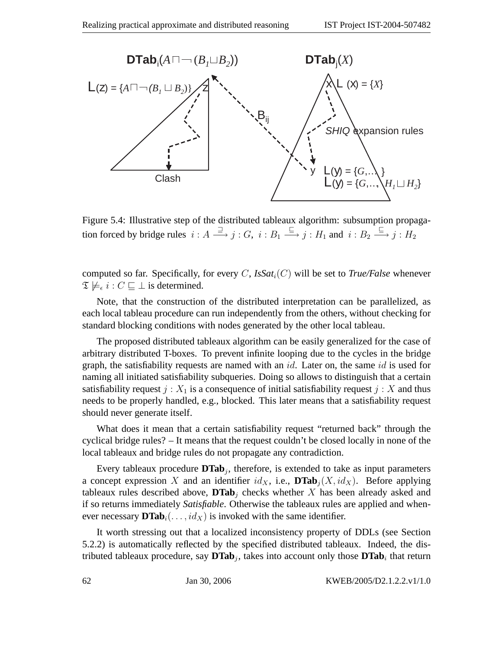

Figure 5.4: Illustrative step of the distributed tableaux algorithm: subsumption propagation forced by bridge rules  $i : A \stackrel{\supset}{\longrightarrow} j : G, i : B_1 \stackrel{\sqsubseteq}{\longrightarrow} j : H_1$  and  $i : B_2 \stackrel{\sqsubseteq}{\longrightarrow} j : H_2$ 

computed so far. Specifically, for every C,  $IsSat_i(C)$  will be set to *True/False* whenever  $\mathfrak{T} \not\models_{\epsilon} i : C \sqsubseteq \bot$  is determined.

Note, that the construction of the distributed interpretation can be parallelized, as each local tableau procedure can run independently from the others, without checking for standard blocking conditions with nodes generated by the other local tableau.

The proposed distributed tableaux algorithm can be easily generalized for the case of arbitrary distributed T-boxes. To prevent infinite looping due to the cycles in the bridge graph, the satisfiability requests are named with an *id*. Later on, the same *id* is used for naming all initiated satisfiability subqueries. Doing so allows to distinguish that a certain satisfiability request  $j : X_1$  is a consequence of initial satisfiability request  $j : X$  and thus needs to be properly handled, e.g., blocked. This later means that a satisfiability request should never generate itself.

What does it mean that a certain satisfiability request "returned back" through the cyclical bridge rules? – It means that the request couldn't be closed locally in none of the local tableaux and bridge rules do not propagate any contradiction.

Every tableaux procedure **DTab**<sup>j</sup> , therefore, is extended to take as input parameters a concept expression X and an identifier  $id_X$ , i.e., **DTab**<sub>j</sub> $(X, id_X)$ . Before applying tableaux rules described above,  $\mathbf{DTab}_i$  checks whether X has been already asked and if so returns immediately *Satisfiable*. Otherwise the tableaux rules are applied and whenever necessary  $\textbf{DTab}_i(\ldots, id_X)$  is invoked with the same identifier.

It worth stressing out that a localized inconsistency property of DDLs (see Section 5.2.2) is automatically reflected by the specified distributed tableaux. Indeed, the distributed tableaux procedure, say  $\mathbf{DTab}_j$ , takes into account only those  $\mathbf{DTab}_i$  that return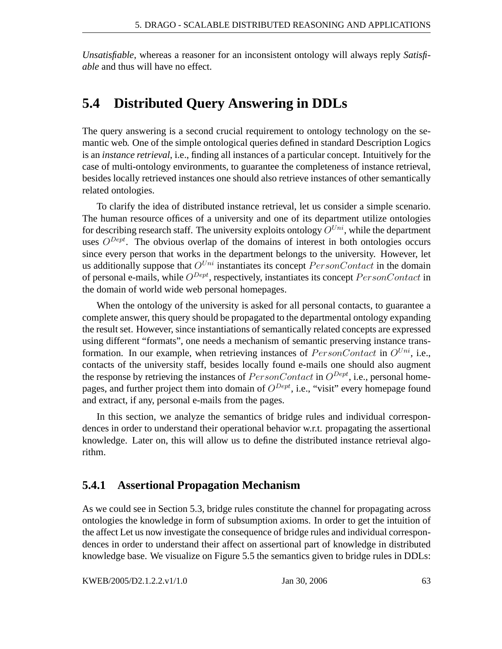*Unsatisfiable*, whereas a reasoner for an inconsistent ontology will always reply *Satisfiable* and thus will have no effect.

## **5.4 Distributed Query Answering in DDLs**

The query answering is a second crucial requirement to ontology technology on the semantic web. One of the simple ontological queries defined in standard Description Logics is an *instance retrieval*, i.e., finding all instances of a particular concept. Intuitively for the case of multi-ontology environments, to guarantee the completeness of instance retrieval, besides locally retrieved instances one should also retrieve instances of other semantically related ontologies.

To clarify the idea of distributed instance retrieval, let us consider a simple scenario. The human resource offices of a university and one of its department utilize ontologies for describing research staff. The university exploits ontology  $O^{Uni}$ , while the department uses  $O^{Depth}$ . The obvious overlap of the domains of interest in both ontologies occurs since every person that works in the department belongs to the university. However, let us additionally suppose that  $O^{Uni}$  instantiates its concept  $PersonContext$  in the domain of personal e-mails, while  $O^{Depth}$ , respectively, instantiates its concept  $PersonContext$  in the domain of world wide web personal homepages.

When the ontology of the university is asked for all personal contacts, to guarantee a complete answer, this query should be propagated to the departmental ontology expanding the result set. However, since instantiations of semantically related concepts are expressed using different "formats", one needs a mechanism of semantic preserving instance transformation. In our example, when retrieving instances of  $PersonContext$  in  $O^{Uni}$ , i.e., contacts of the university staff, besides locally found e-mails one should also augment the response by retrieving the instances of  $PersonContext$  in  $O^{Depth}$ , i.e., personal homepages, and further project them into domain of  $O^{Depth}$ , i.e., "visit" every homepage found and extract, if any, personal e-mails from the pages.

In this section, we analyze the semantics of bridge rules and individual correspondences in order to understand their operational behavior w.r.t. propagating the assertional knowledge. Later on, this will allow us to define the distributed instance retrieval algorithm.

### **5.4.1 Assertional Propagation Mechanism**

As we could see in Section 5.3, bridge rules constitute the channel for propagating across ontologies the knowledge in form of subsumption axioms. In order to get the intuition of the affect Let us now investigate the consequence of bridge rules and individual correspondences in order to understand their affect on assertional part of knowledge in distributed knowledge base. We visualize on Figure 5.5 the semantics given to bridge rules in DDLs: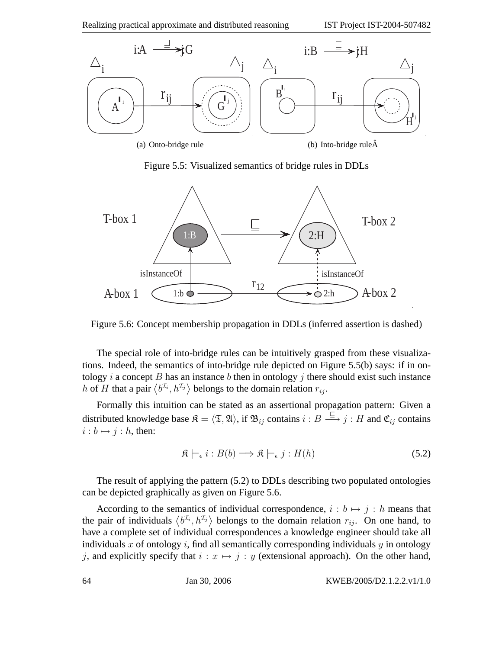

Figure 5.5: Visualized semantics of bridge rules in DDLs



Figure 5.6: Concept membership propagation in DDLs (inferred assertion is dashed)

The special role of into-bridge rules can be intuitively grasped from these visualizations. Indeed, the semantics of into-bridge rule depicted on Figure 5.5(b) says: if in ontology i a concept B has an instance b then in ontology j there should exist such instance h of H that a pair  $\langle b^{I_i}, h^{I_j} \rangle$  belongs to the domain relation  $r_{ij}$ .

Formally this intuition can be stated as an assertional propagation pattern: Given a distributed knowledge base  $\mathfrak{K} = \langle \mathfrak{T}, \mathfrak{A} \rangle$ , if  $\mathfrak{B}_{ij}$  contains  $i : B \stackrel{\sqsubseteq}{\longrightarrow} j : H$  and  $\mathfrak{C}_{ij}$  contains  $i : b \mapsto j : h$ , then:

$$
\mathfrak{K} \models_{\epsilon} i : B(b) \Longrightarrow \mathfrak{K} \models_{\epsilon} j : H(h) \tag{5.2}
$$

The result of applying the pattern (5.2) to DDLs describing two populated ontologies can be depicted graphically as given on Figure 5.6.

According to the semantics of individual correspondence,  $i : b \mapsto j : h$  means that the pair of individuals  $\langle b^{T_i}, h^{T_j} \rangle$  belongs to the domain relation  $r_{ij}$ . On one hand, to have a complete set of individual correspondences a knowledge engineer should take all individuals x of ontology i, find all semantically corresponding individuals y in ontology j, and explicitly specify that  $i : x \mapsto j : y$  (extensional approach). On the other hand,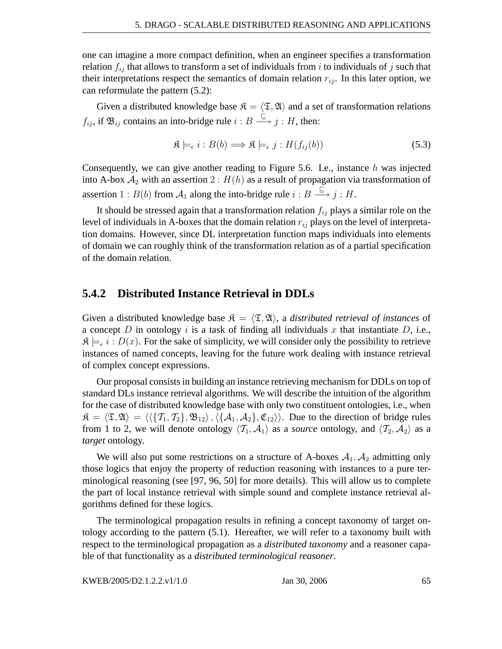one can imagine a more compact definition, when an engineer specifies a transformation relation  $f_{ij}$  that allows to transform a set of individuals from i to individuals of j such that their interpretations respect the semantics of domain relation  $r_{ij}$ . In this later option, we can reformulate the pattern (5.2):

Given a distributed knowledge base  $\mathfrak{K} = \langle \mathfrak{T}, \mathfrak{A} \rangle$  and a set of transformation relations  $f_{ij}$ , if  $\mathfrak{B}_{ij}$  contains an into-bridge rule  $i : B \stackrel{\sqsubseteq}{\longrightarrow} j : H$ , then:

$$
\mathfrak{K} \models_{\epsilon} i : B(b) \Longrightarrow \mathfrak{K} \models_{\epsilon} j : H(f_{ij}(b)) \tag{5.3}
$$

Consequently, we can give another reading to Figure 5.6. I.e., instance  $h$  was injected into A-box  $\mathcal{A}_2$  with an assertion  $2 : H(h)$  as a result of propagation via transformation of assertion  $1 : B(b)$  from  $\mathcal{A}_1$  along the into-bridge rule  $i : B \stackrel{\sqsubseteq}{\longrightarrow} j : H$ .

It should be stressed again that a transformation relation  $f_{ij}$  plays a similar role on the level of individuals in A-boxes that the domain relation  $r_{ij}$  plays on the level of interpretation domains. However, since DL interpretation function maps individuals into elements of domain we can roughly think of the transformation relation as of a partial specification of the domain relation.

#### **5.4.2 Distributed Instance Retrieval in DDLs**

Given a distributed knowledge base  $\mathfrak{K} = \langle \mathfrak{T}, \mathfrak{A} \rangle$ , a *distributed retrieval of instances* of a concept D in ontology i is a task of finding all individuals x that instantiate D, i.e.,  $\mathfrak{K} \models_{\epsilon} i : D(x)$ . For the sake of simplicity, we will consider only the possibility to retrieve instances of named concepts, leaving for the future work dealing with instance retrieval of complex concept expressions.

Our proposal consists in building an instance retrieving mechanism for DDLs on top of standard DLs instance retrieval algorithms. We will describe the intuition of the algorithm for the case of distributed knowledge base with only two constituent ontologies, i.e., when  $\mathfrak{K} = \langle \mathfrak{T}, \mathfrak{A} \rangle = \langle \langle \{\mathcal{T}_1, \mathcal{T}_2\}, \mathfrak{B}_{12}\rangle, \langle \{\mathcal{A}_1, \mathcal{A}_2\}, \mathfrak{C}_{12}\rangle \rangle$ . Due to the direction of bridge rules from 1 to 2, we will denote ontology  $\langle T_1, A_1 \rangle$  as a *source* ontology, and  $\langle T_2, A_2 \rangle$  as a *target* ontology.

We will also put some restrictions on a structure of A-boxes  $A_1$ ,  $A_2$  admitting only those logics that enjoy the property of reduction reasoning with instances to a pure terminological reasoning (see [97, 96, 50] for more details). This will allow us to complete the part of local instance retrieval with simple sound and complete instance retrieval algorithms defined for these logics.

The terminological propagation results in refining a concept taxonomy of target ontology according to the pattern (5.1). Hereafter, we will refer to a taxonomy built with respect to the terminological propagation as a *distributed taxonomy* and a reasoner capable of that functionality as a *distributed terminological reasoner*.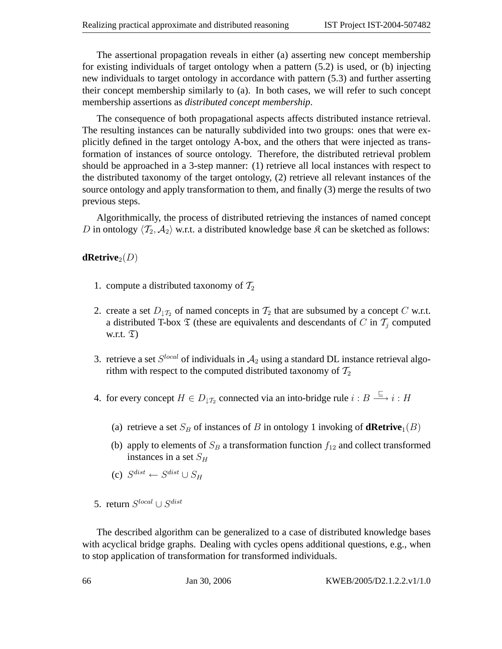The assertional propagation reveals in either (a) asserting new concept membership for existing individuals of target ontology when a pattern (5.2) is used, or (b) injecting new individuals to target ontology in accordance with pattern (5.3) and further asserting their concept membership similarly to (a). In both cases, we will refer to such concept membership assertions as *distributed concept membership*.

The consequence of both propagational aspects affects distributed instance retrieval. The resulting instances can be naturally subdivided into two groups: ones that were explicitly defined in the target ontology A-box, and the others that were injected as transformation of instances of source ontology. Therefore, the distributed retrieval problem should be approached in a 3-step manner: (1) retrieve all local instances with respect to the distributed taxonomy of the target ontology, (2) retrieve all relevant instances of the source ontology and apply transformation to them, and finally (3) merge the results of two previous steps.

Algorithmically, the process of distributed retrieving the instances of named concept D in ontology  $\langle T_2, A_2 \rangle$  w.r.t. a distributed knowledge base  $\mathfrak K$  can be sketched as follows:

#### **dRetrive**<sub>2</sub> $(D)$

- 1. compute a distributed taxonomy of  $\mathcal{T}_2$
- 2. create a set  $D_{1T_2}$  of named concepts in  $T_2$  that are subsumed by a concept C w.r.t. a distributed T-box  $\mathfrak T$  (these are equivalents and descendants of C in  $\mathcal T_j$  computed w.r.t.  $\mathfrak{T}$ )
- 3. retrieve a set  $S^{local}$  of individuals in  $A_2$  using a standard DL instance retrieval algorithm with respect to the computed distributed taxonomy of  $\mathcal{T}_2$
- 4. for every concept  $H \in D_{\downarrow T_2}$  connected via an into-bridge rule  $i : B \stackrel{\sqsubseteq}{\longrightarrow} i : H$ 
	- (a) retrieve a set  $S_B$  of instances of B in ontology 1 invoking of **dRetrive**<sub>1</sub>(B)
	- (b) apply to elements of  $S_B$  a transformation function  $f_{12}$  and collect transformed instances in a set  $S_H$
	- (c)  $S^{dist} \leftarrow S^{dist} \cup S_H$
- 5. return  $S^{local} \cup S^{dist}$

The described algorithm can be generalized to a case of distributed knowledge bases with acyclical bridge graphs. Dealing with cycles opens additional questions, e.g., when to stop application of transformation for transformed individuals.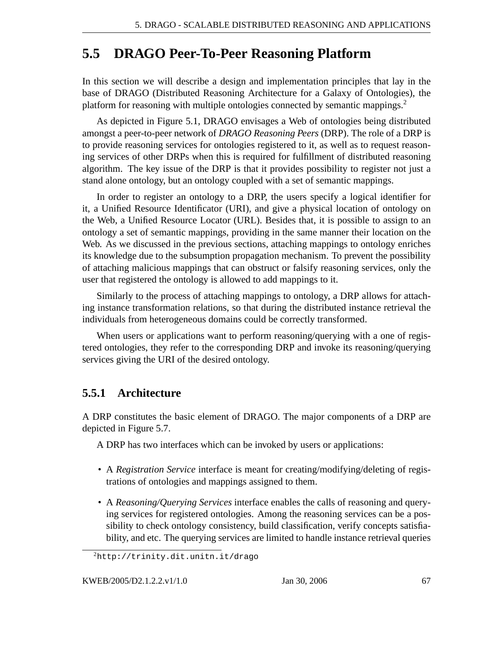# **5.5 DRAGO Peer-To-Peer Reasoning Platform**

In this section we will describe a design and implementation principles that lay in the base of DRAGO (Distributed Reasoning Architecture for a Galaxy of Ontologies), the platform for reasoning with multiple ontologies connected by semantic mappings.<sup>2</sup>

As depicted in Figure 5.1, DRAGO envisages a Web of ontologies being distributed amongst a peer-to-peer network of *DRAGO Reasoning Peers* (DRP). The role of a DRP is to provide reasoning services for ontologies registered to it, as well as to request reasoning services of other DRPs when this is required for fulfillment of distributed reasoning algorithm. The key issue of the DRP is that it provides possibility to register not just a stand alone ontology, but an ontology coupled with a set of semantic mappings.

In order to register an ontology to a DRP, the users specify a logical identifier for it, a Unified Resource Identificator (URI), and give a physical location of ontology on the Web, a Unified Resource Locator (URL). Besides that, it is possible to assign to an ontology a set of semantic mappings, providing in the same manner their location on the Web. As we discussed in the previous sections, attaching mappings to ontology enriches its knowledge due to the subsumption propagation mechanism. To prevent the possibility of attaching malicious mappings that can obstruct or falsify reasoning services, only the user that registered the ontology is allowed to add mappings to it.

Similarly to the process of attaching mappings to ontology, a DRP allows for attaching instance transformation relations, so that during the distributed instance retrieval the individuals from heterogeneous domains could be correctly transformed.

When users or applications want to perform reasoning/querying with a one of registered ontologies, they refer to the corresponding DRP and invoke its reasoning/querying services giving the URI of the desired ontology.

### **5.5.1 Architecture**

A DRP constitutes the basic element of DRAGO. The major components of a DRP are depicted in Figure 5.7.

A DRP has two interfaces which can be invoked by users or applications:

- A *Registration Service* interface is meant for creating/modifying/deleting of registrations of ontologies and mappings assigned to them.
- A *Reasoning/Querying Services* interface enables the calls of reasoning and querying services for registered ontologies. Among the reasoning services can be a possibility to check ontology consistency, build classification, verify concepts satisfiability, and etc. The querying services are limited to handle instance retrieval queries

 ${}^{2}$ http://trinity.dit.unitn.it/drago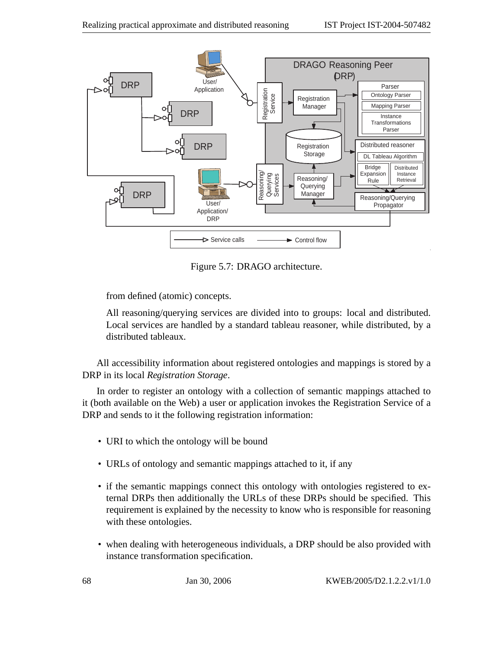

Figure 5.7: DRAGO architecture.

from defined (atomic) concepts.

All reasoning/querying services are divided into to groups: local and distributed. Local services are handled by a standard tableau reasoner, while distributed, by a distributed tableaux.

All accessibility information about registered ontologies and mappings is stored by a DRP in its local *Registration Storage*.

In order to register an ontology with a collection of semantic mappings attached to it (both available on the Web) a user or application invokes the Registration Service of a DRP and sends to it the following registration information:

- URI to which the ontology will be bound
- URLs of ontology and semantic mappings attached to it, if any
- if the semantic mappings connect this ontology with ontologies registered to external DRPs then additionally the URLs of these DRPs should be specified. This requirement is explained by the necessity to know who is responsible for reasoning with these ontologies.
- when dealing with heterogeneous individuals, a DRP should be also provided with instance transformation specification.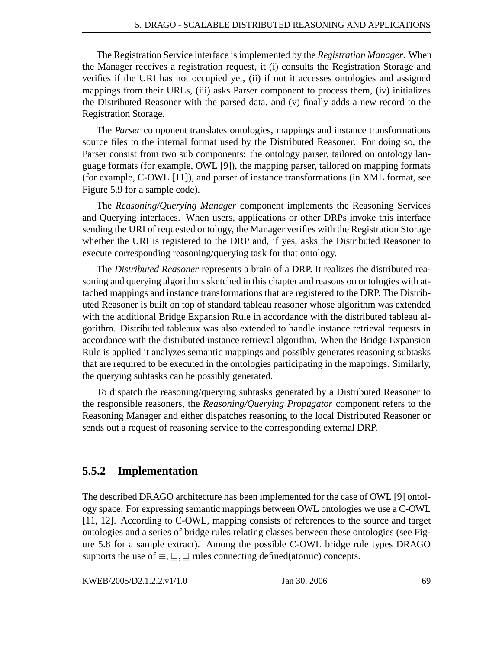The Registration Service interface is implemented by the *Registration Manager*. When the Manager receives a registration request, it (i) consults the Registration Storage and verifies if the URI has not occupied yet, (ii) if not it accesses ontologies and assigned mappings from their URLs, (iii) asks Parser component to process them, (iv) initializes the Distributed Reasoner with the parsed data, and (v) finally adds a new record to the Registration Storage.

The *Parser* component translates ontologies, mappings and instance transformations source files to the internal format used by the Distributed Reasoner. For doing so, the Parser consist from two sub components: the ontology parser, tailored on ontology language formats (for example, OWL [9]), the mapping parser, tailored on mapping formats (for example, C-OWL [11]), and parser of instance transformations (in XML format, see Figure 5.9 for a sample code).

The *Reasoning/Querying Manager* component implements the Reasoning Services and Querying interfaces. When users, applications or other DRPs invoke this interface sending the URI of requested ontology, the Manager verifies with the Registration Storage whether the URI is registered to the DRP and, if yes, asks the Distributed Reasoner to execute corresponding reasoning/querying task for that ontology.

The *Distributed Reasoner* represents a brain of a DRP. It realizes the distributed reasoning and querying algorithms sketched in this chapter and reasons on ontologies with attached mappings and instance transformations that are registered to the DRP. The Distributed Reasoner is built on top of standard tableau reasoner whose algorithm was extended with the additional Bridge Expansion Rule in accordance with the distributed tableau algorithm. Distributed tableaux was also extended to handle instance retrieval requests in accordance with the distributed instance retrieval algorithm. When the Bridge Expansion Rule is applied it analyzes semantic mappings and possibly generates reasoning subtasks that are required to be executed in the ontologies participating in the mappings. Similarly, the querying subtasks can be possibly generated.

To dispatch the reasoning/querying subtasks generated by a Distributed Reasoner to the responsible reasoners, the *Reasoning/Querying Propagator* component refers to the Reasoning Manager and either dispatches reasoning to the local Distributed Reasoner or sends out a request of reasoning service to the corresponding external DRP.

### **5.5.2 Implementation**

The described DRAGO architecture has been implemented for the case of OWL [9] ontology space. For expressing semantic mappings between OWL ontologies we use a C-OWL [11, 12]. According to C-OWL, mapping consists of references to the source and target ontologies and a series of bridge rules relating classes between these ontologies (see Figure 5.8 for a sample extract). Among the possible C-OWL bridge rule types DRAGO supports the use of  $\equiv$ ,  $\sqsubseteq$ ,  $\sqsupseteq$  rules connecting defined(atomic) concepts.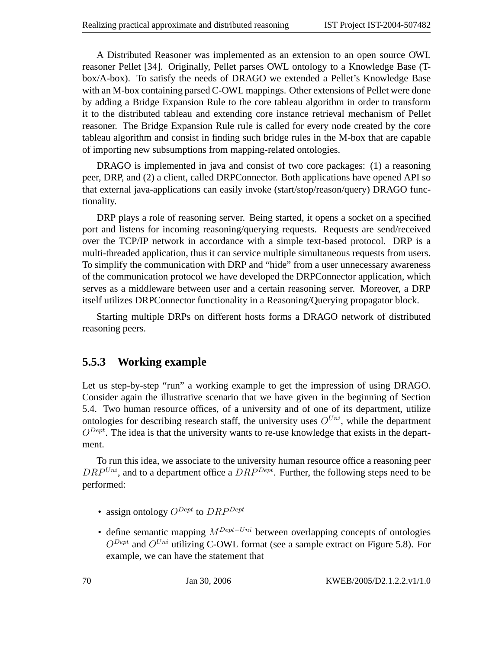A Distributed Reasoner was implemented as an extension to an open source OWL reasoner Pellet [34]. Originally, Pellet parses OWL ontology to a Knowledge Base (Tbox/A-box). To satisfy the needs of DRAGO we extended a Pellet's Knowledge Base with an M-box containing parsed C-OWL mappings. Other extensions of Pellet were done by adding a Bridge Expansion Rule to the core tableau algorithm in order to transform it to the distributed tableau and extending core instance retrieval mechanism of Pellet reasoner. The Bridge Expansion Rule rule is called for every node created by the core tableau algorithm and consist in finding such bridge rules in the M-box that are capable of importing new subsumptions from mapping-related ontologies.

DRAGO is implemented in java and consist of two core packages: (1) a reasoning peer, DRP, and (2) a client, called DRPConnector. Both applications have opened API so that external java-applications can easily invoke (start/stop/reason/query) DRAGO functionality.

DRP plays a role of reasoning server. Being started, it opens a socket on a specified port and listens for incoming reasoning/querying requests. Requests are send/received over the TCP/IP network in accordance with a simple text-based protocol. DRP is a multi-threaded application, thus it can service multiple simultaneous requests from users. To simplify the communication with DRP and "hide" from a user unnecessary awareness of the communication protocol we have developed the DRPConnector application, which serves as a middleware between user and a certain reasoning server. Moreover, a DRP itself utilizes DRPConnector functionality in a Reasoning/Querying propagator block.

Starting multiple DRPs on different hosts forms a DRAGO network of distributed reasoning peers.

### **5.5.3 Working example**

Let us step-by-step "run" a working example to get the impression of using DRAGO. Consider again the illustrative scenario that we have given in the beginning of Section 5.4. Two human resource offices, of a university and of one of its department, utilize ontologies for describing research staff, the university uses  $O^{Uni}$ , while the department  $O^{Depth}$ . The idea is that the university wants to re-use knowledge that exists in the department.

To run this idea, we associate to the university human resource office a reasoning peer  $DRP^{Uni}$ , and to a department office a  $DRP^{Depth}$ . Further, the following steps need to be performed:

- assign ontology  $O^{Depth}$  to  $DRP^{Depth}$
- define semantic mapping  $M^{Depth-Uni}$  between overlapping concepts of ontologies  $O^{Depth}$  and  $O^{Uni}$  utilizing C-OWL format (see a sample extract on Figure 5.8). For example, we can have the statement that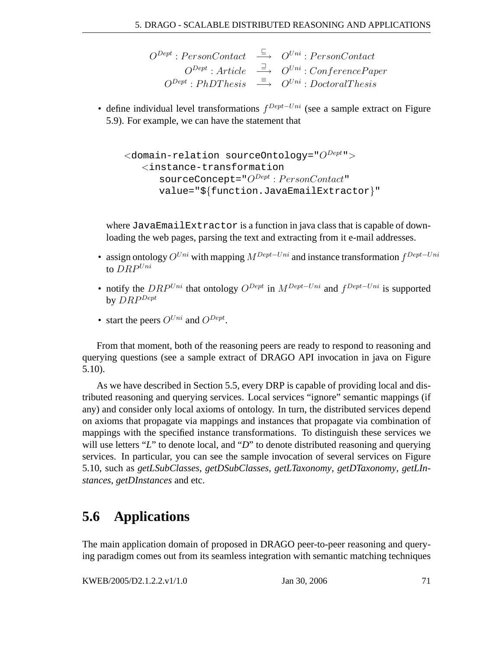$O^{Depth}: PersonContract \xrightarrow{\sqsubseteq} O^{Uni}: PersonContext$  $O^{Depth}: Article \quad \overset{\supseteq}{\longrightarrow} \quad O^{Uni}: Conference Paper$  $O^{Depth}: PhD Thesis \xrightarrow{\equiv} O^{Uni}: Doctorall thesis$ 

• define individual level transformations  $f^{Depth-Uni}$  (see a sample extract on Figure 5.9). For example, we can have the statement that

```
\leqdomain-relation sourceOntology="O^{Depth}">
   <instance-transformation
      sourceConcept = "O^{Depth}: PersonContext"value="${function.JavaEmailExtractor}"
```
where JavaEmailExtractor is a function in java class that is capable of downloading the web pages, parsing the text and extracting from it e-mail addresses.

- assign ontology  $O^{Uni}$  with mapping  $M^{Depth-Uni}$  and instance transformation  $f^{Depth-Uni}$ to  $DRP^{Uni}$
- notify the  $DRP^{Uni}$  that ontology  $O^{Depth}$  in  $M^{Depth-Uni}$  and  $f^{Depth-Uni}$  is supported by  $DRP^{Depth}$
- start the peers  $O^{Uni}$  and  $O^{Depth}$ .

From that moment, both of the reasoning peers are ready to respond to reasoning and querying questions (see a sample extract of DRAGO API invocation in java on Figure 5.10).

As we have described in Section 5.5, every DRP is capable of providing local and distributed reasoning and querying services. Local services "ignore" semantic mappings (if any) and consider only local axioms of ontology. In turn, the distributed services depend on axioms that propagate via mappings and instances that propagate via combination of mappings with the specified instance transformations. To distinguish these services we will use letters "*L*" to denote local, and "*D*" to denote distributed reasoning and querying services. In particular, you can see the sample invocation of several services on Figure 5.10, such as *getLSubClasses*, *getDSubClasses*, *getLTaxonomy*, *getDTaxonomy*, *getLInstances*, *getDInstances* and etc.

## **5.6 Applications**

The main application domain of proposed in DRAGO peer-to-peer reasoning and querying paradigm comes out from its seamless integration with semantic matching techniques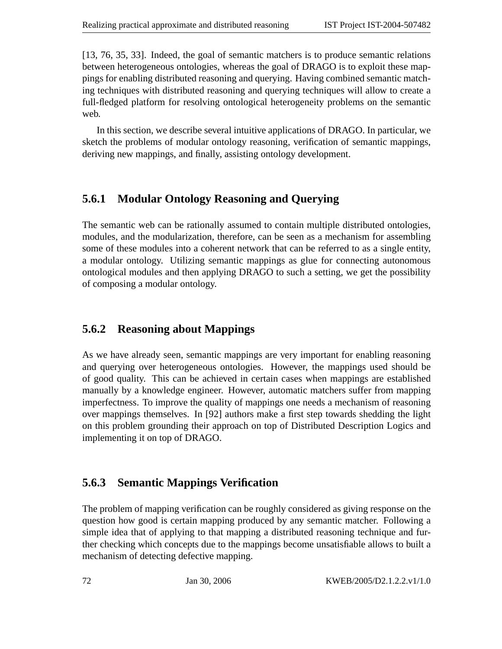[13, 76, 35, 33]. Indeed, the goal of semantic matchers is to produce semantic relations between heterogeneous ontologies, whereas the goal of DRAGO is to exploit these mappings for enabling distributed reasoning and querying. Having combined semantic matching techniques with distributed reasoning and querying techniques will allow to create a full-fledged platform for resolving ontological heterogeneity problems on the semantic web.

In this section, we describe several intuitive applications of DRAGO. In particular, we sketch the problems of modular ontology reasoning, verification of semantic mappings, deriving new mappings, and finally, assisting ontology development.

### **5.6.1 Modular Ontology Reasoning and Querying**

The semantic web can be rationally assumed to contain multiple distributed ontologies, modules, and the modularization, therefore, can be seen as a mechanism for assembling some of these modules into a coherent network that can be referred to as a single entity, a modular ontology. Utilizing semantic mappings as glue for connecting autonomous ontological modules and then applying DRAGO to such a setting, we get the possibility of composing a modular ontology.

### **5.6.2 Reasoning about Mappings**

As we have already seen, semantic mappings are very important for enabling reasoning and querying over heterogeneous ontologies. However, the mappings used should be of good quality. This can be achieved in certain cases when mappings are established manually by a knowledge engineer. However, automatic matchers suffer from mapping imperfectness. To improve the quality of mappings one needs a mechanism of reasoning over mappings themselves. In [92] authors make a first step towards shedding the light on this problem grounding their approach on top of Distributed Description Logics and implementing it on top of DRAGO.

### **5.6.3 Semantic Mappings Verification**

The problem of mapping verification can be roughly considered as giving response on the question how good is certain mapping produced by any semantic matcher. Following a simple idea that of applying to that mapping a distributed reasoning technique and further checking which concepts due to the mappings become unsatisfiable allows to built a mechanism of detecting defective mapping.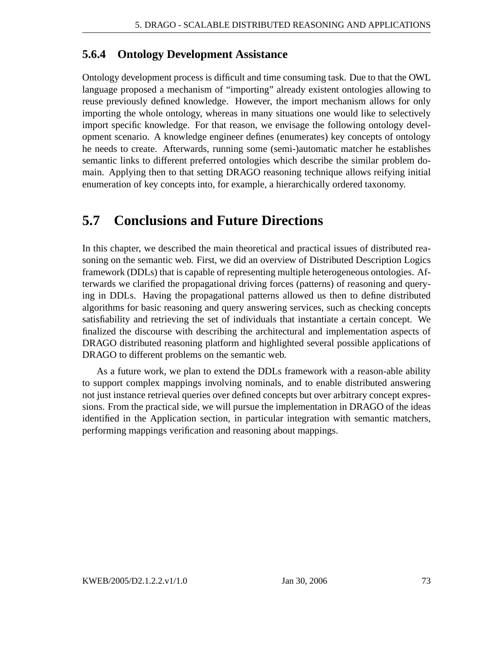### **5.6.4 Ontology Development Assistance**

Ontology development process is difficult and time consuming task. Due to that the OWL language proposed a mechanism of "importing" already existent ontologies allowing to reuse previously defined knowledge. However, the import mechanism allows for only importing the whole ontology, whereas in many situations one would like to selectively import specific knowledge. For that reason, we envisage the following ontology development scenario. A knowledge engineer defines (enumerates) key concepts of ontology he needs to create. Afterwards, running some (semi-)automatic matcher he establishes semantic links to different preferred ontologies which describe the similar problem domain. Applying then to that setting DRAGO reasoning technique allows reifying initial enumeration of key concepts into, for example, a hierarchically ordered taxonomy.

## **5.7 Conclusions and Future Directions**

In this chapter, we described the main theoretical and practical issues of distributed reasoning on the semantic web. First, we did an overview of Distributed Description Logics framework (DDLs) that is capable of representing multiple heterogeneous ontologies. Afterwards we clarified the propagational driving forces (patterns) of reasoning and querying in DDLs. Having the propagational patterns allowed us then to define distributed algorithms for basic reasoning and query answering services, such as checking concepts satisfiability and retrieving the set of individuals that instantiate a certain concept. We finalized the discourse with describing the architectural and implementation aspects of DRAGO distributed reasoning platform and highlighted several possible applications of DRAGO to different problems on the semantic web.

As a future work, we plan to extend the DDLs framework with a reason-able ability to support complex mappings involving nominals, and to enable distributed answering not just instance retrieval queries over defined concepts but over arbitrary concept expressions. From the practical side, we will pursue the implementation in DRAGO of the ideas identified in the Application section, in particular integration with semantic matchers, performing mappings verification and reasoning about mappings.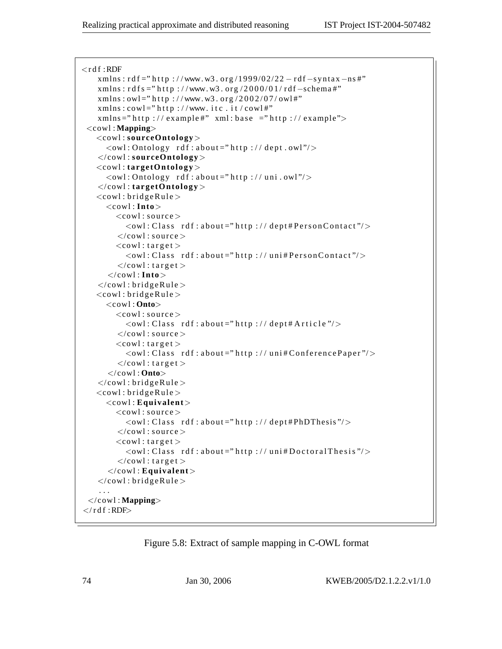```
<rdf:RDF
    xmlns : rdf =" http ://www.w3.org/1999/02/22 - rdf -syntax -ns#"
    xmlns: rdfs = "http://www.w3.org/2000/01/rdf-schema#"xmlns:owl="http://www.w3.org/2002/07/owl#"xmlns: \text{cowl} = "http://www. itc. it/ \text{cowl}#"xmlns="http://example#" xml:base="http://example"><cowl : Mapping>
    <cowl : sourceOntology>
      <owl: Ontology rdf: about="http://dept.owl"/>
    </ cowl : sourceOntology>
    <cowl : targetOntology>
       \langle 0 \text{w1}: \text{Ontology} \text{ rdf} : \text{about} = "http://uni.ow1"/\rangle</ cowl : targetOntology>
    <cowl : bridgeRule >
      <cowl : Into>
         <cowl : source >
            <owl: Class rdf: about="http://dept#PersonContact"/>
         \langle / cowl : source ><cowl : target >
            \langleowl: Class rdf: about="http://uni#PersonContact"/>
          \langle cowl : target ></ cowl : Into>
    \langle cowl : bridge Rule >
    <cowl : bridgeRule >
      <cowl : Onto>
         \langle \text{cowl} : \text{source} \rangle\langleowl: Class rdf: about="http://dept#Article"/>
          \langle / cowl : source ><cowl : target >\langleowl: Class rdf: about="http://uni#ConferencePaper"/>
          \langle cowl : target ></ cowl : Onto>
    \langle cowl : bridge Rule >
    <cowl : bridgeRule >
      <cowl : Equivalent>
         \langle \text{cowl} : \text{source} \rangle\langle \text{owl}: \text{Class } \text{ rdf}: \text{about} = \text{"http://depthPhDThesis"} \rangle\langle cowl : source ><cowl : target >
            \langle \text{owl}: \text{Class } \text{ rdf}: \text{about} = \text{"http://unifDoctoralThesis"} \rangle\langle / cowl : target >
       </ cowl : Equivalent>
    \langle / cowl : bridge Rule >
     . . .
 </ cowl : Mapping>
\langle r df : RDF \rangle
```
Figure 5.8: Extract of sample mapping in C-OWL format

74 Jan 30, 2006 KWEB/2005/D2.1.2.2.v1/1.0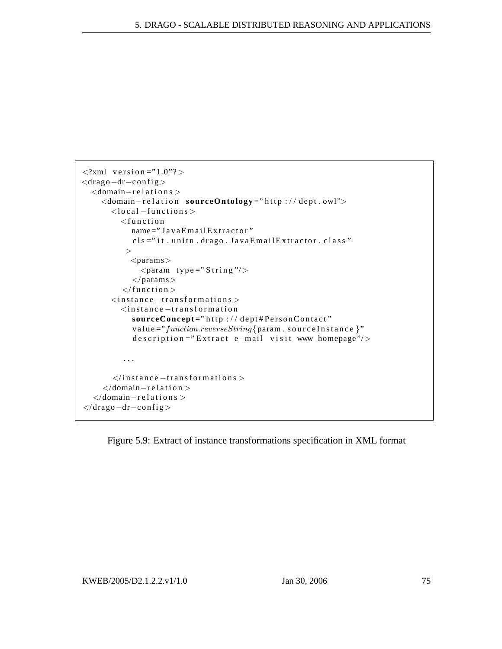```
\langle 2xml version ="1.0"? >
\langledrago-dr-config>
  \ledomain-relations >
    <domain-relation sourceOntology="http://dept.owl">
       <local -functions >
         <function
            name="Take" Java E mail Extraction"cls =" it . unitn . drago . JavaEmailExtractor . class"
          \geq<params>\langleparam type =" String"/>
            \langle/params>\langle function >\langleinstance -transformations >\langleinstance -transformation
            sourceConcept=" http://dept#PersonContact"
            value ="function.reverseString{param.sourceInstance}"
            description = "Extract e-mail visit www homepage"/>
          . . .
       \langleinstance –transformations >
     \lt/domain-relation >
  \lt/domain-relations >
\langle \rangledrago-dr-config>
```
Figure 5.9: Extract of instance transformations specification in XML format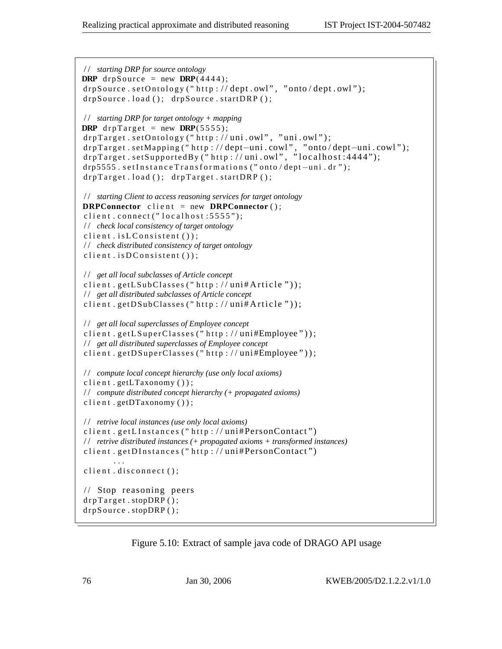```
/ / starting DRP for source ontology
DRP drpSource = new DRP(4444);
drpSource.setOntology("http://dept.com]", "onto/dept.com]";
drp Source . load (); drp Source . start DRP ();
/ / starting DRP for target ontology + mapping
DRP drpTarget = new DRP(5555);
drp Target.set Ontology ("http://uni.owl", "uni.owl");
drp Target. setMapping ("http://dept-uni.cowl", "onto/dept-uni.cowl");
drpTarget.setSupportedBy("http://uni.owl", "localhost:4444");drp5555. set Instance Transformations ("onto / dept-uni. dr");
drp Target.load (); drp Target.start DRP();
/ / starting Client to access reasoning services for target ontology
DRPConnector client = new DRPConnector ();
c lient.connect ("localhost: 5555");
/ / check local consistency of target ontology
client.isLConsistent();/ / check distributed consistency of target ontology
client.isDConsistent();
/ / get all local subclasses of Article concept
client.getLSubClasses ("http://uni#Article"));
/ / get all distributed subclasses of Article concept
client.getDSubClasses ("http://uni#Article"));
/ / get all local superclasses of Employee concept
client.getLSuperClasses("http://uni#Employee"));
/ / get all distributed superclasses of Employee concept
client.getDSuperClasses("http://uni#Employee"));
/ / compute local concept hierarchy (use only local axioms)
client.getLTaxonomy());
/ / compute distributed concept hierarchy (+ propagated axioms)
client.getDTaxonomy());
/ / retrive local instances (use only local axioms)
client.getLInstances ("http://uni#PersonContact")
/ / retrive distributed instances (+ propagated axioms + transformed instances)
c lient. get D Instances ("http://uni#PersonContact")
        . . .
client.disconnect();
/ / Stop reasoning peers
drpTarget. stopDRP();
drp Source . stopDRP();
```
Figure 5.10: Extract of sample java code of DRAGO API usage

76 Jan 30, 2006 KWEB/2005/D2.1.2.2.v1/1.0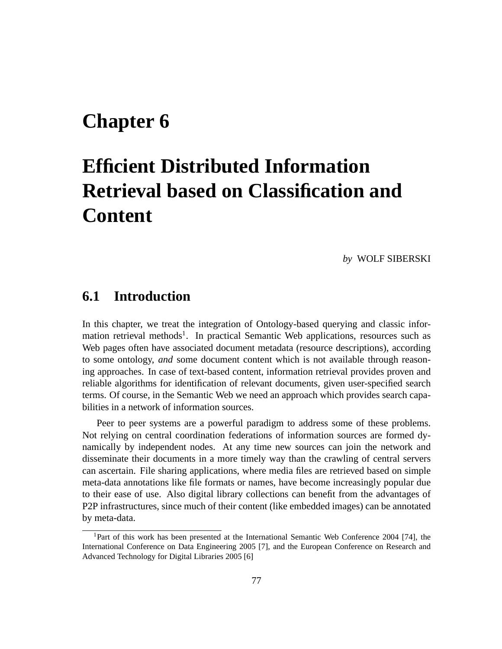# **Chapter 6**

# **Efficient Distributed Information Retrieval based on Classification and Content**

*by* WOLF SIBERSKI

### **6.1 Introduction**

In this chapter, we treat the integration of Ontology-based querying and classic information retrieval methods<sup>1</sup>. In practical Semantic Web applications, resources such as Web pages often have associated document metadata (resource descriptions), according to some ontology, *and* some document content which is not available through reasoning approaches. In case of text-based content, information retrieval provides proven and reliable algorithms for identification of relevant documents, given user-specified search terms. Of course, in the Semantic Web we need an approach which provides search capabilities in a network of information sources.

Peer to peer systems are a powerful paradigm to address some of these problems. Not relying on central coordination federations of information sources are formed dynamically by independent nodes. At any time new sources can join the network and disseminate their documents in a more timely way than the crawling of central servers can ascertain. File sharing applications, where media files are retrieved based on simple meta-data annotations like file formats or names, have become increasingly popular due to their ease of use. Also digital library collections can benefit from the advantages of P2P infrastructures, since much of their content (like embedded images) can be annotated by meta-data.

<sup>1</sup>Part of this work has been presented at the International Semantic Web Conference 2004 [74], the International Conference on Data Engineering 2005 [7], and the European Conference on Research and Advanced Technology for Digital Libraries 2005 [6]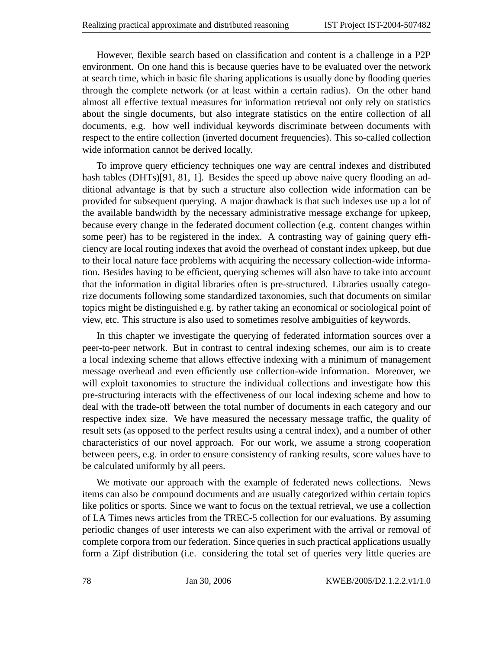However, flexible search based on classification and content is a challenge in a P2P environment. On one hand this is because queries have to be evaluated over the network at search time, which in basic file sharing applications is usually done by flooding queries through the complete network (or at least within a certain radius). On the other hand almost all effective textual measures for information retrieval not only rely on statistics about the single documents, but also integrate statistics on the entire collection of all documents, e.g. how well individual keywords discriminate between documents with respect to the entire collection (inverted document frequencies). This so-called collection wide information cannot be derived locally.

To improve query efficiency techniques one way are central indexes and distributed hash tables (DHTs)[91, 81, 1]. Besides the speed up above naive query flooding an additional advantage is that by such a structure also collection wide information can be provided for subsequent querying. A major drawback is that such indexes use up a lot of the available bandwidth by the necessary administrative message exchange for upkeep, because every change in the federated document collection (e.g. content changes within some peer) has to be registered in the index. A contrasting way of gaining query efficiency are local routing indexes that avoid the overhead of constant index upkeep, but due to their local nature face problems with acquiring the necessary collection-wide information. Besides having to be efficient, querying schemes will also have to take into account that the information in digital libraries often is pre-structured. Libraries usually categorize documents following some standardized taxonomies, such that documents on similar topics might be distinguished e.g. by rather taking an economical or sociological point of view, etc. This structure is also used to sometimes resolve ambiguities of keywords.

In this chapter we investigate the querying of federated information sources over a peer-to-peer network. But in contrast to central indexing schemes, our aim is to create a local indexing scheme that allows effective indexing with a minimum of management message overhead and even efficiently use collection-wide information. Moreover, we will exploit taxonomies to structure the individual collections and investigate how this pre-structuring interacts with the effectiveness of our local indexing scheme and how to deal with the trade-off between the total number of documents in each category and our respective index size. We have measured the necessary message traffic, the quality of result sets (as opposed to the perfect results using a central index), and a number of other characteristics of our novel approach. For our work, we assume a strong cooperation between peers, e.g. in order to ensure consistency of ranking results, score values have to be calculated uniformly by all peers.

We motivate our approach with the example of federated news collections. News items can also be compound documents and are usually categorized within certain topics like politics or sports. Since we want to focus on the textual retrieval, we use a collection of LA Times news articles from the TREC-5 collection for our evaluations. By assuming periodic changes of user interests we can also experiment with the arrival or removal of complete corpora from our federation. Since queries in such practical applications usually form a Zipf distribution (i.e. considering the total set of queries very little queries are

78 Jan 30, 2006 **KWEB**/2005/D2.1.2.2.v1/1.0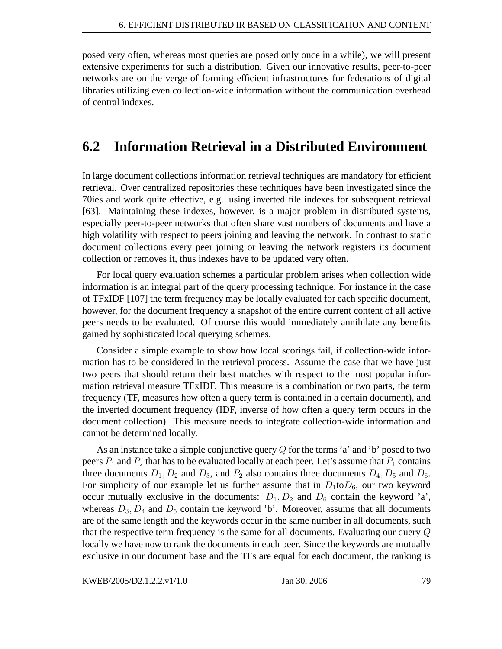posed very often, whereas most queries are posed only once in a while), we will present extensive experiments for such a distribution. Given our innovative results, peer-to-peer networks are on the verge of forming efficient infrastructures for federations of digital libraries utilizing even collection-wide information without the communication overhead of central indexes.

## **6.2 Information Retrieval in a Distributed Environment**

In large document collections information retrieval techniques are mandatory for efficient retrieval. Over centralized repositories these techniques have been investigated since the 70ies and work quite effective, e.g. using inverted file indexes for subsequent retrieval [63]. Maintaining these indexes, however, is a major problem in distributed systems, especially peer-to-peer networks that often share vast numbers of documents and have a high volatility with respect to peers joining and leaving the network. In contrast to static document collections every peer joining or leaving the network registers its document collection or removes it, thus indexes have to be updated very often.

For local query evaluation schemes a particular problem arises when collection wide information is an integral part of the query processing technique. For instance in the case of TFxIDF [107] the term frequency may be locally evaluated for each specific document, however, for the document frequency a snapshot of the entire current content of all active peers needs to be evaluated. Of course this would immediately annihilate any benefits gained by sophisticated local querying schemes.

Consider a simple example to show how local scorings fail, if collection-wide information has to be considered in the retrieval process. Assume the case that we have just two peers that should return their best matches with respect to the most popular information retrieval measure TFxIDF. This measure is a combination or two parts, the term frequency (TF, measures how often a query term is contained in a certain document), and the inverted document frequency (IDF, inverse of how often a query term occurs in the document collection). This measure needs to integrate collection-wide information and cannot be determined locally.

As an instance take a simple conjunctive query  $Q$  for the terms 'a' and 'b' posed to two peers  $P_1$  and  $P_2$  that has to be evaluated locally at each peer. Let's assume that  $P_1$  contains three documents  $D_1, D_2$  and  $D_3$ , and  $P_2$  also contains three documents  $D_4, D_5$  and  $D_6$ . For simplicity of our example let us further assume that in  $D_1$ to $D_6$ , our two keyword occur mutually exclusive in the documents:  $D_1, D_2$  and  $D_6$  contain the keyword 'a', whereas  $D_3, D_4$  and  $D_5$  contain the keyword 'b'. Moreover, assume that all documents are of the same length and the keywords occur in the same number in all documents, such that the respective term frequency is the same for all documents. Evaluating our query Q locally we have now to rank the documents in each peer. Since the keywords are mutually exclusive in our document base and the TFs are equal for each document, the ranking is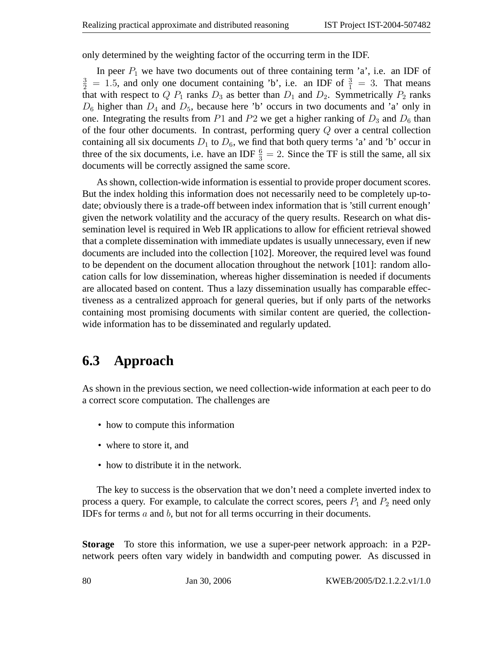only determined by the weighting factor of the occurring term in the IDF.

In peer  $P_1$  we have two documents out of three containing term 'a', i.e. an IDF of  $\frac{3}{2}$  = 1.5, and only one document containing 'b', i.e. an IDF of  $\frac{3}{1}$  = 3. That means that with respect to Q  $P_1$  ranks  $D_3$  as better than  $D_1$  and  $D_2$ . Symmetrically  $P_2$  ranks  $D_6$  higher than  $D_4$  and  $D_5$ , because here 'b' occurs in two documents and 'a' only in one. Integrating the results from P1 and P2 we get a higher ranking of  $D_3$  and  $D_6$  than of the four other documents. In contrast, performing query Q over a central collection containing all six documents  $D_1$  to  $D_6$ , we find that both query terms 'a' and 'b' occur in three of the six documents, i.e. have an IDF  $\frac{6}{3} = 2$ . Since the TF is still the same, all six documents will be correctly assigned the same score.

As shown, collection-wide information is essential to provide proper document scores. But the index holding this information does not necessarily need to be completely up-todate; obviously there is a trade-off between index information that is 'still current enough' given the network volatility and the accuracy of the query results. Research on what dissemination level is required in Web IR applications to allow for efficient retrieval showed that a complete dissemination with immediate updates is usually unnecessary, even if new documents are included into the collection [102]. Moreover, the required level was found to be dependent on the document allocation throughout the network [101]: random allocation calls for low dissemination, whereas higher dissemination is needed if documents are allocated based on content. Thus a lazy dissemination usually has comparable effectiveness as a centralized approach for general queries, but if only parts of the networks containing most promising documents with similar content are queried, the collectionwide information has to be disseminated and regularly updated.

# **6.3 Approach**

As shown in the previous section, we need collection-wide information at each peer to do a correct score computation. The challenges are

- how to compute this information
- where to store it, and
- how to distribute it in the network.

The key to success is the observation that we don't need a complete inverted index to process a query. For example, to calculate the correct scores, peers  $P_1$  and  $P_2$  need only IDFs for terms  $a$  and  $b$ , but not for all terms occurring in their documents.

**Storage** To store this information, we use a super-peer network approach: in a P2Pnetwork peers often vary widely in bandwidth and computing power. As discussed in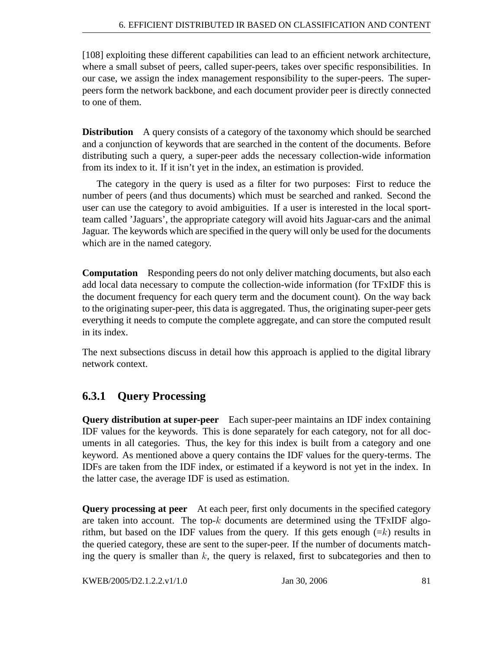[108] exploiting these different capabilities can lead to an efficient network architecture, where a small subset of peers, called super-peers, takes over specific responsibilities. In our case, we assign the index management responsibility to the super-peers. The superpeers form the network backbone, and each document provider peer is directly connected to one of them.

**Distribution** A query consists of a category of the taxonomy which should be searched and a conjunction of keywords that are searched in the content of the documents. Before distributing such a query, a super-peer adds the necessary collection-wide information from its index to it. If it isn't yet in the index, an estimation is provided.

The category in the query is used as a filter for two purposes: First to reduce the number of peers (and thus documents) which must be searched and ranked. Second the user can use the category to avoid ambiguities. If a user is interested in the local sportteam called 'Jaguars', the appropriate category will avoid hits Jaguar-cars and the animal Jaguar. The keywords which are specified in the query will only be used for the documents which are in the named category.

**Computation** Responding peers do not only deliver matching documents, but also each add local data necessary to compute the collection-wide information (for TFxIDF this is the document frequency for each query term and the document count). On the way back to the originating super-peer, this data is aggregated. Thus, the originating super-peer gets everything it needs to compute the complete aggregate, and can store the computed result in its index.

The next subsections discuss in detail how this approach is applied to the digital library network context.

### **6.3.1 Query Processing**

**Query distribution at super-peer** Each super-peer maintains an IDF index containing IDF values for the keywords. This is done separately for each category, not for all documents in all categories. Thus, the key for this index is built from a category and one keyword. As mentioned above a query contains the IDF values for the query-terms. The IDFs are taken from the IDF index, or estimated if a keyword is not yet in the index. In the latter case, the average IDF is used as estimation.

**Query processing at peer** At each peer, first only documents in the specified category are taken into account. The top- $k$  documents are determined using the TFxIDF algorithm, but based on the IDF values from the query. If this gets enough  $(=k)$  results in the queried category, these are sent to the super-peer. If the number of documents matching the query is smaller than  $k$ , the query is relaxed, first to subcategories and then to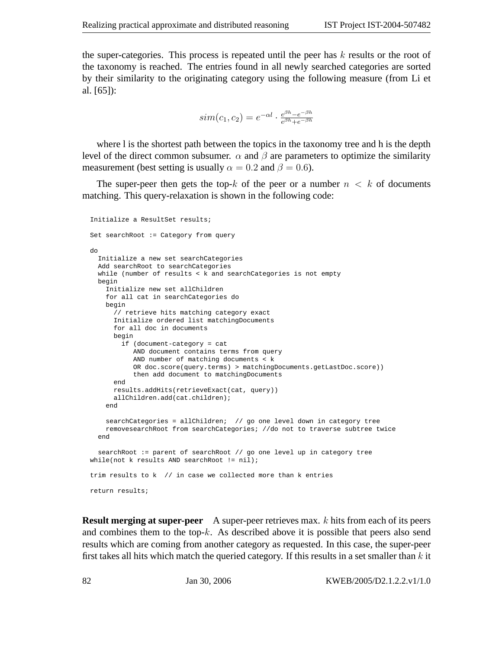the super-categories. This process is repeated until the peer has  $k$  results or the root of the taxonomy is reached. The entries found in all newly searched categories are sorted by their similarity to the originating category using the following measure (from Li et al. [65]):

$$
sim(c_1, c_2) = e^{-\alpha l} \cdot \frac{e^{\beta h} - e^{-\beta h}}{e^{\beta h} + e^{-\beta h}}
$$

where l is the shortest path between the topics in the taxonomy tree and h is the depth level of the direct common subsumer.  $\alpha$  and  $\beta$  are parameters to optimize the similarity measurement (best setting is usually  $\alpha = 0.2$  and  $\beta = 0.6$ ).

The super-peer then gets the top-k of the peer or a number  $n < k$  of documents matching. This query-relaxation is shown in the following code:

```
Initialize a ResultSet results;
Set searchRoot := Category from query
do
 Initialize a new set searchCategories
 Add searchRoot to searchCategories
 while (number of results < k and searchCategories is not empty
 begin
    Initialize new set allChildren
   for all cat in searchCategories do
   begin
      // retrieve hits matching category exact
      Initialize ordered list matchingDocuments
     for all doc in documents
     begin
        if (document-category = cat
          AND document contains terms from query
           AND number of matching documents < k
           OR doc.score(query.terms) > matchingDocuments.getLastDoc.score))
           then add document to matchingDocuments
      end
     results.addHits(retrieveExact(cat, query))
     allChildren.add(cat.children);
    end
    searchCategories = allChildren; // go one level down in category tree
   removesearchRoot from searchCategories; //do not to traverse subtree twice
  end
  searchRoot := parent of searchRoot // go one level up in category tree
while(not k results AND searchRoot != nil);
trim results to k // in case we collected more than k entries
return results;
```
**Result merging at super-peer** A super-peer retrieves max. k hits from each of its peers and combines them to the top- $k$ . As described above it is possible that peers also send results which are coming from another category as requested. In this case, the super-peer first takes all hits which match the queried category. If this results in a set smaller than  $k$  it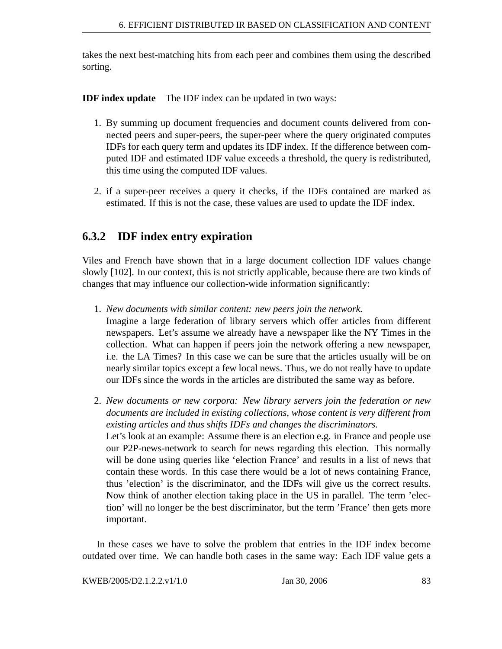takes the next best-matching hits from each peer and combines them using the described sorting.

**IDF index update** The IDF index can be updated in two ways:

- 1. By summing up document frequencies and document counts delivered from connected peers and super-peers, the super-peer where the query originated computes IDFs for each query term and updates its IDF index. If the difference between computed IDF and estimated IDF value exceeds a threshold, the query is redistributed, this time using the computed IDF values.
- 2. if a super-peer receives a query it checks, if the IDFs contained are marked as estimated. If this is not the case, these values are used to update the IDF index.

### **6.3.2 IDF index entry expiration**

Viles and French have shown that in a large document collection IDF values change slowly [102]. In our context, this is not strictly applicable, because there are two kinds of changes that may influence our collection-wide information significantly:

- 1. *New documents with similar content: new peers join the network.* Imagine a large federation of library servers which offer articles from different newspapers. Let's assume we already have a newspaper like the NY Times in the collection. What can happen if peers join the network offering a new newspaper, i.e. the LA Times? In this case we can be sure that the articles usually will be on nearly similar topics except a few local news. Thus, we do not really have to update our IDFs since the words in the articles are distributed the same way as before.
- 2. *New documents or new corpora: New library servers join the federation or new documents are included in existing collections, whose content is very different from existing articles and thus shifts IDFs and changes the discriminators.* Let's look at an example: Assume there is an election e.g. in France and people use our P2P-news-network to search for news regarding this election. This normally will be done using queries like 'election France' and results in a list of news that contain these words. In this case there would be a lot of news containing France, thus 'election' is the discriminator, and the IDFs will give us the correct results. Now think of another election taking place in the US in parallel. The term 'election' will no longer be the best discriminator, but the term 'France' then gets more important.

In these cases we have to solve the problem that entries in the IDF index become outdated over time. We can handle both cases in the same way: Each IDF value gets a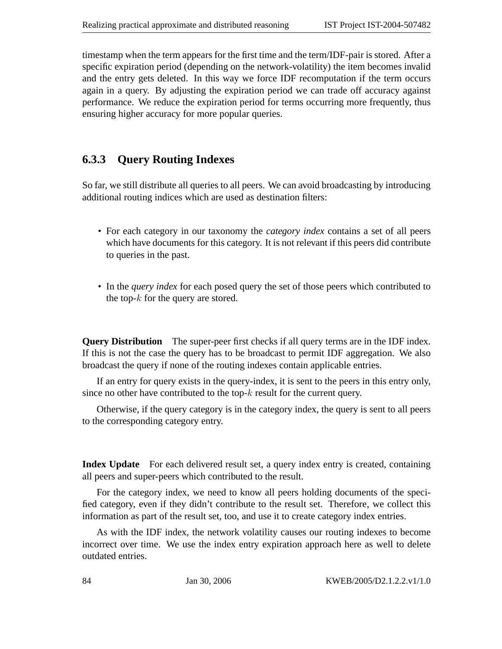timestamp when the term appears for the first time and the term/IDF-pair is stored. After a specific expiration period (depending on the network-volatility) the item becomes invalid and the entry gets deleted. In this way we force IDF recomputation if the term occurs again in a query. By adjusting the expiration period we can trade off accuracy against performance. We reduce the expiration period for terms occurring more frequently, thus ensuring higher accuracy for more popular queries.

### **6.3.3 Query Routing Indexes**

So far, we still distribute all queries to all peers. We can avoid broadcasting by introducing additional routing indices which are used as destination filters:

- For each category in our taxonomy the *category index* contains a set of all peers which have documents for this category. It is not relevant if this peers did contribute to queries in the past.
- In the *query index* for each posed query the set of those peers which contributed to the top- $k$  for the query are stored.

**Query Distribution** The super-peer first checks if all query terms are in the IDF index. If this is not the case the query has to be broadcast to permit IDF aggregation. We also broadcast the query if none of the routing indexes contain applicable entries.

If an entry for query exists in the query-index, it is sent to the peers in this entry only, since no other have contributed to the top- $k$  result for the current query.

Otherwise, if the query category is in the category index, the query is sent to all peers to the corresponding category entry.

**Index Update** For each delivered result set, a query index entry is created, containing all peers and super-peers which contributed to the result.

For the category index, we need to know all peers holding documents of the specified category, even if they didn't contribute to the result set. Therefore, we collect this information as part of the result set, too, and use it to create category index entries.

As with the IDF index, the network volatility causes our routing indexes to become incorrect over time. We use the index entry expiration approach here as well to delete outdated entries.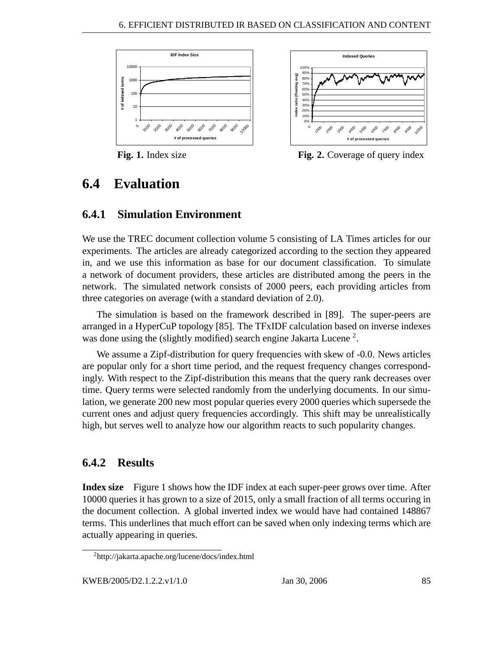



**Fig. 1.** Index size **Fig. 2.** Coverage of query index

## **6.4 Evaluation**

### **6.4.1 Simulation Environment**

We use the TREC document collection volume 5 consisting of LA Times articles for our experiments. The articles are already categorized according to the section they appeared in, and we use this information as base for our document classification. To simulate a network of document providers, these articles are distributed among the peers in the network. The simulated network consists of 2000 peers, each providing articles from three categories on average (with a standard deviation of 2.0).

The simulation is based on the framework described in [89]. The super-peers are arranged in a HyperCuP topology [85]. The TFxIDF calculation based on inverse indexes was done using the (slightly modified) search engine Jakarta Lucene<sup>2</sup>.

We assume a Zipf-distribution for query frequencies with skew of -0.0. News articles are popular only for a short time period, and the request frequency changes correspondingly. With respect to the Zipf-distribution this means that the query rank decreases over time. Query terms were selected randomly from the underlying documents. In our simulation, we generate 200 new most popular queries every 2000 queries which supersede the current ones and adjust query frequencies accordingly. This shift may be unrealistically high, but serves well to analyze how our algorithm reacts to such popularity changes.

### **6.4.2 Results**

**Index size** Figure 1 shows how the IDF index at each super-peer grows over time. After 10000 queries it has grown to a size of 2015, only a small fraction of all terms occuring in the document collection. A global inverted index we would have had contained 148867 terms. This underlines that much effort can be saved when only indexing terms which are actually appearing in queries.

<sup>2</sup>http://jakarta.apache.org/lucene/docs/index.html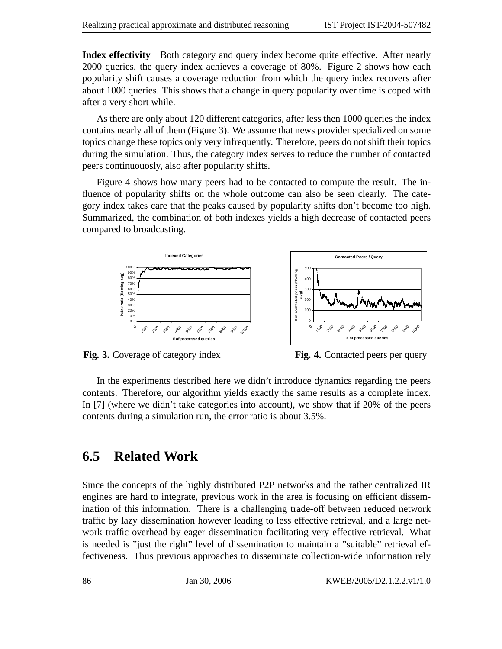**Index effectivity** Both category and query index become quite effective. After nearly 2000 queries, the query index achieves a coverage of 80%. Figure 2 shows how each popularity shift causes a coverage reduction from which the query index recovers after about 1000 queries. This shows that a change in query popularity over time is coped with after a very short while.

As there are only about 120 different categories, after less then 1000 queries the index contains nearly all of them (Figure 3). We assume that news provider specialized on some topics change these topics only very infrequently. Therefore, peers do not shift their topics during the simulation. Thus, the category index serves to reduce the number of contacted peers continuouosly, also after popularity shifts.

Figure 4 shows how many peers had to be contacted to compute the result. The influence of popularity shifts on the whole outcome can also be seen clearly. The category index takes care that the peaks caused by popularity shifts don't become too high. Summarized, the combination of both indexes yields a high decrease of contacted peers compared to broadcasting.





**Fig. 3.** Coverage of category index **Fig. 4.** Contacted peers per query

In the experiments described here we didn't introduce dynamics regarding the peers contents. Therefore, our algorithm yields exactly the same results as a complete index. In [7] (where we didn't take categories into account), we show that if 20% of the peers contents during a simulation run, the error ratio is about 3.5%.

## **6.5 Related Work**

Since the concepts of the highly distributed P2P networks and the rather centralized IR engines are hard to integrate, previous work in the area is focusing on efficient dissemination of this information. There is a challenging trade-off between reduced network traffic by lazy dissemination however leading to less effective retrieval, and a large network traffic overhead by eager dissemination facilitating very effective retrieval. What is needed is "just the right" level of dissemination to maintain a "suitable" retrieval effectiveness. Thus previous approaches to disseminate collection-wide information rely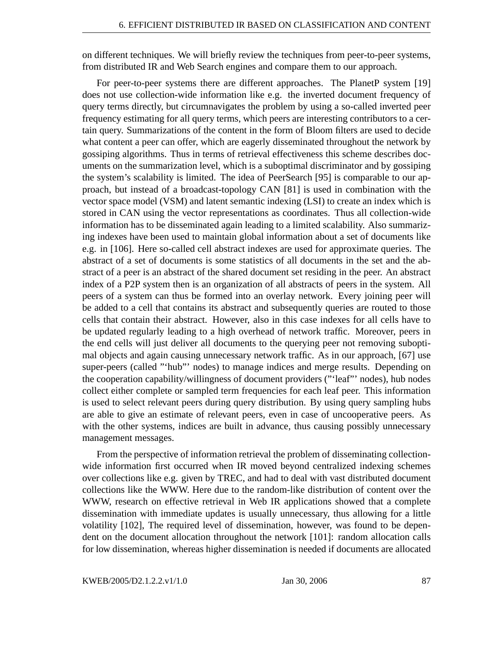on different techniques. We will briefly review the techniques from peer-to-peer systems, from distributed IR and Web Search engines and compare them to our approach.

For peer-to-peer systems there are different approaches. The PlanetP system [19] does not use collection-wide information like e.g. the inverted document frequency of query terms directly, but circumnavigates the problem by using a so-called inverted peer frequency estimating for all query terms, which peers are interesting contributors to a certain query. Summarizations of the content in the form of Bloom filters are used to decide what content a peer can offer, which are eagerly disseminated throughout the network by gossiping algorithms. Thus in terms of retrieval effectiveness this scheme describes documents on the summarization level, which is a suboptimal discriminator and by gossiping the system's scalability is limited. The idea of PeerSearch [95] is comparable to our approach, but instead of a broadcast-topology CAN [81] is used in combination with the vector space model (VSM) and latent semantic indexing (LSI) to create an index which is stored in CAN using the vector representations as coordinates. Thus all collection-wide information has to be disseminated again leading to a limited scalability. Also summarizing indexes have been used to maintain global information about a set of documents like e.g. in [106]. Here so-called cell abstract indexes are used for approximate queries. The abstract of a set of documents is some statistics of all documents in the set and the abstract of a peer is an abstract of the shared document set residing in the peer. An abstract index of a P2P system then is an organization of all abstracts of peers in the system. All peers of a system can thus be formed into an overlay network. Every joining peer will be added to a cell that contains its abstract and subsequently queries are routed to those cells that contain their abstract. However, also in this case indexes for all cells have to be updated regularly leading to a high overhead of network traffic. Moreover, peers in the end cells will just deliver all documents to the querying peer not removing suboptimal objects and again causing unnecessary network traffic. As in our approach, [67] use super-peers (called "'hub"' nodes) to manage indices and merge results. Depending on the cooperation capability/willingness of document providers ("'leaf"' nodes), hub nodes collect either complete or sampled term frequencies for each leaf peer. This information is used to select relevant peers during query distribution. By using query sampling hubs are able to give an estimate of relevant peers, even in case of uncooperative peers. As with the other systems, indices are built in advance, thus causing possibly unnecessary management messages.

From the perspective of information retrieval the problem of disseminating collectionwide information first occurred when IR moved beyond centralized indexing schemes over collections like e.g. given by TREC, and had to deal with vast distributed document collections like the WWW. Here due to the random-like distribution of content over the WWW, research on effective retrieval in Web IR applications showed that a complete dissemination with immediate updates is usually unnecessary, thus allowing for a little volatility [102], The required level of dissemination, however, was found to be dependent on the document allocation throughout the network [101]: random allocation calls for low dissemination, whereas higher dissemination is needed if documents are allocated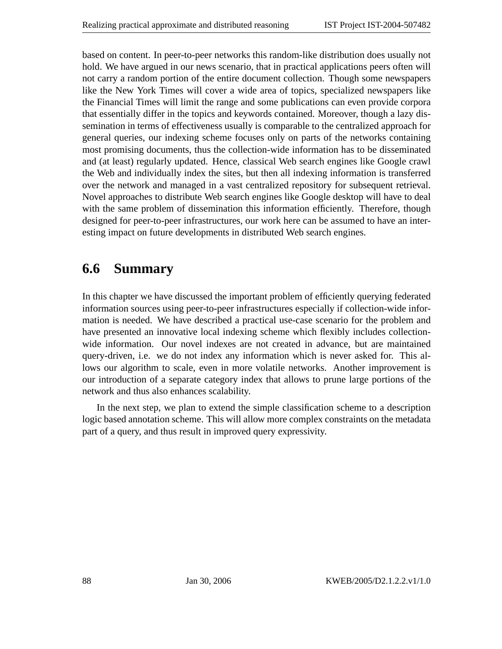based on content. In peer-to-peer networks this random-like distribution does usually not hold. We have argued in our news scenario, that in practical applications peers often will not carry a random portion of the entire document collection. Though some newspapers like the New York Times will cover a wide area of topics, specialized newspapers like the Financial Times will limit the range and some publications can even provide corpora that essentially differ in the topics and keywords contained. Moreover, though a lazy dissemination in terms of effectiveness usually is comparable to the centralized approach for general queries, our indexing scheme focuses only on parts of the networks containing most promising documents, thus the collection-wide information has to be disseminated and (at least) regularly updated. Hence, classical Web search engines like Google crawl the Web and individually index the sites, but then all indexing information is transferred over the network and managed in a vast centralized repository for subsequent retrieval. Novel approaches to distribute Web search engines like Google desktop will have to deal with the same problem of dissemination this information efficiently. Therefore, though designed for peer-to-peer infrastructures, our work here can be assumed to have an interesting impact on future developments in distributed Web search engines.

# **6.6 Summary**

In this chapter we have discussed the important problem of efficiently querying federated information sources using peer-to-peer infrastructures especially if collection-wide information is needed. We have described a practical use-case scenario for the problem and have presented an innovative local indexing scheme which flexibly includes collectionwide information. Our novel indexes are not created in advance, but are maintained query-driven, i.e. we do not index any information which is never asked for. This allows our algorithm to scale, even in more volatile networks. Another improvement is our introduction of a separate category index that allows to prune large portions of the network and thus also enhances scalability.

In the next step, we plan to extend the simple classification scheme to a description logic based annotation scheme. This will allow more complex constraints on the metadata part of a query, and thus result in improved query expressivity.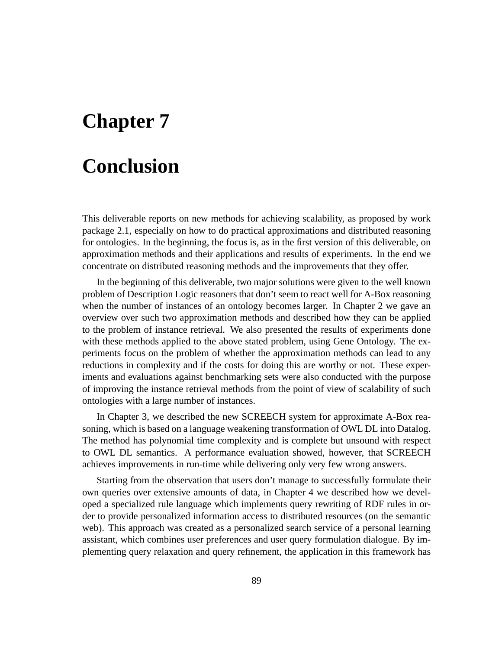# **Chapter 7**

# **Conclusion**

This deliverable reports on new methods for achieving scalability, as proposed by work package 2.1, especially on how to do practical approximations and distributed reasoning for ontologies. In the beginning, the focus is, as in the first version of this deliverable, on approximation methods and their applications and results of experiments. In the end we concentrate on distributed reasoning methods and the improvements that they offer.

In the beginning of this deliverable, two major solutions were given to the well known problem of Description Logic reasoners that don't seem to react well for A-Box reasoning when the number of instances of an ontology becomes larger. In Chapter 2 we gave an overview over such two approximation methods and described how they can be applied to the problem of instance retrieval. We also presented the results of experiments done with these methods applied to the above stated problem, using Gene Ontology. The experiments focus on the problem of whether the approximation methods can lead to any reductions in complexity and if the costs for doing this are worthy or not. These experiments and evaluations against benchmarking sets were also conducted with the purpose of improving the instance retrieval methods from the point of view of scalability of such ontologies with a large number of instances.

In Chapter 3, we described the new SCREECH system for approximate A-Box reasoning, which is based on a language weakening transformation of OWL DL into Datalog. The method has polynomial time complexity and is complete but unsound with respect to OWL DL semantics. A performance evaluation showed, however, that SCREECH achieves improvements in run-time while delivering only very few wrong answers.

Starting from the observation that users don't manage to successfully formulate their own queries over extensive amounts of data, in Chapter 4 we described how we developed a specialized rule language which implements query rewriting of RDF rules in order to provide personalized information access to distributed resources (on the semantic web). This approach was created as a personalized search service of a personal learning assistant, which combines user preferences and user query formulation dialogue. By implementing query relaxation and query refinement, the application in this framework has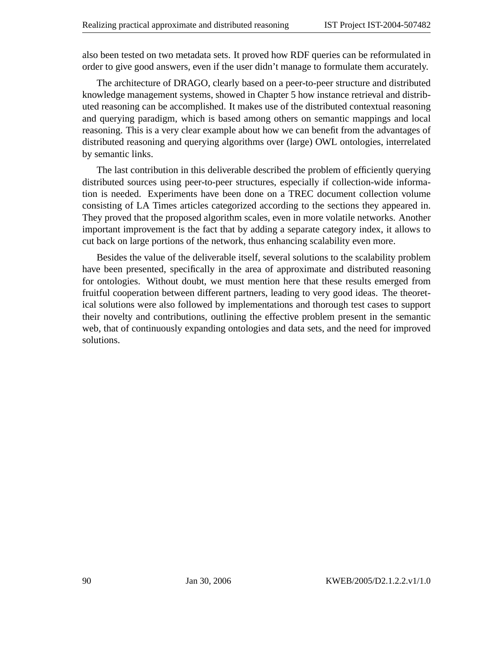also been tested on two metadata sets. It proved how RDF queries can be reformulated in order to give good answers, even if the user didn't manage to formulate them accurately.

The architecture of DRAGO, clearly based on a peer-to-peer structure and distributed knowledge management systems, showed in Chapter 5 how instance retrieval and distributed reasoning can be accomplished. It makes use of the distributed contextual reasoning and querying paradigm, which is based among others on semantic mappings and local reasoning. This is a very clear example about how we can benefit from the advantages of distributed reasoning and querying algorithms over (large) OWL ontologies, interrelated by semantic links.

The last contribution in this deliverable described the problem of efficiently querying distributed sources using peer-to-peer structures, especially if collection-wide information is needed. Experiments have been done on a TREC document collection volume consisting of LA Times articles categorized according to the sections they appeared in. They proved that the proposed algorithm scales, even in more volatile networks. Another important improvement is the fact that by adding a separate category index, it allows to cut back on large portions of the network, thus enhancing scalability even more.

Besides the value of the deliverable itself, several solutions to the scalability problem have been presented, specifically in the area of approximate and distributed reasoning for ontologies. Without doubt, we must mention here that these results emerged from fruitful cooperation between different partners, leading to very good ideas. The theoretical solutions were also followed by implementations and thorough test cases to support their novelty and contributions, outlining the effective problem present in the semantic web, that of continuously expanding ontologies and data sets, and the need for improved solutions.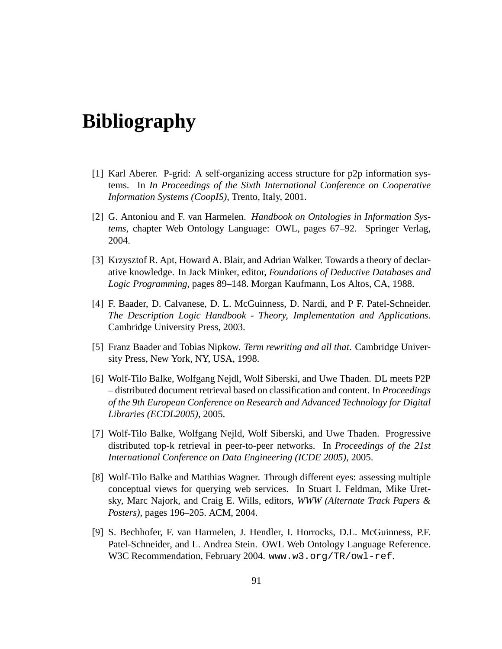# **Bibliography**

- [1] Karl Aberer. P-grid: A self-organizing access structure for p2p information systems. In *In Proceedings of the Sixth International Conference on Cooperative Information Systems (CoopIS)*, Trento, Italy, 2001.
- [2] G. Antoniou and F. van Harmelen. *Handbook on Ontologies in Information Systems*, chapter Web Ontology Language: OWL, pages 67–92. Springer Verlag, 2004.
- [3] Krzysztof R. Apt, Howard A. Blair, and Adrian Walker. Towards a theory of declarative knowledge. In Jack Minker, editor, *Foundations of Deductive Databases and Logic Programming*, pages 89–148. Morgan Kaufmann, Los Altos, CA, 1988.
- [4] F. Baader, D. Calvanese, D. L. McGuinness, D. Nardi, and P F. Patel-Schneider. *The Description Logic Handbook - Theory, Implementation and Applications*. Cambridge University Press, 2003.
- [5] Franz Baader and Tobias Nipkow. *Term rewriting and all that*. Cambridge University Press, New York, NY, USA, 1998.
- [6] Wolf-Tilo Balke, Wolfgang Nejdl, Wolf Siberski, and Uwe Thaden. DL meets P2P – distributed document retrieval based on classification and content. In *Proceedings of the 9th European Conference on Research and Advanced Technology for Digital Libraries (ECDL2005)*, 2005.
- [7] Wolf-Tilo Balke, Wolfgang Nejld, Wolf Siberski, and Uwe Thaden. Progressive distributed top-k retrieval in peer-to-peer networks. In *Proceedings of the 21st International Conference on Data Engineering (ICDE 2005)*, 2005.
- [8] Wolf-Tilo Balke and Matthias Wagner. Through different eyes: assessing multiple conceptual views for querying web services. In Stuart I. Feldman, Mike Uretsky, Marc Najork, and Craig E. Wills, editors, *WWW (Alternate Track Papers & Posters)*, pages 196–205. ACM, 2004.
- [9] S. Bechhofer, F. van Harmelen, J. Hendler, I. Horrocks, D.L. McGuinness, P.F. Patel-Schneider, and L. Andrea Stein. OWL Web Ontology Language Reference. W3C Recommendation, February 2004. www.w3.org/TR/owl-ref.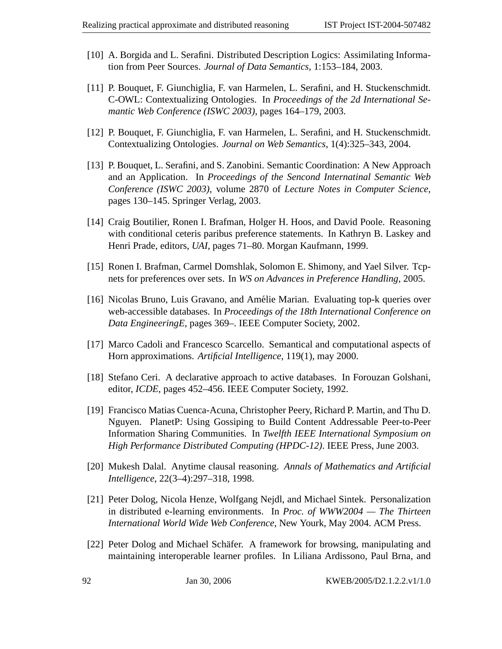- [10] A. Borgida and L. Serafini. Distributed Description Logics: Assimilating Information from Peer Sources. *Journal of Data Semantics*, 1:153–184, 2003.
- [11] P. Bouquet, F. Giunchiglia, F. van Harmelen, L. Serafini, and H. Stuckenschmidt. C-OWL: Contextualizing Ontologies. In *Proceedings of the 2d International Semantic Web Conference (ISWC 2003)*, pages 164–179, 2003.
- [12] P. Bouquet, F. Giunchiglia, F. van Harmelen, L. Serafini, and H. Stuckenschmidt. Contextualizing Ontologies. *Journal on Web Semantics*, 1(4):325–343, 2004.
- [13] P. Bouquet, L. Serafini, and S. Zanobini. Semantic Coordination: A New Approach and an Application. In *Proceedings of the Sencond Internatinal Semantic Web Conference (ISWC 2003)*, volume 2870 of *Lecture Notes in Computer Science*, pages 130–145. Springer Verlag, 2003.
- [14] Craig Boutilier, Ronen I. Brafman, Holger H. Hoos, and David Poole. Reasoning with conditional ceteris paribus preference statements. In Kathryn B. Laskey and Henri Prade, editors, *UAI*, pages 71–80. Morgan Kaufmann, 1999.
- [15] Ronen I. Brafman, Carmel Domshlak, Solomon E. Shimony, and Yael Silver. Tcpnets for preferences over sets. In *WS on Advances in Preference Handling*, 2005.
- [16] Nicolas Bruno, Luis Gravano, and Amelie Marian. Evaluating top-k queries over ´ web-accessible databases. In *Proceedings of the 18th International Conference on Data EngineeringE*, pages 369–. IEEE Computer Society, 2002.
- [17] Marco Cadoli and Francesco Scarcello. Semantical and computational aspects of Horn approximations. *Artificial Intelligence*, 119(1), may 2000.
- [18] Stefano Ceri. A declarative approach to active databases. In Forouzan Golshani, editor, *ICDE*, pages 452–456. IEEE Computer Society, 1992.
- [19] Francisco Matias Cuenca-Acuna, Christopher Peery, Richard P. Martin, and Thu D. Nguyen. PlanetP: Using Gossiping to Build Content Addressable Peer-to-Peer Information Sharing Communities. In *Twelfth IEEE International Symposium on High Performance Distributed Computing (HPDC-12)*. IEEE Press, June 2003.
- [20] Mukesh Dalal. Anytime clausal reasoning. *Annals of Mathematics and Artificial Intelligence*, 22(3–4):297–318, 1998.
- [21] Peter Dolog, Nicola Henze, Wolfgang Nejdl, and Michael Sintek. Personalization in distributed e-learning environments. In *Proc. of WWW2004 — The Thirteen International World Wide Web Conference*, New Yourk, May 2004. ACM Press.
- [22] Peter Dolog and Michael Schäfer. A framework for browsing, manipulating and maintaining interoperable learner profiles. In Liliana Ardissono, Paul Brna, and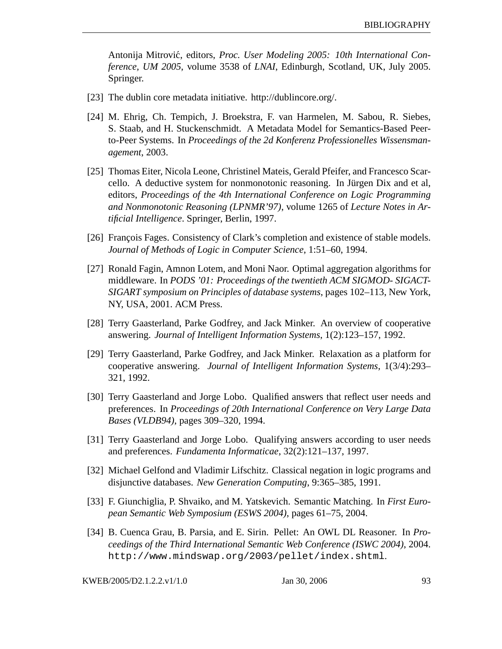Antonija Mitrović, editors, *Proc. User Modeling 2005: 10th International Conference, UM 2005*, volume 3538 of *LNAI*, Edinburgh, Scotland, UK, July 2005. Springer.

- [23] The dublin core metadata initiative. http://dublincore.org/.
- [24] M. Ehrig, Ch. Tempich, J. Broekstra, F. van Harmelen, M. Sabou, R. Siebes, S. Staab, and H. Stuckenschmidt. A Metadata Model for Semantics-Based Peerto-Peer Systems. In *Proceedings of the 2d Konferenz Professionelles Wissensmanagement*, 2003.
- [25] Thomas Eiter, Nicola Leone, Christinel Mateis, Gerald Pfeifer, and Francesco Scarcello. A deductive system for nonmonotonic reasoning. In Jürgen Dix and et al, editors, *Proceedings of the 4th International Conference on Logic Programming and Nonmonotonic Reasoning (LPNMR'97)*, volume 1265 of *Lecture Notes in Artificial Intelligence*. Springer, Berlin, 1997.
- [26] Francois Fages. Consistency of Clark's completion and existence of stable models. *Journal of Methods of Logic in Computer Science*, 1:51–60, 1994.
- [27] Ronald Fagin, Amnon Lotem, and Moni Naor. Optimal aggregation algorithms for middleware. In *PODS '01: Proceedings of the twentieth ACM SIGMOD- SIGACT-SIGART symposium on Principles of database systems*, pages 102–113, New York, NY, USA, 2001. ACM Press.
- [28] Terry Gaasterland, Parke Godfrey, and Jack Minker. An overview of cooperative answering. *Journal of Intelligent Information Systems*, 1(2):123–157, 1992.
- [29] Terry Gaasterland, Parke Godfrey, and Jack Minker. Relaxation as a platform for cooperative answering. *Journal of Intelligent Information Systems*, 1(3/4):293– 321, 1992.
- [30] Terry Gaasterland and Jorge Lobo. Qualified answers that reflect user needs and preferences. In *Proceedings of 20th International Conference on Very Large Data Bases (VLDB94)*, pages 309–320, 1994.
- [31] Terry Gaasterland and Jorge Lobo. Qualifying answers according to user needs and preferences. *Fundamenta Informaticae*, 32(2):121–137, 1997.
- [32] Michael Gelfond and Vladimir Lifschitz. Classical negation in logic programs and disjunctive databases. *New Generation Computing*, 9:365–385, 1991.
- [33] F. Giunchiglia, P. Shvaiko, and M. Yatskevich. Semantic Matching. In *First European Semantic Web Symposium (ESWS 2004)*, pages 61–75, 2004.
- [34] B. Cuenca Grau, B. Parsia, and E. Sirin. Pellet: An OWL DL Reasoner. In *Proceedings of the Third International Semantic Web Conference (ISWC 2004)*, 2004. http://www.mindswap.org/2003/pellet/index.shtml.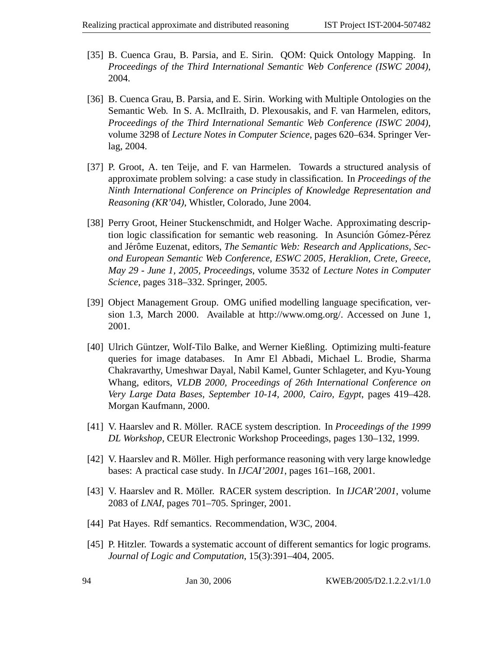- [35] B. Cuenca Grau, B. Parsia, and E. Sirin. QOM: Quick Ontology Mapping. In *Proceedings of the Third International Semantic Web Conference (ISWC 2004)*, 2004.
- [36] B. Cuenca Grau, B. Parsia, and E. Sirin. Working with Multiple Ontologies on the Semantic Web. In S. A. McIlraith, D. Plexousakis, and F. van Harmelen, editors, *Proceedings of the Third International Semantic Web Conference (ISWC 2004)*, volume 3298 of *Lecture Notes in Computer Science*, pages 620–634. Springer Verlag, 2004.
- [37] P. Groot, A. ten Teije, and F. van Harmelen. Towards a structured analysis of approximate problem solving: a case study in classification. In *Proceedings of the Ninth International Conference on Principles of Knowledge Representation and Reasoning (KR'04)*, Whistler, Colorado, June 2004.
- [38] Perry Groot, Heiner Stuckenschmidt, and Holger Wache. Approximating description logic classification for semantic web reasoning. In Asunción Gómez-Pérez and Jérôme Euzenat, editors, *The Semantic Web: Research and Applications*, Sec*ond European Semantic Web Conference, ESWC 2005, Heraklion, Crete, Greece, May 29 - June 1, 2005, Proceedings*, volume 3532 of *Lecture Notes in Computer Science*, pages 318–332. Springer, 2005.
- [39] Object Management Group. OMG unified modelling language specification, version 1.3, March 2000. Available at http://www.omg.org/. Accessed on June 1, 2001.
- [40] Ulrich Güntzer, Wolf-Tilo Balke, and Werner Kießling. Optimizing multi-feature queries for image databases. In Amr El Abbadi, Michael L. Brodie, Sharma Chakravarthy, Umeshwar Dayal, Nabil Kamel, Gunter Schlageter, and Kyu-Young Whang, editors, *VLDB 2000, Proceedings of 26th International Conference on Very Large Data Bases, September 10-14, 2000, Cairo, Egypt*, pages 419–428. Morgan Kaufmann, 2000.
- [41] V. Haarslev and R. Möller. RACE system description. In *Proceedings of the 1999 DL Workshop*, CEUR Electronic Workshop Proceedings, pages 130–132, 1999.
- [42] V. Haarslev and R. Möller. High performance reasoning with very large knowledge bases: A practical case study. In *IJCAI'2001*, pages 161–168, 2001.
- [43] V. Haarslev and R. Möller. RACER system description. In *IJCAR'2001*, volume 2083 of *LNAI*, pages 701–705. Springer, 2001.
- [44] Pat Hayes. Rdf semantics. Recommendation, W3C, 2004.
- [45] P. Hitzler. Towards a systematic account of different semantics for logic programs. *Journal of Logic and Computation*, 15(3):391–404, 2005.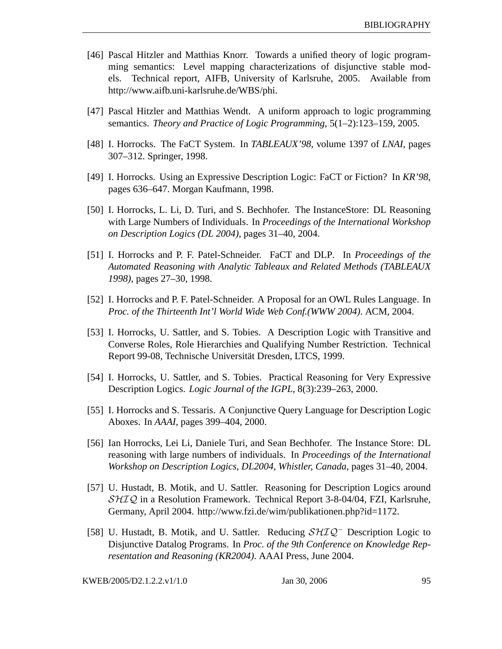- [46] Pascal Hitzler and Matthias Knorr. Towards a unified theory of logic programming semantics: Level mapping characterizations of disjunctive stable models. Technical report, AIFB, University of Karlsruhe, 2005. Available from http://www.aifb.uni-karlsruhe.de/WBS/phi.
- [47] Pascal Hitzler and Matthias Wendt. A uniform approach to logic programming semantics. *Theory and Practice of Logic Programming*, 5(1–2):123–159, 2005.
- [48] I. Horrocks. The FaCT System. In *TABLEAUX'98*, volume 1397 of *LNAI*, pages 307–312. Springer, 1998.
- [49] I. Horrocks. Using an Expressive Description Logic: FaCT or Fiction? In *KR'98*, pages 636–647. Morgan Kaufmann, 1998.
- [50] I. Horrocks, L. Li, D. Turi, and S. Bechhofer. The InstanceStore: DL Reasoning with Large Numbers of Individuals. In *Proceedings of the International Workshop on Description Logics (DL 2004)*, pages 31–40, 2004.
- [51] I. Horrocks and P. F. Patel-Schneider. FaCT and DLP. In *Proceedings of the Automated Reasoning with Analytic Tableaux and Related Methods (TABLEAUX 1998)*, pages 27–30, 1998.
- [52] I. Horrocks and P. F. Patel-Schneider. A Proposal for an OWL Rules Language. In *Proc. of the Thirteenth Int'l World Wide Web Conf.(WWW 2004)*. ACM, 2004.
- [53] I. Horrocks, U. Sattler, and S. Tobies. A Description Logic with Transitive and Converse Roles, Role Hierarchies and Qualifying Number Restriction. Technical Report 99-08, Technische Universität Dresden, LTCS, 1999.
- [54] I. Horrocks, U. Sattler, and S. Tobies. Practical Reasoning for Very Expressive Description Logics. *Logic Journal of the IGPL*, 8(3):239–263, 2000.
- [55] I. Horrocks and S. Tessaris. A Conjunctive Query Language for Description Logic Aboxes. In *AAAI*, pages 399–404, 2000.
- [56] Ian Horrocks, Lei Li, Daniele Turi, and Sean Bechhofer. The Instance Store: DL reasoning with large numbers of individuals. In *Proceedings of the International Workshop on Description Logics, DL2004, Whistler, Canada*, pages 31–40, 2004.
- [57] U. Hustadt, B. Motik, and U. Sattler. Reasoning for Description Logics around SHIQ in a Resolution Framework. Technical Report 3-8-04/04, FZI, Karlsruhe, Germany, April 2004. http://www.fzi.de/wim/publikationen.php?id=1172.
- [58] U. Hustadt, B. Motik, and U. Sattler. Reducing SHIQ<sup>−</sup> Description Logic to Disjunctive Datalog Programs. In *Proc. of the 9th Conference on Knowledge Representation and Reasoning (KR2004)*. AAAI Press, June 2004.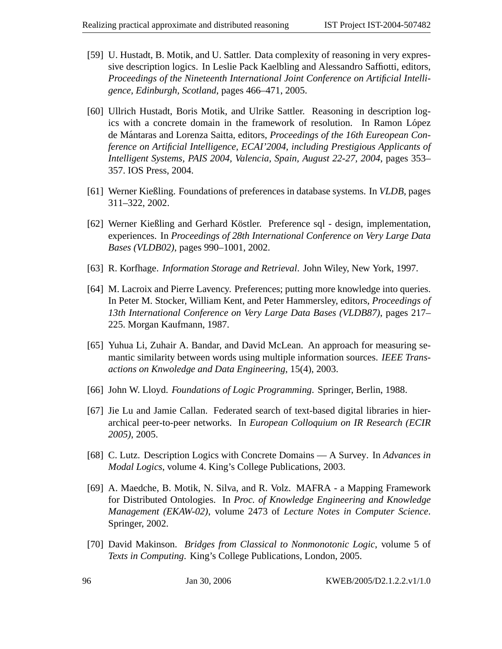- [59] U. Hustadt, B. Motik, and U. Sattler. Data complexity of reasoning in very expressive description logics. In Leslie Pack Kaelbling and Alessandro Saffiotti, editors, *Proceedings of the Nineteenth International Joint Conference on Artificial Intelligence, Edinburgh, Scotland*, pages 466–471, 2005.
- [60] Ullrich Hustadt, Boris Motik, and Ulrike Sattler. Reasoning in description logics with a concrete domain in the framework of resolution. In Ramon López de Mántaras and Lorenza Saitta, editors, Proceedings of the 16th Eureopean Con*ference on Artificial Intelligence, ECAI'2004, including Prestigious Applicants of Intelligent Systems, PAIS 2004, Valencia, Spain, August 22-27, 2004*, pages 353– 357. IOS Press, 2004.
- [61] Werner Kießling. Foundations of preferences in database systems. In *VLDB*, pages 311–322, 2002.
- [62] Werner Kießling and Gerhard Köstler. Preference sql design, implementation, experiences. In *Proceedings of 28th International Conference on Very Large Data Bases (VLDB02)*, pages 990–1001, 2002.
- [63] R. Korfhage. *Information Storage and Retrieval*. John Wiley, New York, 1997.
- [64] M. Lacroix and Pierre Lavency. Preferences; putting more knowledge into queries. In Peter M. Stocker, William Kent, and Peter Hammersley, editors, *Proceedings of 13th International Conference on Very Large Data Bases (VLDB87)*, pages 217– 225. Morgan Kaufmann, 1987.
- [65] Yuhua Li, Zuhair A. Bandar, and David McLean. An approach for measuring semantic similarity between words using multiple information sources. *IEEE Transactions on Knwoledge and Data Engineering*, 15(4), 2003.
- [66] John W. Lloyd. *Foundations of Logic Programming*. Springer, Berlin, 1988.
- [67] Jie Lu and Jamie Callan. Federated search of text-based digital libraries in hierarchical peer-to-peer networks. In *European Colloquium on IR Research (ECIR 2005)*, 2005.
- [68] C. Lutz. Description Logics with Concrete Domains A Survey. In *Advances in Modal Logics*, volume 4. King's College Publications, 2003.
- [69] A. Maedche, B. Motik, N. Silva, and R. Volz. MAFRA a Mapping Framework for Distributed Ontologies. In *Proc. of Knowledge Engineering and Knowledge Management (EKAW-02)*, volume 2473 of *Lecture Notes in Computer Science*. Springer, 2002.
- [70] David Makinson. *Bridges from Classical to Nonmonotonic Logic*, volume 5 of *Texts in Computing*. King's College Publications, London, 2005.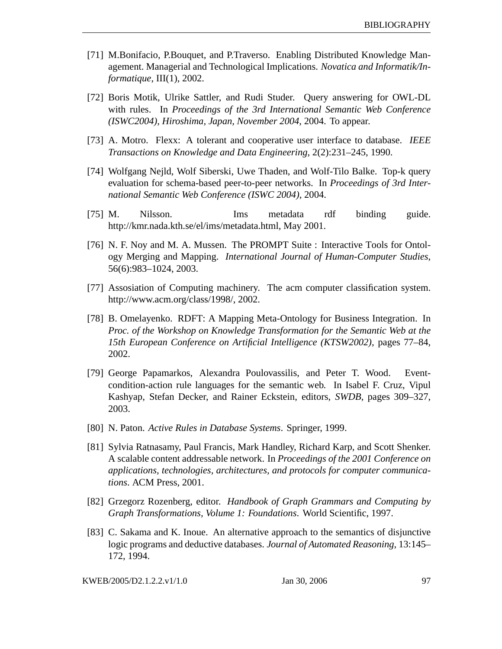- [71] M.Bonifacio, P.Bouquet, and P.Traverso. Enabling Distributed Knowledge Management. Managerial and Technological Implications. *Novatica and Informatik/Informatique*, III(1), 2002.
- [72] Boris Motik, Ulrike Sattler, and Rudi Studer. Query answering for OWL-DL with rules. In *Proceedings of the 3rd International Semantic Web Conference (ISWC2004), Hiroshima, Japan, November 2004*, 2004. To appear.
- [73] A. Motro. Flexx: A tolerant and cooperative user interface to database. *IEEE Transactions on Knowledge and Data Engineering*, 2(2):231–245, 1990.
- [74] Wolfgang Nejld, Wolf Siberski, Uwe Thaden, and Wolf-Tilo Balke. Top-k query evaluation for schema-based peer-to-peer networks. In *Proceedings of 3rd International Semantic Web Conference (ISWC 2004)*, 2004.
- [75] M. Nilsson. Ims metadata rdf binding guide. http://kmr.nada.kth.se/el/ims/metadata.html, May 2001.
- [76] N. F. Noy and M. A. Mussen. The PROMPT Suite : Interactive Tools for Ontology Merging and Mapping. *International Journal of Human-Computer Studies*, 56(6):983–1024, 2003.
- [77] Assosiation of Computing machinery. The acm computer classification system. http://www.acm.org/class/1998/, 2002.
- [78] B. Omelayenko. RDFT: A Mapping Meta-Ontology for Business Integration. In *Proc. of the Workshop on Knowledge Transformation for the Semantic Web at the 15th European Conference on Artificial Intelligence (KTSW2002)*, pages 77–84, 2002.
- [79] George Papamarkos, Alexandra Poulovassilis, and Peter T. Wood. Eventcondition-action rule languages for the semantic web. In Isabel F. Cruz, Vipul Kashyap, Stefan Decker, and Rainer Eckstein, editors, *SWDB*, pages 309–327, 2003.
- [80] N. Paton. *Active Rules in Database Systems*. Springer, 1999.
- [81] Sylvia Ratnasamy, Paul Francis, Mark Handley, Richard Karp, and Scott Shenker. A scalable content addressable network. In *Proceedings of the 2001 Conference on applications, technologies, architectures, and protocols for computer communications*. ACM Press, 2001.
- [82] Grzegorz Rozenberg, editor. *Handbook of Graph Grammars and Computing by Graph Transformations, Volume 1: Foundations*. World Scientific, 1997.
- [83] C. Sakama and K. Inoue. An alternative approach to the semantics of disjunctive logic programs and deductive databases. *Journal of Automated Reasoning*, 13:145– 172, 1994.

KWEB/2005/D2.1.2.2.v1/1.0 Jan 30, 2006 97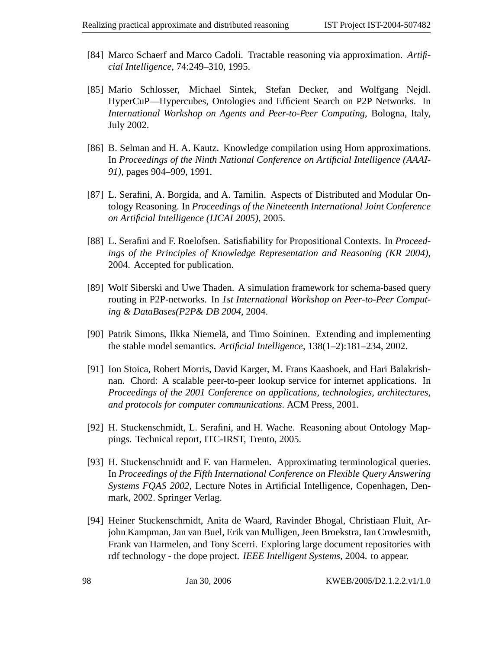- [84] Marco Schaerf and Marco Cadoli. Tractable reasoning via approximation. *Artificial Intelligence*, 74:249–310, 1995.
- [85] Mario Schlosser, Michael Sintek, Stefan Decker, and Wolfgang Nejdl. HyperCuP—Hypercubes, Ontologies and Efficient Search on P2P Networks. In *International Workshop on Agents and Peer-to-Peer Computing*, Bologna, Italy, July 2002.
- [86] B. Selman and H. A. Kautz. Knowledge compilation using Horn approximations. In *Proceedings of the Ninth National Conference on Artificial Intelligence (AAAI-91)*, pages 904–909, 1991.
- [87] L. Serafini, A. Borgida, and A. Tamilin. Aspects of Distributed and Modular Ontology Reasoning. In *Proceedings of the Nineteenth International Joint Conference on Artificial Intelligence (IJCAI 2005)*, 2005.
- [88] L. Serafini and F. Roelofsen. Satisfiability for Propositional Contexts. In *Proceedings of the Principles of Knowledge Representation and Reasoning (KR 2004)*, 2004. Accepted for publication.
- [89] Wolf Siberski and Uwe Thaden. A simulation framework for schema-based query routing in P2P-networks. In *1st International Workshop on Peer-to-Peer Computing & DataBases(P2P& DB 2004*, 2004.
- [90] Patrik Simons, Ilkka Niemelä, and Timo Soininen. Extending and implementing the stable model semantics. *Artificial Intelligence*, 138(1–2):181–234, 2002.
- [91] Ion Stoica, Robert Morris, David Karger, M. Frans Kaashoek, and Hari Balakrishnan. Chord: A scalable peer-to-peer lookup service for internet applications. In *Proceedings of the 2001 Conference on applications, technologies, architectures, and protocols for computer communications*. ACM Press, 2001.
- [92] H. Stuckenschmidt, L. Serafini, and H. Wache. Reasoning about Ontology Mappings. Technical report, ITC-IRST, Trento, 2005.
- [93] H. Stuckenschmidt and F. van Harmelen. Approximating terminological queries. In *Proceedings of the Fifth International Conference on Flexible Query Answering Systems FQAS 2002*, Lecture Notes in Artificial Intelligence, Copenhagen, Denmark, 2002. Springer Verlag.
- [94] Heiner Stuckenschmidt, Anita de Waard, Ravinder Bhogal, Christiaan Fluit, Arjohn Kampman, Jan van Buel, Erik van Mulligen, Jeen Broekstra, Ian Crowlesmith, Frank van Harmelen, and Tony Scerri. Exploring large document repositories with rdf technology - the dope project. *IEEE Intelligent Systems*, 2004. to appear.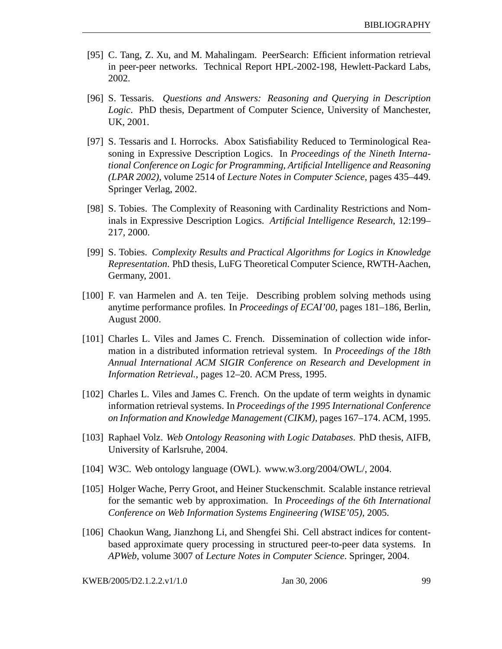- [95] C. Tang, Z. Xu, and M. Mahalingam. PeerSearch: Efficient information retrieval in peer-peer networks. Technical Report HPL-2002-198, Hewlett-Packard Labs, 2002.
- [96] S. Tessaris. *Questions and Answers: Reasoning and Querying in Description Logic*. PhD thesis, Department of Computer Science, University of Manchester, UK, 2001.
- [97] S. Tessaris and I. Horrocks. Abox Satisfiability Reduced to Terminological Reasoning in Expressive Description Logics. In *Proceedings of the Nineth International Conference on Logic for Programming, Artificial Intelligence and Reasoning (LPAR 2002)*, volume 2514 of *Lecture Notes in Computer Science*, pages 435–449. Springer Verlag, 2002.
- [98] S. Tobies. The Complexity of Reasoning with Cardinality Restrictions and Nominals in Expressive Description Logics. *Artificial Intelligence Research*, 12:199– 217, 2000.
- [99] S. Tobies. *Complexity Results and Practical Algorithms for Logics in Knowledge Representation*. PhD thesis, LuFG Theoretical Computer Science, RWTH-Aachen, Germany, 2001.
- [100] F. van Harmelen and A. ten Teije. Describing problem solving methods using anytime performance profiles. In *Proceedings of ECAI'00*, pages 181–186, Berlin, August 2000.
- [101] Charles L. Viles and James C. French. Dissemination of collection wide information in a distributed information retrieval system. In *Proceedings of the 18th Annual International ACM SIGIR Conference on Research and Development in Information Retrieval.*, pages 12–20. ACM Press, 1995.
- [102] Charles L. Viles and James C. French. On the update of term weights in dynamic information retrieval systems. In *Proceedings of the 1995 International Conference on Information and Knowledge Management (CIKM)*, pages 167–174. ACM, 1995.
- [103] Raphael Volz. *Web Ontology Reasoning with Logic Databases*. PhD thesis, AIFB, University of Karlsruhe, 2004.
- [104] W3C. Web ontology language (OWL). www.w3.org/2004/OWL/, 2004.
- [105] Holger Wache, Perry Groot, and Heiner Stuckenschmit. Scalable instance retrieval for the semantic web by approximation. In *Proceedings of the 6th International Conference on Web Information Systems Engineering (WISE'05)*, 2005.
- [106] Chaokun Wang, Jianzhong Li, and Shengfei Shi. Cell abstract indices for contentbased approximate query processing in structured peer-to-peer data systems. In *APWeb*, volume 3007 of *Lecture Notes in Computer Science*. Springer, 2004.

KWEB/2005/D2.1.2.2.v1/1.0 Jan 30, 2006 99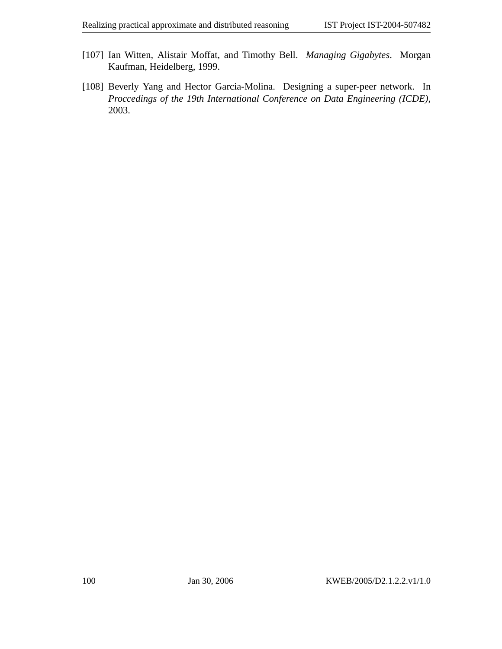- [107] Ian Witten, Alistair Moffat, and Timothy Bell. *Managing Gigabytes*. Morgan Kaufman, Heidelberg, 1999.
- [108] Beverly Yang and Hector Garcia-Molina. Designing a super-peer network. In *Proccedings of the 19th International Conference on Data Engineering (ICDE)*, 2003.